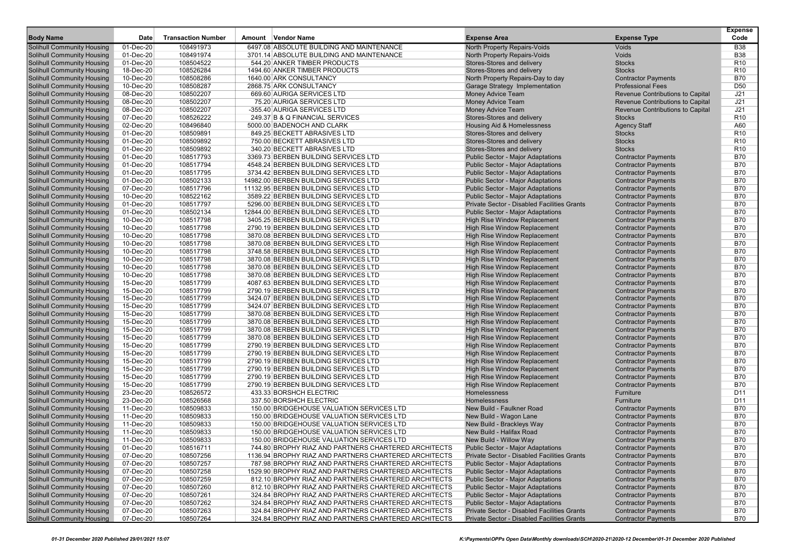| <b>Body Name</b>                  | Date      | <b>Transaction Number</b> | Amount Vendor Name                                    | <b>Expense Area</b>                         | <b>Expense Type</b>              | <b>Expense</b><br>Code |
|-----------------------------------|-----------|---------------------------|-------------------------------------------------------|---------------------------------------------|----------------------------------|------------------------|
|                                   |           |                           |                                                       |                                             |                                  |                        |
| <b>Solihull Community Housing</b> | 01-Dec-20 | 108491973                 | 6497.08 ABSOLUTE BUILDING AND MAINTENANCE             | North Property Repairs-Voids                | <b>Voids</b>                     | <b>B38</b>             |
| <b>Solihull Community Housing</b> | 01-Dec-20 | 108491974                 | 3701.14 ABSOLUTE BUILDING AND MAINTENANCE             | North Property Repairs-Voids                | Voids                            | <b>B38</b>             |
| <b>Solihull Community Housing</b> | 01-Dec-20 | 108504522                 | 544.20 ANKER TIMBER PRODUCTS                          | Stores-Stores and delivery                  | <b>Stocks</b>                    | R <sub>10</sub>        |
| <b>Solihull Community Housing</b> | 18-Dec-20 | 108526284                 | 1494.60 ANKER TIMBER PRODUCTS                         | Stores-Stores and delivery                  | <b>Stocks</b>                    | R <sub>10</sub>        |
| <b>Solihull Community Housing</b> | 10-Dec-20 | 108508286                 | 1640.00 ARK CONSULTANCY                               | North Property Repairs-Day to day           | <b>Contractor Payments</b>       | <b>B70</b>             |
| <b>Solihull Community Housing</b> | 10-Dec-20 | 108508287                 | 2868.75 ARK CONSULTANCY                               | Garage Strategy Implementation              | <b>Professional Fees</b>         | D <sub>50</sub>        |
| <b>Solihull Community Housing</b> | 08-Dec-20 | 108502207                 | 669.60 AURIGA SERVICES LTD                            | <b>Money Advice Team</b>                    | Revenue Contributions to Capital | J21                    |
| <b>Solihull Community Housing</b> | 08-Dec-20 | 108502207                 | 75.20 AURIGA SERVICES LTD                             | <b>Money Advice Team</b>                    | Revenue Contributions to Capital | J21                    |
| <b>Solihull Community Housing</b> | 08-Dec-20 | 108502207                 | -355.40 AURIGA SERVICES LTD                           | <b>Money Advice Team</b>                    | Revenue Contributions to Capital | J21                    |
| <b>Solihull Community Housing</b> | 07-Dec-20 | 108526222                 | 249.37 B & Q FINANCIAL SERVICES                       | Stores-Stores and delivery                  | <b>Stocks</b>                    | R <sub>10</sub>        |
| <b>Solihull Community Housing</b> | 02-Dec-20 | 108496840                 | 5000.00 BADENOCH AND CLARK                            | Housing Aid & Homelessness                  | <b>Agency Staff</b>              | A60                    |
| <b>Solihull Community Housing</b> | 01-Dec-20 | 108509891                 | 849.25 BECKETT ABRASIVES LTD                          | Stores-Stores and delivery                  | <b>Stocks</b>                    | R <sub>10</sub>        |
| <b>Solihull Community Housing</b> | 01-Dec-20 | 108509892                 | 750.00 BECKETT ABRASIVES LTD                          | Stores-Stores and delivery                  | <b>Stocks</b>                    | R <sub>10</sub>        |
| <b>Solihull Community Housing</b> | 01-Dec-20 | 108509892                 | 340.20 BECKETT ABRASIVES LTD                          | Stores-Stores and delivery                  | <b>Stocks</b>                    | R <sub>10</sub>        |
| <b>Solihull Community Housing</b> | 01-Dec-20 | 108517793                 | 3369.73 BERBEN BUILDING SERVICES LTD                  | <b>Public Sector - Major Adaptations</b>    | <b>Contractor Payments</b>       | <b>B70</b>             |
| <b>Solihull Community Housing</b> | 01-Dec-20 | 108517794                 | 4548.24 BERBEN BUILDING SERVICES LTD                  | <b>Public Sector - Major Adaptations</b>    | <b>Contractor Payments</b>       | <b>B70</b>             |
| <b>Solihull Community Housing</b> | 01-Dec-20 | 108517795                 | 3734.42 BERBEN BUILDING SERVICES LTD                  | <b>Public Sector - Major Adaptations</b>    | <b>Contractor Payments</b>       | <b>B70</b>             |
| <b>Solihull Community Housing</b> | 01-Dec-20 | 108502133                 | 14982.00 BERBEN BUILDING SERVICES LTD                 | <b>Public Sector - Major Adaptations</b>    | <b>Contractor Payments</b>       | <b>B70</b>             |
| <b>Solihull Community Housing</b> | 07-Dec-20 | 108517796                 | 11132.95 BERBEN BUILDING SERVICES LTD                 | <b>Public Sector - Major Adaptations</b>    | <b>Contractor Payments</b>       | <b>B70</b>             |
| <b>Solihull Community Housing</b> | 10-Dec-20 | 108522162                 | 3589.22 BERBEN BUILDING SERVICES LTD                  | <b>Public Sector - Major Adaptations</b>    | <b>Contractor Payments</b>       | <b>B70</b>             |
| <b>Solihull Community Housing</b> | 01-Dec-20 | 108517797                 | 5296.00 BERBEN BUILDING SERVICES LTD                  | Private Sector - Disabled Facilities Grants | <b>Contractor Payments</b>       | <b>B70</b>             |
| <b>Solihull Community Housing</b> | 01-Dec-20 | 108502134                 | 12844.00 BERBEN BUILDING SERVICES LTD                 | <b>Public Sector - Major Adaptations</b>    | <b>Contractor Payments</b>       | <b>B70</b>             |
| <b>Solihull Community Housing</b> | 10-Dec-20 | 108517798                 | 3405.25 BERBEN BUILDING SERVICES LTD                  | <b>High Rise Window Replacement</b>         | <b>Contractor Payments</b>       | <b>B70</b>             |
| <b>Solihull Community Housing</b> | 10-Dec-20 | 108517798                 | 2790.19 BERBEN BUILDING SERVICES LTD                  | <b>High Rise Window Replacement</b>         | <b>Contractor Payments</b>       | <b>B70</b>             |
| <b>Solihull Community Housing</b> | 10-Dec-20 | 108517798                 | 3870.08 BERBEN BUILDING SERVICES LTD                  | <b>High Rise Window Replacement</b>         | <b>Contractor Payments</b>       | <b>B70</b>             |
| <b>Solihull Community Housing</b> | 10-Dec-20 | 108517798                 | 3870.08 BERBEN BUILDING SERVICES LTD                  | <b>High Rise Window Replacement</b>         | <b>Contractor Payments</b>       | <b>B70</b>             |
| <b>Solihull Community Housing</b> | 10-Dec-20 | 108517798                 | 3748.58 BERBEN BUILDING SERVICES LTD                  | <b>High Rise Window Replacement</b>         | <b>Contractor Payments</b>       | <b>B70</b>             |
| <b>Solihull Community Housing</b> | 10-Dec-20 | 108517798                 | 3870.08 BERBEN BUILDING SERVICES LTD                  | <b>High Rise Window Replacement</b>         | <b>Contractor Payments</b>       | <b>B70</b>             |
| <b>Solihull Community Housing</b> | 10-Dec-20 | 108517798                 | 3870.08 BERBEN BUILDING SERVICES LTD                  | <b>High Rise Window Replacement</b>         | <b>Contractor Payments</b>       | <b>B70</b>             |
| <b>Solihull Community Housing</b> | 10-Dec-20 | 108517798                 | 3870.08 BERBEN BUILDING SERVICES LTD                  | <b>High Rise Window Replacement</b>         | <b>Contractor Payments</b>       | <b>B70</b>             |
| <b>Solihull Community Housing</b> | 15-Dec-20 | 108517799                 | 4087.63 BERBEN BUILDING SERVICES LTD                  | High Rise Window Replacement                | <b>Contractor Payments</b>       | <b>B70</b>             |
| <b>Solihull Community Housing</b> | 15-Dec-20 | 108517799                 | 2790.19 BERBEN BUILDING SERVICES LTD                  | <b>High Rise Window Replacement</b>         | <b>Contractor Payments</b>       | <b>B70</b>             |
| <b>Solihull Community Housing</b> | 15-Dec-20 | 108517799                 | 3424.07 BERBEN BUILDING SERVICES LTD                  | High Rise Window Replacement                | <b>Contractor Payments</b>       | <b>B70</b>             |
| <b>Solihull Community Housing</b> | 15-Dec-20 | 108517799                 | 3424.07 BERBEN BUILDING SERVICES LTD                  | <b>High Rise Window Replacement</b>         | <b>Contractor Payments</b>       | <b>B70</b>             |
| <b>Solihull Community Housing</b> | 15-Dec-20 | 108517799                 | 3870.08 BERBEN BUILDING SERVICES LTD                  | <b>High Rise Window Replacement</b>         | <b>Contractor Payments</b>       | <b>B70</b>             |
| <b>Solihull Community Housing</b> | 15-Dec-20 | 108517799                 | 3870.08 BERBEN BUILDING SERVICES LTD                  | High Rise Window Replacement                | <b>Contractor Payments</b>       | <b>B70</b>             |
| <b>Solihull Community Housing</b> | 15-Dec-20 | 108517799                 | 3870.08 BERBEN BUILDING SERVICES LTD                  | <b>High Rise Window Replacement</b>         | <b>Contractor Payments</b>       | <b>B70</b>             |
| <b>Solihull Community Housing</b> | 15-Dec-20 | 108517799                 | 3870.08 BERBEN BUILDING SERVICES LTD                  | <b>High Rise Window Replacement</b>         | <b>Contractor Payments</b>       | <b>B70</b>             |
| <b>Solihull Community Housing</b> | 15-Dec-20 | 108517799                 | 2790.19 BERBEN BUILDING SERVICES LTD                  | <b>High Rise Window Replacement</b>         | <b>Contractor Payments</b>       | <b>B70</b>             |
|                                   |           |                           |                                                       |                                             |                                  |                        |
| <b>Solihull Community Housing</b> | 15-Dec-20 | 108517799                 | 2790.19 BERBEN BUILDING SERVICES LTD                  | <b>High Rise Window Replacement</b>         | <b>Contractor Payments</b>       | <b>B70</b>             |
| <b>Solihull Community Housing</b> | 15-Dec-20 | 108517799                 | 2790.19 BERBEN BUILDING SERVICES LTD                  | High Rise Window Replacement                | <b>Contractor Payments</b>       | <b>B70</b>             |
| <b>Solihull Community Housing</b> | 15-Dec-20 | 108517799                 | 2790.19 BERBEN BUILDING SERVICES LTD                  | <b>High Rise Window Replacement</b>         | <b>Contractor Payments</b>       | <b>B70</b>             |
| <b>Solihull Community Housing</b> | 15-Dec-20 | 108517799                 | 2790.19 BERBEN BUILDING SERVICES LTD                  | <b>High Rise Window Replacement</b>         | <b>Contractor Payments</b>       | <b>B70</b>             |
| <b>Solihull Community Housing</b> | 15-Dec-20 | 108517799                 | 2790.19 BERBEN BUILDING SERVICES LTD                  | <b>High Rise Window Replacement</b>         | <b>Contractor Payments</b>       | <b>B70</b>             |
| <b>Solihull Community Housing</b> | 23-Dec-20 | 108526572                 | 433.33 BORSHCH ELECTRIC                               | Homelessness                                | Furniture                        | D <sub>11</sub>        |
| <b>Solihull Community Housing</b> | 23-Dec-20 | 108526568                 | 337.50 BORSHCH ELECTRIC                               | Homelessness                                | Furniture                        | D <sub>11</sub>        |
| <b>Solihull Community Housing</b> | 11-Dec-20 | 108509833                 | 150.00 BRIDGEHOUSE VALUATION SERVICES LTD             | New Build - Faulkner Road                   | <b>Contractor Payments</b>       | <b>B70</b>             |
| <b>Solihull Community Housing</b> | 11-Dec-20 | 108509833                 | 150.00 BRIDGEHOUSE VALUATION SERVICES LTD             | New Build - Wagon Lane                      | <b>Contractor Payments</b>       | <b>B70</b>             |
| <b>Solihull Community Housing</b> | 11-Dec-20 | 108509833                 | 150.00 BRIDGEHOUSE VALUATION SERVICES LTD             | New Build - Brackleys Way                   | <b>Contractor Payments</b>       | <b>B70</b>             |
| <b>Solihull Community Housing</b> | 11-Dec-20 | 108509833                 | 150.00 BRIDGEHOUSE VALUATION SERVICES LTD             | New Build - Halifax Road                    | <b>Contractor Payments</b>       | <b>B70</b>             |
| <b>Solihull Community Housing</b> | 11-Dec-20 | 108509833                 | 150.00 BRIDGEHOUSE VALUATION SERVICES LTD             | New Build - Willow Way                      | <b>Contractor Payments</b>       | <b>B70</b>             |
| <b>Solihull Community Housing</b> | 01-Dec-20 | 108516711                 | 744.80 BROPHY RIAZ AND PARTNERS CHARTERED ARCHITECTS  | <b>Public Sector - Major Adaptations</b>    | <b>Contractor Payments</b>       | <b>B70</b>             |
| <b>Solihull Community Housing</b> | 07-Dec-20 | 108507256                 | 1136.94 BROPHY RIAZ AND PARTNERS CHARTERED ARCHITECTS | Private Sector - Disabled Facilities Grants | <b>Contractor Payments</b>       | <b>B70</b>             |
| <b>Solihull Community Housing</b> | 07-Dec-20 | 108507257                 | 787.98 BROPHY RIAZ AND PARTNERS CHARTERED ARCHITECTS  | <b>Public Sector - Major Adaptations</b>    | <b>Contractor Payments</b>       | <b>B70</b>             |
| <b>Solihull Community Housing</b> | 07-Dec-20 | 108507258                 | 1529.90 BROPHY RIAZ AND PARTNERS CHARTERED ARCHITECTS | <b>Public Sector - Major Adaptations</b>    | <b>Contractor Payments</b>       | <b>B70</b>             |
| <b>Solihull Community Housing</b> | 07-Dec-20 | 108507259                 | 812.10 BROPHY RIAZ AND PARTNERS CHARTERED ARCHITECTS  | <b>Public Sector - Major Adaptations</b>    | <b>Contractor Payments</b>       | <b>B70</b>             |
| <b>Solihull Community Housing</b> | 07-Dec-20 | 108507260                 | 812.10 BROPHY RIAZ AND PARTNERS CHARTERED ARCHITECTS  | <b>Public Sector - Major Adaptations</b>    | <b>Contractor Payments</b>       | <b>B70</b>             |
| <b>Solihull Community Housing</b> | 07-Dec-20 | 108507261                 | 324.84 BROPHY RIAZ AND PARTNERS CHARTERED ARCHITECTS  | <b>Public Sector - Major Adaptations</b>    | <b>Contractor Payments</b>       | <b>B70</b>             |
| <b>Solihull Community Housing</b> | 07-Dec-20 | 108507262                 | 324.84 BROPHY RIAZ AND PARTNERS CHARTERED ARCHITECTS  | <b>Public Sector - Major Adaptations</b>    | <b>Contractor Payments</b>       | <b>B70</b>             |
| <b>Solihull Community Housing</b> | 07-Dec-20 | 108507263                 | 324.84 BROPHY RIAZ AND PARTNERS CHARTERED ARCHITECTS  | Private Sector - Disabled Facilities Grants | <b>Contractor Payments</b>       | <b>B70</b>             |
| <b>Solihull Community Housing</b> | 07-Dec-20 | 108507264                 | 324.84 BROPHY RIAZ AND PARTNERS CHARTERED ARCHITECTS  | Private Sector - Disabled Facilities Grants | <b>Contractor Payments</b>       | B70                    |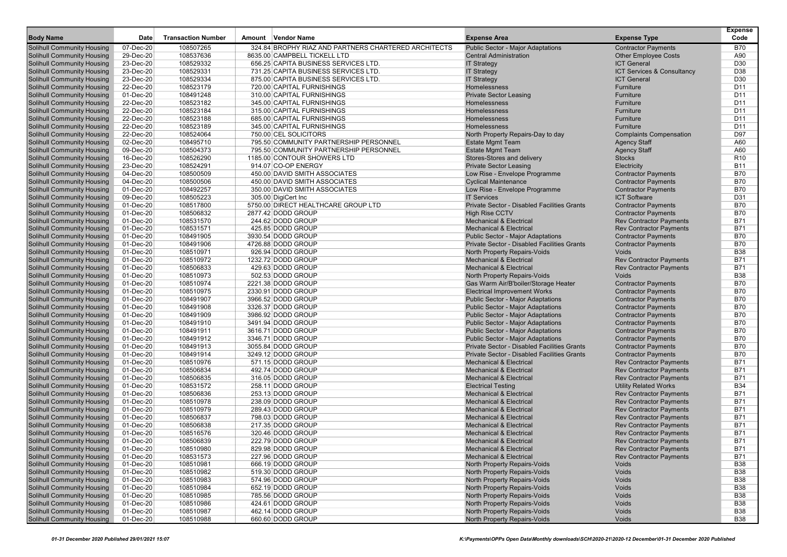| <b>Body Name</b>                                                | Date                   | <b>Transaction Number</b> | Amount Vendor Name                                   | <b>Expense Area</b>                                                      | <b>Expense Type</b>                                              | <b>Expense</b><br>Code   |
|-----------------------------------------------------------------|------------------------|---------------------------|------------------------------------------------------|--------------------------------------------------------------------------|------------------------------------------------------------------|--------------------------|
| Solihull Community Housing                                      | 07-Dec-20              | 108507265                 | 324.84 BROPHY RIAZ AND PARTNERS CHARTERED ARCHITECTS | <b>Public Sector - Major Adaptations</b>                                 | <b>Contractor Payments</b>                                       | B70                      |
| Solihull Community Housing                                      | 29-Dec-20              | 108537636                 | 8635.00 CAMPBELL TICKELL LTD                         | <b>Central Administration</b>                                            | <b>Other Employee Costs</b>                                      | A90                      |
| <b>Solihull Community Housing</b>                               | 23-Dec-20              | 108529332                 | 656.25 CAPITA BUSINESS SERVICES LTD.                 | <b>IT Strategy</b>                                                       | <b>ICT General</b>                                               | D <sub>30</sub>          |
| <b>Solihull Community Housing</b>                               | 23-Dec-20              | 108529331                 | 731.25 CAPITA BUSINESS SERVICES LTD.                 | <b>IT Strategy</b>                                                       | ICT Services & Consultancy                                       | D38                      |
| <b>Solihull Community Housing</b>                               | 23-Dec-20              | 108529334                 | 875.00 CAPITA BUSINESS SERVICES LTD.                 | <b>IT Strategy</b>                                                       | <b>ICT General</b>                                               | D30                      |
| <b>Solihull Community Housing</b>                               | 22-Dec-20              | 108523179                 | 720.00 CAPITAL FURNISHINGS                           | Homelessness                                                             | Furniture                                                        | D <sub>11</sub>          |
| <b>Solihull Community Housing</b>                               | 01-Dec-20              | 108491248                 | 310.00 CAPITAL FURNISHINGS                           | <b>Private Sector Leasing</b>                                            | Furniture                                                        | D <sub>11</sub>          |
| <b>Solihull Community Housing</b>                               | 22-Dec-20              | 108523182                 | 345.00 CAPITAL FURNISHINGS                           | Homelessness                                                             | Furniture                                                        | D <sub>11</sub>          |
| <b>Solihull Community Housing</b>                               | 22-Dec-20              | 108523184                 | 315.00 CAPITAL FURNISHINGS                           | Homelessness                                                             | Furniture                                                        | D <sub>11</sub>          |
| <b>Solihull Community Housing</b>                               | 22-Dec-20              | 108523188                 | 685.00 CAPITAL FURNISHINGS                           | Homelessness                                                             | Furniture                                                        | D <sub>11</sub>          |
| <b>Solihull Community Housing</b>                               | 22-Dec-20              | 108523189                 | 345.00 CAPITAL FURNISHINGS                           | Homelessness                                                             | Furniture                                                        | D <sub>11</sub>          |
| <b>Solihull Community Housing</b>                               | 22-Dec-20              | 108524064                 | 750.00 CEL SOLICITORS                                | North Property Repairs-Day to day                                        | <b>Complaints Compensation</b>                                   | D97                      |
| <b>Solihull Community Housing</b>                               | 02-Dec-20              | 108495710                 | 795.50 COMMUNITY PARTNERSHIP PERSONNEL               | <b>Estate Mgmt Team</b>                                                  | <b>Agency Staff</b>                                              | A60                      |
| <b>Solihull Community Housing</b>                               | 09-Dec-20              | 108504373                 | 795.50 COMMUNITY PARTNERSHIP PERSONNEL               | <b>Estate Mgmt Team</b>                                                  | <b>Agency Staff</b>                                              | A60                      |
| <b>Solihull Community Housing</b>                               | 16-Dec-20              | 108526290                 | 1185.00 CONTOUR SHOWERS LTD                          | Stores-Stores and delivery                                               | <b>Stocks</b>                                                    | R <sub>10</sub>          |
| <b>Solihull Community Housing</b>                               | 23-Dec-20              | 108524291                 | 914.07 CO-OP ENERGY                                  | <b>Private Sector Leasing</b>                                            | Electricity                                                      | <b>B11</b>               |
| Solihull Community Housing                                      | 04-Dec-20              | 108500509                 | 450.00 DAVID SMITH ASSOCIATES                        | Low Rise - Envelope Programme                                            | <b>Contractor Payments</b>                                       | <b>B70</b>               |
| <b>Solihull Community Housing</b>                               | 04-Dec-20              | 108500506                 | 450.00 DAVID SMITH ASSOCIATES                        | <b>Cyclical Maintenance</b>                                              | <b>Contractor Payments</b>                                       | <b>B70</b>               |
| <b>Solihull Community Housing</b>                               | 01-Dec-20              | 108492257                 | 350.00 DAVID SMITH ASSOCIATES                        | Low Rise - Envelope Programme                                            | <b>Contractor Payments</b>                                       | <b>B70</b>               |
| <b>Solihull Community Housing</b>                               | 09-Dec-20              | 108505223                 | 305.00 DigiCert Inc                                  | <b>IT Services</b>                                                       | <b>ICT Software</b>                                              | D31                      |
| <b>Solihull Community Housing</b>                               | 01-Dec-20              | 108517800                 | 5750.00 DIRECT HEALTHCARE GROUP LTD                  | Private Sector - Disabled Facilities Grants                              | <b>Contractor Payments</b>                                       | <b>B70</b>               |
| Solihull Community Housing                                      | 01-Dec-20              | 108506832                 | 2877.42 DODD GROUP                                   | <b>High Rise CCTV</b>                                                    | <b>Contractor Payments</b>                                       | <b>B70</b>               |
| <b>Solihull Community Housing</b>                               | 01-Dec-20              | 108531570                 | 244.62 DODD GROUP                                    | <b>Mechanical &amp; Electrical</b>                                       | <b>Rev Contractor Payments</b>                                   | <b>B71</b>               |
| <b>Solihull Community Housing</b>                               | 01-Dec-20              | 108531571                 | 425.85 DODD GROUP                                    | <b>Mechanical &amp; Electrical</b>                                       | <b>Rev Contractor Payments</b>                                   | <b>B71</b>               |
| <b>Solihull Community Housing</b>                               | 01-Dec-20              | 108491905                 | 3930.54 DODD GROUP                                   | Public Sector - Major Adaptations                                        | <b>Contractor Payments</b>                                       | <b>B70</b>               |
| <b>Solihull Community Housing</b>                               | 01-Dec-20              | 108491906                 | 4726.88 DODD GROUP                                   | Private Sector - Disabled Facilities Grants                              | <b>Contractor Payments</b>                                       | <b>B70</b>               |
| Solihull Community Housing                                      | 01-Dec-20              | 108510971                 | 926.94 DODD GROUP                                    | North Property Repairs-Voids                                             | Voids                                                            | <b>B38</b>               |
| <b>Solihull Community Housing</b>                               | 01-Dec-20              | 108510972                 | 1232.72 DODD GROUP                                   | <b>Mechanical &amp; Electrical</b>                                       | <b>Rev Contractor Payments</b>                                   | <b>B71</b>               |
| <b>Solihull Community Housing</b>                               | 01-Dec-20              | 108506833                 | 429.63 DODD GROUP                                    | <b>Mechanical &amp; Electrical</b>                                       | <b>Rev Contractor Payments</b>                                   | <b>B71</b>               |
| <b>Solihull Community Housing</b>                               | 01-Dec-20              | 108510973                 | 502.53 DODD GROUP                                    | North Property Repairs-Voids                                             | Voids                                                            | <b>B38</b>               |
| <b>Solihull Community Housing</b>                               | 01-Dec-20              | 108510974                 | 2221.38 DODD GROUP                                   | Gas Warm Air/B'boiler/Storage Heater                                     | <b>Contractor Payments</b>                                       | <b>B70</b>               |
| Solihull Community Housing                                      | 01-Dec-20              | 108510975                 | 2330.91 DODD GROUP                                   | <b>Electrical Improvement Works</b>                                      | <b>Contractor Payments</b>                                       | <b>B70</b>               |
| <b>Solihull Community Housing</b>                               | 01-Dec-20              | 108491907                 | 3966.52 DODD GROUP                                   | <b>Public Sector - Major Adaptations</b>                                 | <b>Contractor Payments</b>                                       | <b>B70</b>               |
| <b>Solihull Community Housing</b>                               | 01-Dec-20              | 108491908                 | 3326.37 DODD GROUP                                   | Public Sector - Major Adaptations                                        | <b>Contractor Payments</b>                                       | <b>B70</b>               |
| <b>Solihull Community Housing</b>                               | 01-Dec-20              | 108491909                 | 3986.92 DODD GROUP                                   | Public Sector - Major Adaptations                                        | <b>Contractor Payments</b>                                       | <b>B70</b>               |
| <b>Solihull Community Housing</b>                               | 01-Dec-20              | 108491910                 | 3491.94 DODD GROUP                                   | Public Sector - Major Adaptations                                        | <b>Contractor Payments</b>                                       | <b>B70</b>               |
| Solihull Community Housing                                      | 01-Dec-20              | 108491911                 | 3616.71 DODD GROUP                                   | Public Sector - Major Adaptations                                        | <b>Contractor Payments</b>                                       | <b>B70</b>               |
| <b>Solihull Community Housing</b>                               | 01-Dec-20              | 108491912                 | 3346.71 DODD GROUP                                   | <b>Public Sector - Major Adaptations</b>                                 | <b>Contractor Payments</b>                                       | <b>B70</b>               |
| <b>Solihull Community Housing</b>                               | 01-Dec-20              | 108491913                 | 3055.84 DODD GROUP                                   | Private Sector - Disabled Facilities Grants                              | <b>Contractor Payments</b>                                       | <b>B70</b>               |
| <b>Solihull Community Housing</b>                               | 01-Dec-20              | 108491914                 | 3249.12 DODD GROUP                                   | Private Sector - Disabled Facilities Grants                              | <b>Contractor Payments</b>                                       | <b>B70</b><br><b>B71</b> |
| <b>Solihull Community Housing</b><br>Solihull Community Housing | 01-Dec-20<br>01-Dec-20 | 108510976<br>108506834    | 571.15 DODD GROUP<br>492.74 DODD GROUP               | <b>Mechanical &amp; Electrical</b><br><b>Mechanical &amp; Electrical</b> | <b>Rev Contractor Payments</b><br><b>Rev Contractor Payments</b> | <b>B71</b>               |
| <b>Solihull Community Housing</b>                               | 01-Dec-20              | 108506835                 | 316.05 DODD GROUP                                    | <b>Mechanical &amp; Electrical</b>                                       | <b>Rev Contractor Payments</b>                                   | <b>B71</b>               |
| <b>Solihull Community Housing</b>                               | 01-Dec-20              | 108531572                 | 258.11 DODD GROUP                                    | <b>Electrical Testing</b>                                                | <b>Utility Related Works</b>                                     | <b>B34</b>               |
| <b>Solihull Community Housing</b>                               | 01-Dec-20              | 108506836                 | 253.13 DODD GROUP                                    | <b>Mechanical &amp; Electrical</b>                                       | <b>Rev Contractor Payments</b>                                   | <b>B71</b>               |
| <b>Solihull Community Housing</b>                               | 01-Dec-20              | 108510978                 | 238.09 DODD GROUP                                    | <b>Mechanical &amp; Electrical</b>                                       | <b>Rev Contractor Payments</b>                                   | <b>B71</b>               |
| <b>Solihull Community Housing</b>                               | 01-Dec-20              | 108510979                 | 289.43 DODD GROUP                                    | <b>Mechanical &amp; Electrical</b>                                       | <b>Rev Contractor Payments</b>                                   | <b>B71</b>               |
| <b>Solihull Community Housing</b>                               | 01-Dec-20              | 108506837                 | 798.03 DODD GROUP                                    | <b>Mechanical &amp; Electrical</b>                                       | <b>Rev Contractor Payments</b>                                   | <b>B71</b>               |
| <b>Solihull Community Housing</b>                               | 01-Dec-20              | 108506838                 | 217.35 DODD GROUP                                    | <b>Mechanical &amp; Electrical</b>                                       | <b>Rev Contractor Payments</b>                                   | <b>B71</b>               |
| <b>Solihull Community Housing</b>                               | 01-Dec-20              | 108516576                 | 320.46 DODD GROUP                                    | <b>Mechanical &amp; Electrical</b>                                       | <b>Rev Contractor Payments</b>                                   | <b>B71</b>               |
| <b>Solihull Community Housing</b>                               | 01-Dec-20              | 108506839                 | 222.79 DODD GROUP                                    | <b>Mechanical &amp; Electrical</b>                                       | <b>Rev Contractor Payments</b>                                   | <b>B71</b>               |
| <b>Solihull Community Housing</b>                               | 01-Dec-20              | 108510980                 | 829.98 DODD GROUP                                    | <b>Mechanical &amp; Electrical</b>                                       | <b>Rev Contractor Payments</b>                                   | B71                      |
| <b>Solihull Community Housing</b>                               | 01-Dec-20              | 108531573                 | 227.96 DODD GROUP                                    | <b>Mechanical &amp; Electrical</b>                                       | <b>Rev Contractor Payments</b>                                   | <b>B71</b>               |
| <b>Solihull Community Housing</b>                               | 01-Dec-20              | 108510981                 | 666.19 DODD GROUP                                    | North Property Repairs-Voids                                             | Voids                                                            | <b>B38</b>               |
| <b>Solihull Community Housing</b>                               | 01-Dec-20              | 108510982                 | 519.30 DODD GROUP                                    | North Property Repairs-Voids                                             | Voids                                                            | <b>B38</b>               |
| <b>Solihull Community Housing</b>                               | 01-Dec-20              | 108510983                 | 574.96 DODD GROUP                                    | North Property Repairs-Voids                                             | Voids                                                            | <b>B38</b>               |
| <b>Solihull Community Housing</b>                               | 01-Dec-20              | 108510984                 | 652.19 DODD GROUP                                    | North Property Repairs-Voids                                             | Voids                                                            | <b>B38</b>               |
| <b>Solihull Community Housing</b>                               | 01-Dec-20              | 108510985                 | 785.56 DODD GROUP                                    | North Property Repairs-Voids                                             | Voids                                                            | <b>B38</b>               |
| <b>Solihull Community Housing</b>                               | 01-Dec-20              | 108510986                 | 424.61 DODD GROUP                                    | <b>North Property Repairs-Voids</b>                                      | Voids                                                            | <b>B38</b>               |
| <b>Solihull Community Housing</b>                               | 01-Dec-20              | 108510987                 | 462.14 DODD GROUP                                    | North Property Repairs-Voids                                             | Voids                                                            | <b>B38</b>               |
| <b>Solihull Community Housing</b>                               | 01-Dec-20              | 108510988                 | 660.60 DODD GROUP                                    | North Property Repairs-Voids                                             | Voids                                                            | <b>B38</b>               |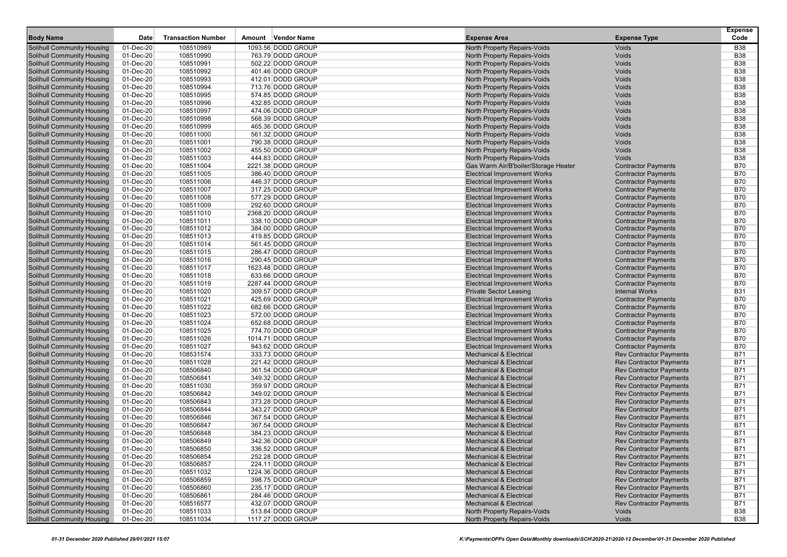| <b>Body Name</b>                                                       | Date                   | <b>Transaction Number</b> | Amount Vendor Name                     | <b>Expense Area</b>                                                        | <b>Expense Type</b>                                      | <b>Expense</b><br>Code   |
|------------------------------------------------------------------------|------------------------|---------------------------|----------------------------------------|----------------------------------------------------------------------------|----------------------------------------------------------|--------------------------|
|                                                                        | 01-Dec-20              | 108510989                 | 1093.56 DODD GROUP                     |                                                                            | Voids                                                    | <b>B38</b>               |
| <b>Solihull Community Housing</b><br><b>Solihull Community Housing</b> | 01-Dec-20              | 108510990                 | 763.79 DODD GROUP                      | North Property Repairs-Voids<br>North Property Repairs-Voids               | Voids                                                    | <b>B38</b>               |
| <b>Solihull Community Housing</b>                                      | 01-Dec-20              | 108510991                 | 502.22 DODD GROUP                      | North Property Repairs-Voids                                               | Voids                                                    | <b>B38</b>               |
| <b>Solihull Community Housing</b>                                      | 01-Dec-20              | 108510992                 | 401.46 DODD GROUP                      | North Property Repairs-Voids                                               | Voids                                                    | <b>B38</b>               |
| <b>Solihull Community Housing</b>                                      | 01-Dec-20              | 108510993                 | 412.01 DODD GROUP                      | <b>North Property Repairs-Voids</b>                                        | Voids                                                    | <b>B38</b>               |
| <b>Solihull Community Housing</b>                                      | 01-Dec-20              | 108510994                 | 713.76 DODD GROUP                      | North Property Repairs-Voids                                               | Voids                                                    | <b>B38</b>               |
| <b>Solihull Community Housing</b>                                      | 01-Dec-20              | 108510995                 | 574.85 DODD GROUP                      | North Property Repairs-Voids                                               | Voids                                                    | <b>B38</b>               |
| <b>Solihull Community Housing</b>                                      | 01-Dec-20              | 108510996                 | 432.85 DODD GROUP                      | North Property Repairs-Voids                                               | Voids                                                    | <b>B38</b>               |
| <b>Solihull Community Housing</b>                                      | 01-Dec-20              | 108510997                 | 474.06 DODD GROUP                      | North Property Repairs-Voids                                               | Voids                                                    | <b>B38</b>               |
| <b>Solihull Community Housing</b>                                      | 01-Dec-20              | 108510998                 | 568.39 DODD GROUP                      | <b>North Property Repairs-Voids</b>                                        | Voids                                                    | <b>B38</b>               |
| <b>Solihull Community Housing</b>                                      | 01-Dec-20              | 108510999                 | 465.36 DODD GROUP                      | <b>North Property Repairs-Voids</b>                                        | Voids                                                    | <b>B38</b>               |
| <b>Solihull Community Housing</b>                                      | 01-Dec-20              | 108511000                 | 561.32 DODD GROUP                      | <b>North Property Repairs-Voids</b>                                        | Voids                                                    | <b>B38</b>               |
| <b>Solihull Community Housing</b>                                      | 01-Dec-20              | 108511001                 | 790.38 DODD GROUP                      | North Property Repairs-Voids                                               | Voids                                                    | <b>B38</b>               |
| <b>Solihull Community Housing</b>                                      | 01-Dec-20              | 108511002                 | 455.50 DODD GROUP                      | North Property Repairs-Voids                                               | Voids                                                    | <b>B38</b>               |
| <b>Solihull Community Housing</b>                                      | 01-Dec-20              | 108511003                 | 444.83 DODD GROUP                      | North Property Repairs-Voids                                               | Voids                                                    | <b>B38</b>               |
| <b>Solihull Community Housing</b>                                      | 01-Dec-20              | 108511004                 | 2221.38 DODD GROUP                     | Gas Warm Air/B'boiler/Storage Heater                                       | <b>Contractor Payments</b>                               | <b>B70</b>               |
| <b>Solihull Community Housing</b>                                      | 01-Dec-20              | 108511005                 | 386.40 DODD GROUP                      | <b>Electrical Improvement Works</b>                                        | <b>Contractor Payments</b>                               | <b>B70</b>               |
| <b>Solihull Community Housing</b>                                      | 01-Dec-20              | 108511006                 | 446.37 DODD GROUP                      | <b>Electrical Improvement Works</b>                                        | <b>Contractor Payments</b>                               | <b>B70</b>               |
| <b>Solihull Community Housing</b>                                      | 01-Dec-20              | 108511007                 | 317.25 DODD GROUP                      | <b>Electrical Improvement Works</b>                                        | <b>Contractor Payments</b>                               | <b>B70</b>               |
| <b>Solihull Community Housing</b>                                      | 01-Dec-20              | 108511008                 | 577.29 DODD GROUP                      | <b>Electrical Improvement Works</b>                                        | <b>Contractor Payments</b>                               | <b>B70</b>               |
| <b>Solihull Community Housing</b>                                      | 01-Dec-20              | 108511009                 | 292.60 DODD GROUP                      | <b>Electrical Improvement Works</b>                                        | <b>Contractor Payments</b>                               | <b>B70</b>               |
| <b>Solihull Community Housing</b>                                      | 01-Dec-20              | 108511010                 | 2368.20 DODD GROUP                     | <b>Electrical Improvement Works</b>                                        | <b>Contractor Payments</b>                               | <b>B70</b>               |
| <b>Solihull Community Housing</b>                                      | 01-Dec-20              | 108511011                 | 338.10 DODD GROUP                      | <b>Electrical Improvement Works</b>                                        | <b>Contractor Payments</b>                               | <b>B70</b>               |
| <b>Solihull Community Housing</b>                                      | 01-Dec-20              | 108511012                 | 384.00 DODD GROUP                      | <b>Electrical Improvement Works</b>                                        | <b>Contractor Payments</b>                               | <b>B70</b>               |
| <b>Solihull Community Housing</b>                                      | 01-Dec-20              | 108511013                 | 419.85 DODD GROUP                      | <b>Electrical Improvement Works</b>                                        | <b>Contractor Payments</b>                               | <b>B70</b>               |
| <b>Solihull Community Housing</b>                                      | 01-Dec-20              | 108511014                 | 561.45 DODD GROUP                      | <b>Electrical Improvement Works</b>                                        | <b>Contractor Payments</b>                               | <b>B70</b>               |
| <b>Solihull Community Housing</b>                                      | 01-Dec-20              | 108511015                 | 286.47 DODD GROUP                      | <b>Electrical Improvement Works</b>                                        | <b>Contractor Payments</b>                               | <b>B70</b>               |
| <b>Solihull Community Housing</b>                                      | 01-Dec-20              | 108511016                 | 290.45 DODD GROUP                      | <b>Electrical Improvement Works</b>                                        | <b>Contractor Payments</b>                               | <b>B70</b>               |
| <b>Solihull Community Housing</b>                                      | 01-Dec-20              | 108511017                 | 1623.48 DODD GROUP                     | <b>Electrical Improvement Works</b>                                        | <b>Contractor Payments</b>                               | <b>B70</b>               |
| <b>Solihull Community Housing</b>                                      | 01-Dec-20              | 108511018                 | 633.66 DODD GROUP                      | <b>Electrical Improvement Works</b>                                        | <b>Contractor Payments</b>                               | <b>B70</b>               |
| <b>Solihull Community Housing</b>                                      | 01-Dec-20              | 108511019                 | 2287.44 DODD GROUP                     | <b>Electrical Improvement Works</b>                                        | <b>Contractor Payments</b>                               | <b>B70</b>               |
| <b>Solihull Community Housing</b><br><b>Solihull Community Housing</b> | 01-Dec-20<br>01-Dec-20 | 108511020<br>108511021    | 309.57 DODD GROUP<br>425.69 DODD GROUP | <b>Private Sector Leasing</b>                                              | <b>Internal Works</b>                                    | <b>B31</b><br><b>B70</b> |
| <b>Solihull Community Housing</b>                                      | 01-Dec-20              | 108511022                 | 682.66 DODD GROUP                      | <b>Electrical Improvement Works</b><br><b>Electrical Improvement Works</b> | <b>Contractor Payments</b><br><b>Contractor Payments</b> | <b>B70</b>               |
| <b>Solihull Community Housing</b>                                      | 01-Dec-20              | 108511023                 | 572.00 DODD GROUP                      | <b>Electrical Improvement Works</b>                                        | <b>Contractor Payments</b>                               | <b>B70</b>               |
| <b>Solihull Community Housing</b>                                      | 01-Dec-20              | 108511024                 | 652.68 DODD GROUP                      | <b>Electrical Improvement Works</b>                                        | <b>Contractor Payments</b>                               | <b>B70</b>               |
| <b>Solihull Community Housing</b>                                      | 01-Dec-20              | 108511025                 | 774.70 DODD GROUP                      | <b>Electrical Improvement Works</b>                                        | <b>Contractor Payments</b>                               | <b>B70</b>               |
| <b>Solihull Community Housing</b>                                      | 01-Dec-20              | 108511026                 | 1014.71 DODD GROUP                     | <b>Electrical Improvement Works</b>                                        | <b>Contractor Payments</b>                               | <b>B70</b>               |
| <b>Solihull Community Housing</b>                                      | 01-Dec-20              | 108511027                 | 943.62 DODD GROUP                      | <b>Electrical Improvement Works</b>                                        | <b>Contractor Payments</b>                               | <b>B70</b>               |
| <b>Solihull Community Housing</b>                                      | 01-Dec-20              | 108531574                 | 333.73 DODD GROUP                      | <b>Mechanical &amp; Electrical</b>                                         | <b>Rev Contractor Payments</b>                           | <b>B71</b>               |
| <b>Solihull Community Housing</b>                                      | 01-Dec-20              | 108511028                 | 221.42 DODD GROUP                      | <b>Mechanical &amp; Electrical</b>                                         | <b>Rev Contractor Payments</b>                           | <b>B71</b>               |
| <b>Solihull Community Housing</b>                                      | 01-Dec-20              | 108506840                 | 361.54 DODD GROUP                      | <b>Mechanical &amp; Electrical</b>                                         | <b>Rev Contractor Payments</b>                           | <b>B71</b>               |
| <b>Solihull Community Housing</b>                                      | 01-Dec-20              | 108506841                 | 349.32 DODD GROUP                      | <b>Mechanical &amp; Electrical</b>                                         | <b>Rev Contractor Payments</b>                           | <b>B71</b>               |
| <b>Solihull Community Housing</b>                                      | 01-Dec-20              | 108511030                 | 359.97 DODD GROUP                      | <b>Mechanical &amp; Electrical</b>                                         | <b>Rev Contractor Payments</b>                           | <b>B71</b>               |
| <b>Solihull Community Housing</b>                                      | 01-Dec-20              | 108506842                 | 349.02 DODD GROUP                      | <b>Mechanical &amp; Electrical</b>                                         | <b>Rev Contractor Payments</b>                           | <b>B71</b>               |
| <b>Solihull Community Housing</b>                                      | 01-Dec-20              | 108506843                 | 373.28 DODD GROUP                      | <b>Mechanical &amp; Electrical</b>                                         | <b>Rev Contractor Payments</b>                           | <b>B71</b>               |
| <b>Solihull Community Housing</b>                                      | 01-Dec-20              | 108506844                 | 343.27 DODD GROUP                      | <b>Mechanical &amp; Electrical</b>                                         | <b>Rev Contractor Payments</b>                           | <b>B71</b>               |
| <b>Solihull Community Housing</b>                                      | 01-Dec-20              | 108506846                 | 367.54 DODD GROUP                      | <b>Mechanical &amp; Electrical</b>                                         | <b>Rev Contractor Payments</b>                           | <b>B71</b>               |
| <b>Solihull Community Housing</b>                                      | 01-Dec-20              | 108506847                 | 367.54 DODD GROUP                      | <b>Mechanical &amp; Electrical</b>                                         | <b>Rev Contractor Payments</b>                           | <b>B71</b>               |
| <b>Solihull Community Housing</b>                                      | 01-Dec-20              | 108506848                 | 384.23 DODD GROUP                      | <b>Mechanical &amp; Electrical</b>                                         | <b>Rev Contractor Payments</b>                           | <b>B71</b>               |
| <b>Solihull Community Housing</b>                                      | 01-Dec-20              | 108506849                 | 342.36 DODD GROUP                      | <b>Mechanical &amp; Electrical</b>                                         | <b>Rev Contractor Payments</b>                           | <b>B71</b>               |
| <b>Solihull Community Housing</b>                                      | 01-Dec-20              | 108506850                 | 336.52 DODD GROUP                      | <b>Mechanical &amp; Electrical</b>                                         | <b>Rev Contractor Payments</b>                           | <b>B71</b>               |
| <b>Solihull Community Housing</b>                                      | 01-Dec-20              | 108506854                 | 252.28 DODD GROUP                      | <b>Mechanical &amp; Electrical</b>                                         | <b>Rev Contractor Payments</b>                           | <b>B71</b>               |
| <b>Solihull Community Housing</b>                                      | 01-Dec-20              | 108506857                 | 224.11 DODD GROUP                      | <b>Mechanical &amp; Electrical</b>                                         | <b>Rev Contractor Payments</b>                           | <b>B71</b>               |
| <b>Solihull Community Housing</b>                                      | 01-Dec-20              | 108511032                 | 1224.36 DODD GROUP                     | <b>Mechanical &amp; Electrical</b>                                         | <b>Rev Contractor Payments</b>                           | <b>B71</b>               |
| <b>Solihull Community Housing</b>                                      | 01-Dec-20              | 108506859                 | 398.75 DODD GROUP                      | <b>Mechanical &amp; Electrical</b>                                         | <b>Rev Contractor Payments</b>                           | <b>B71</b>               |
| <b>Solihull Community Housing</b>                                      | 01-Dec-20              | 108506860                 | 235.17 DODD GROUP                      | <b>Mechanical &amp; Electrical</b>                                         | <b>Rev Contractor Payments</b>                           | <b>B71</b>               |
| <b>Solihull Community Housing</b>                                      | 01-Dec-20              | 108506861                 | 284.46 DODD GROUP                      | <b>Mechanical &amp; Electrical</b>                                         | <b>Rev Contractor Payments</b>                           | <b>B71</b>               |
| <b>Solihull Community Housing</b>                                      | 01-Dec-20              | 108516577                 | 432.07 DODD GROUP                      | <b>Mechanical &amp; Electrical</b>                                         | <b>Rev Contractor Payments</b>                           | <b>B71</b>               |
| <b>Solihull Community Housing</b>                                      | 01-Dec-20              | 108511033                 | 513.84 DODD GROUP                      | North Property Repairs-Voids                                               | Voids                                                    | <b>B38</b>               |
| <b>Solihull Community Housing</b>                                      | 01-Dec-20              | 108511034                 | 1117.27 DODD GROUP                     | North Property Repairs-Voids                                               | Voids                                                    | <b>B38</b>               |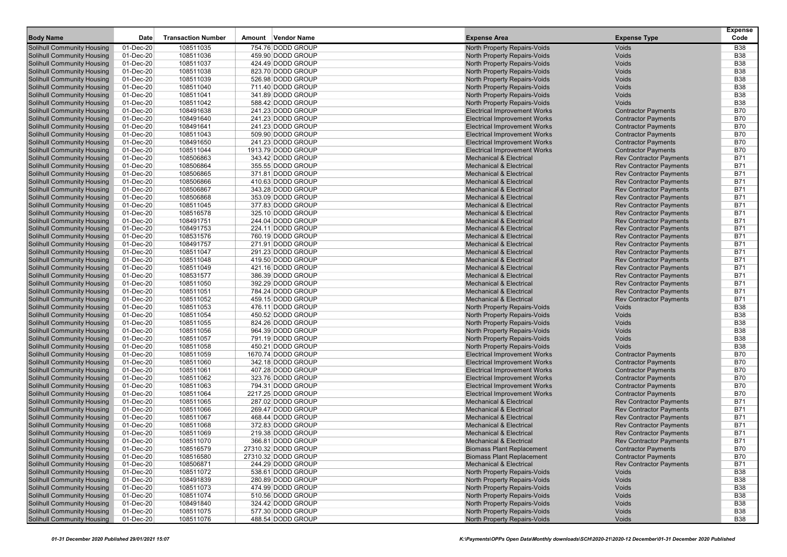| <b>Body Name</b>                  | Date      | <b>Transaction Number</b> | Amount | <b>Vendor Name</b>  | <b>Expense Area</b>                 | <b>Expense Type</b>            | <b>Expense</b><br>Code |
|-----------------------------------|-----------|---------------------------|--------|---------------------|-------------------------------------|--------------------------------|------------------------|
| Solihull Community Housing        | 01-Dec-20 | 108511035                 |        | 754.76 DODD GROUP   | North Property Repairs-Voids        | Voids                          | <b>B38</b>             |
| Solihull Community Housing        | 01-Dec-20 | 108511036                 |        | 459.90 DODD GROUP   | North Property Repairs-Voids        | Voids                          | <b>B38</b>             |
| <b>Solihull Community Housing</b> | 01-Dec-20 | 108511037                 |        | 424.49 DODD GROUP   | North Property Repairs-Voids        | Voids                          | <b>B38</b>             |
| <b>Solihull Community Housing</b> | 01-Dec-20 | 108511038                 |        | 823.70 DODD GROUP   | North Property Repairs-Voids        | Voids                          | <b>B38</b>             |
| <b>Solihull Community Housing</b> | 01-Dec-20 | 108511039                 |        | 526.98 DODD GROUP   | North Property Repairs-Voids        | Voids                          | <b>B38</b>             |
| <b>Solihull Community Housing</b> | 01-Dec-20 | 108511040                 |        | 711.40 DODD GROUP   | <b>North Property Repairs-Voids</b> | Voids                          | <b>B38</b>             |
| <b>Solihull Community Housing</b> | 01-Dec-20 | 108511041                 |        | 341.89 DODD GROUP   | North Property Repairs-Voids        | Voids                          | <b>B38</b>             |
| <b>Solihull Community Housing</b> | 01-Dec-20 | 108511042                 |        | 588.42 DODD GROUP   | North Property Repairs-Voids        | Voids                          | <b>B38</b>             |
| <b>Solihull Community Housing</b> | 01-Dec-20 | 108491638                 |        | 241.23 DODD GROUP   | <b>Electrical Improvement Works</b> | <b>Contractor Payments</b>     | <b>B70</b>             |
| <b>Solihull Community Housing</b> | 01-Dec-20 | 108491640                 |        | 241.23 DODD GROUP   | <b>Electrical Improvement Works</b> | <b>Contractor Payments</b>     | <b>B70</b>             |
| <b>Solihull Community Housing</b> | 01-Dec-20 | 108491641                 |        | 241.23 DODD GROUP   | <b>Electrical Improvement Works</b> | <b>Contractor Payments</b>     | <b>B70</b>             |
| <b>Solihull Community Housing</b> | 01-Dec-20 | 108511043                 |        | 509.90 DODD GROUP   | <b>Electrical Improvement Works</b> | <b>Contractor Payments</b>     | <b>B70</b>             |
| <b>Solihull Community Housing</b> | 01-Dec-20 | 108491650                 |        | 241.23 DODD GROUP   | <b>Electrical Improvement Works</b> | <b>Contractor Payments</b>     | <b>B70</b>             |
| <b>Solihull Community Housing</b> | 01-Dec-20 | 108511044                 |        | 1913.79 DODD GROUP  | <b>Electrical Improvement Works</b> | <b>Contractor Payments</b>     | <b>B70</b>             |
| <b>Solihull Community Housing</b> | 01-Dec-20 | 108506863                 |        | 343.42 DODD GROUP   | <b>Mechanical &amp; Electrical</b>  | <b>Rev Contractor Payments</b> | <b>B71</b>             |
| <b>Solihull Community Housing</b> | 01-Dec-20 | 108506864                 |        | 355.55 DODD GROUP   | <b>Mechanical &amp; Electrical</b>  | <b>Rev Contractor Payments</b> | <b>B71</b>             |
| Solihull Community Housing        | 01-Dec-20 | 108506865                 |        | 371.81 DODD GROUP   | <b>Mechanical &amp; Electrical</b>  | <b>Rev Contractor Payments</b> | <b>B71</b>             |
| <b>Solihull Community Housing</b> | 01-Dec-20 | 108506866                 |        | 410.63 DODD GROUP   | <b>Mechanical &amp; Electrical</b>  | <b>Rev Contractor Payments</b> | <b>B71</b>             |
| <b>Solihull Community Housing</b> | 01-Dec-20 | 108506867                 |        | 343.28 DODD GROUP   | <b>Mechanical &amp; Electrical</b>  | <b>Rev Contractor Payments</b> | <b>B71</b>             |
| <b>Solihull Community Housing</b> | 01-Dec-20 | 108506868                 |        | 353.09 DODD GROUP   | <b>Mechanical &amp; Electrical</b>  | <b>Rev Contractor Payments</b> | <b>B71</b>             |
| <b>Solihull Community Housing</b> | 01-Dec-20 | 108511045                 |        | 377.83 DODD GROUP   | <b>Mechanical &amp; Electrical</b>  | <b>Rev Contractor Payments</b> | <b>B71</b>             |
| <b>Solihull Community Housing</b> | 01-Dec-20 | 108516578                 |        | 325.10 DODD GROUP   | <b>Mechanical &amp; Electrical</b>  | <b>Rev Contractor Payments</b> | <b>B71</b>             |
| <b>Solihull Community Housing</b> | 01-Dec-20 | 108491751                 |        | 244.04 DODD GROUP   | <b>Mechanical &amp; Electrical</b>  | <b>Rev Contractor Payments</b> | <b>B71</b>             |
| <b>Solihull Community Housing</b> | 01-Dec-20 | 108491753                 |        | 224.11 DODD GROUP   | <b>Mechanical &amp; Electrical</b>  | <b>Rev Contractor Payments</b> | <b>B71</b>             |
| <b>Solihull Community Housing</b> | 01-Dec-20 | 108531576                 |        | 760.19 DODD GROUP   | <b>Mechanical &amp; Electrical</b>  | <b>Rev Contractor Payments</b> | <b>B71</b>             |
| <b>Solihull Community Housing</b> | 01-Dec-20 | 108491757                 |        | 271.91 DODD GROUP   | <b>Mechanical &amp; Electrical</b>  | <b>Rev Contractor Payments</b> | <b>B71</b>             |
| Solihull Community Housing        | 01-Dec-20 | 108511047                 |        | 291.23 DODD GROUP   | <b>Mechanical &amp; Electrical</b>  | <b>Rev Contractor Payments</b> | <b>B71</b>             |
| <b>Solihull Community Housing</b> | 01-Dec-20 | 108511048                 |        | 419.50 DODD GROUP   | <b>Mechanical &amp; Electrical</b>  | <b>Rev Contractor Payments</b> | <b>B71</b>             |
| <b>Solihull Community Housing</b> | 01-Dec-20 | 108511049                 |        | 421.16 DODD GROUP   | <b>Mechanical &amp; Electrical</b>  | <b>Rev Contractor Payments</b> | <b>B71</b>             |
| <b>Solihull Community Housing</b> | 01-Dec-20 | 108531577                 |        | 386.39 DODD GROUP   | <b>Mechanical &amp; Electrical</b>  | <b>Rev Contractor Payments</b> | <b>B71</b>             |
| <b>Solihull Community Housing</b> | 01-Dec-20 | 108511050                 |        | 392.29 DODD GROUP   | <b>Mechanical &amp; Electrical</b>  | <b>Rev Contractor Payments</b> | <b>B71</b>             |
| <b>Solihull Community Housing</b> | 01-Dec-20 | 108511051                 |        | 784.24 DODD GROUP   | <b>Mechanical &amp; Electrical</b>  | <b>Rev Contractor Payments</b> | <b>B71</b>             |
| <b>Solihull Community Housing</b> | 01-Dec-20 | 108511052                 |        | 459.15 DODD GROUP   | <b>Mechanical &amp; Electrical</b>  | <b>Rev Contractor Payments</b> | <b>B71</b>             |
| <b>Solihull Community Housing</b> | 01-Dec-20 | 108511053                 |        | 476.11 DODD GROUP   | North Property Repairs-Voids        | Voids                          | <b>B38</b>             |
| <b>Solihull Community Housing</b> | 01-Dec-20 | 108511054                 |        | 450.52 DODD GROUP   | North Property Repairs-Voids        | Voids                          | <b>B38</b>             |
| <b>Solihull Community Housing</b> | 01-Dec-20 | 108511055                 |        | 824.26 DODD GROUP   | North Property Repairs-Voids        | Voids                          | <b>B38</b>             |
| <b>Solihull Community Housing</b> | 01-Dec-20 | 108511056                 |        | 964.39 DODD GROUP   | North Property Repairs-Voids        | Voids                          | <b>B38</b>             |
| <b>Solihull Community Housing</b> | 01-Dec-20 | 108511057                 |        | 791.19 DODD GROUP   | North Property Repairs-Voids        | Voids                          | <b>B38</b>             |
| <b>Solihull Community Housing</b> | 01-Dec-20 | 108511058                 |        | 450.21 DODD GROUP   | North Property Repairs-Voids        | Voids                          | <b>B38</b>             |
| <b>Solihull Community Housing</b> | 01-Dec-20 | 108511059                 |        | 1670.74 DODD GROUP  | <b>Electrical Improvement Works</b> | <b>Contractor Payments</b>     | <b>B70</b>             |
| <b>Solihull Community Housing</b> | 01-Dec-20 | 108511060                 |        | 342.18 DODD GROUP   | <b>Electrical Improvement Works</b> | <b>Contractor Payments</b>     | <b>B70</b>             |
| <b>Solihull Community Housing</b> | 01-Dec-20 | 108511061                 |        | 407.28 DODD GROUP   | <b>Electrical Improvement Works</b> | <b>Contractor Payments</b>     | <b>B70</b>             |
| <b>Solihull Community Housing</b> | 01-Dec-20 | 108511062                 |        | 323.76 DODD GROUP   | <b>Electrical Improvement Works</b> | <b>Contractor Payments</b>     | <b>B70</b>             |
| <b>Solihull Community Housing</b> | 01-Dec-20 | 108511063                 |        | 794.31 DODD GROUP   | <b>Electrical Improvement Works</b> | <b>Contractor Payments</b>     | <b>B70</b>             |
| <b>Solihull Community Housing</b> | 01-Dec-20 | 108511064                 |        | 2217.25 DODD GROUP  | <b>Electrical Improvement Works</b> | <b>Contractor Payments</b>     | <b>B70</b>             |
| <b>Solihull Community Housing</b> | 01-Dec-20 | 108511065                 |        | 287.02 DODD GROUP   | <b>Mechanical &amp; Electrical</b>  | <b>Rev Contractor Payments</b> | <b>B71</b>             |
| Solihull Community Housing        | 01-Dec-20 | 108511066                 |        | 269.47 DODD GROUP   | <b>Mechanical &amp; Electrical</b>  | <b>Rev Contractor Payments</b> | B71                    |
| Solihull Community Housing        | 01-Dec-20 | 108511067                 |        | 468.44 DODD GROUP   | <b>Mechanical &amp; Electrical</b>  | <b>Rev Contractor Payments</b> | B71                    |
| <b>Solihull Community Housing</b> | 01-Dec-20 | 108511068                 |        | 372.83 DODD GROUP   | <b>Mechanical &amp; Electrical</b>  | <b>Rev Contractor Payments</b> | B71                    |
| <b>Solihull Community Housing</b> | 01-Dec-20 | 108511069                 |        | 219.38 DODD GROUP   | <b>Mechanical &amp; Electrical</b>  | <b>Rev Contractor Payments</b> | <b>B71</b>             |
| <b>Solihull Community Housing</b> | 01-Dec-20 | 108511070                 |        | 366.81 DODD GROUP   | <b>Mechanical &amp; Electrical</b>  | <b>Rev Contractor Payments</b> | <b>B71</b>             |
| <b>Solihull Community Housing</b> | 01-Dec-20 | 108516579                 |        | 27310.32 DODD GROUP | <b>Biomass Plant Replacement</b>    | <b>Contractor Payments</b>     | B70                    |
| <b>Solihull Community Housing</b> | 01-Dec-20 | 108516580                 |        | 27310.32 DODD GROUP | <b>Biomass Plant Replacement</b>    | <b>Contractor Payments</b>     | <b>B70</b>             |
| <b>Solihull Community Housing</b> | 01-Dec-20 | 108506871                 |        | 244.29 DODD GROUP   | <b>Mechanical &amp; Electrical</b>  | <b>Rev Contractor Payments</b> | B71                    |
| <b>Solihull Community Housing</b> | 01-Dec-20 | 108511072                 |        | 538.61 DODD GROUP   | North Property Repairs-Voids        | Voids                          | <b>B38</b>             |
| <b>Solihull Community Housing</b> | 01-Dec-20 | 108491839                 |        | 280.89 DODD GROUP   | North Property Repairs-Voids        | Voids                          | <b>B38</b>             |
| <b>Solihull Community Housing</b> | 01-Dec-20 | 108511073                 |        | 474.99 DODD GROUP   | North Property Repairs-Voids        | Voids                          | <b>B38</b>             |
| <b>Solihull Community Housing</b> | 01-Dec-20 | 108511074                 |        | 510.56 DODD GROUP   | North Property Repairs-Voids        | Voids                          | <b>B38</b>             |
| <b>Solihull Community Housing</b> | 01-Dec-20 | 108491840                 |        | 324.42 DODD GROUP   | North Property Repairs-Voids        | Voids                          | <b>B38</b>             |
| <b>Solihull Community Housing</b> | 01-Dec-20 | 108511075                 |        | 577.30 DODD GROUP   | North Property Repairs-Voids        | Voids                          | <b>B38</b>             |
| <b>Solihull Community Housing</b> | 01-Dec-20 | 108511076                 |        | 488.54 DODD GROUP   | North Property Repairs-Voids        | Voids                          | <b>B38</b>             |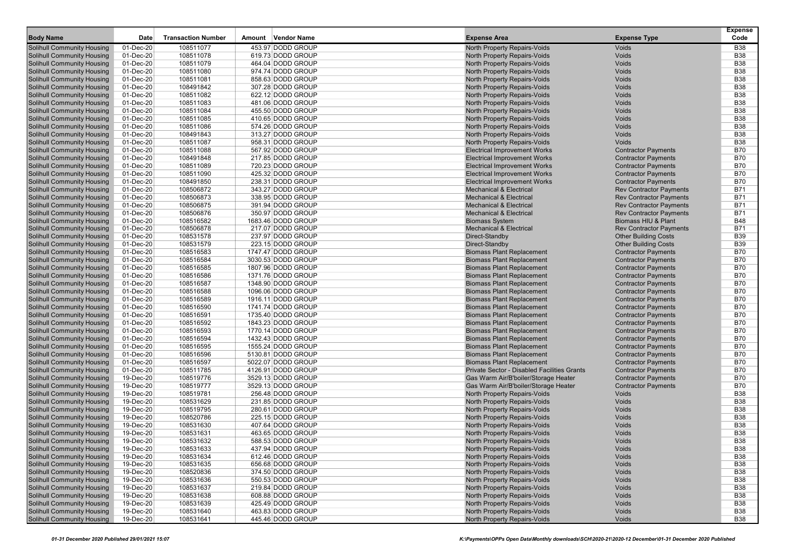| <b>Body Name</b>                                                       | Date                   | <b>Transaction Number</b> | <b>Vendor Name</b><br>Amount             | <b>Expense Area</b>                                                  | <b>Expense Type</b>                                      | <b>Expense</b><br>Code   |
|------------------------------------------------------------------------|------------------------|---------------------------|------------------------------------------|----------------------------------------------------------------------|----------------------------------------------------------|--------------------------|
|                                                                        |                        | 108511077                 | 453.97 DODD GROUP                        |                                                                      |                                                          | <b>B38</b>               |
| Solihull Community Housing<br>Solihull Community Housing               | 01-Dec-20<br>01-Dec-20 | 108511078                 | 619.73 DODD GROUP                        | North Property Repairs-Voids<br>North Property Repairs-Voids         | Voids<br>Voids                                           | <b>B38</b>               |
| <b>Solihull Community Housing</b>                                      | 01-Dec-20              | 108511079                 | 464.04 DODD GROUP                        | North Property Repairs-Voids                                         | Voids                                                    | <b>B38</b>               |
| <b>Solihull Community Housing</b>                                      | 01-Dec-20              | 108511080                 | 974.74 DODD GROUP                        | North Property Repairs-Voids                                         | Voids                                                    | <b>B38</b>               |
| <b>Solihull Community Housing</b>                                      | 01-Dec-20              | 108511081                 | 858.63 DODD GROUP                        | North Property Repairs-Voids                                         | Voids                                                    | <b>B38</b>               |
| <b>Solihull Community Housing</b>                                      | 01-Dec-20              | 108491842                 | 307.28 DODD GROUP                        | North Property Repairs-Voids                                         | Voids                                                    | <b>B38</b>               |
| <b>Solihull Community Housing</b>                                      | 01-Dec-20              | 108511082                 | 622.12 DODD GROUP                        | North Property Repairs-Voids                                         | Voids                                                    | <b>B38</b>               |
| <b>Solihull Community Housing</b>                                      | 01-Dec-20              | 108511083                 | 481.06 DODD GROUP                        | North Property Repairs-Voids                                         | Voids                                                    | <b>B38</b>               |
| <b>Solihull Community Housing</b>                                      | 01-Dec-20              | 108511084                 | 455.50 DODD GROUP                        | North Property Repairs-Voids                                         | Voids                                                    | <b>B38</b>               |
| <b>Solihull Community Housing</b>                                      | 01-Dec-20              | 108511085                 | 410.65 DODD GROUP                        | North Property Repairs-Voids                                         | Voids                                                    | <b>B38</b>               |
| <b>Solihull Community Housing</b>                                      | 01-Dec-20              | 108511086                 | 574.26 DODD GROUP                        | North Property Repairs-Voids                                         | Voids                                                    | <b>B38</b>               |
| <b>Solihull Community Housing</b>                                      | 01-Dec-20              | 108491843                 | 313.27 DODD GROUP                        | North Property Repairs-Voids                                         | Voids                                                    | <b>B38</b>               |
| <b>Solihull Community Housing</b>                                      | 01-Dec-20              | 108511087                 | 958.31 DODD GROUP                        | North Property Repairs-Voids                                         | Voids                                                    | <b>B38</b>               |
| <b>Solihull Community Housing</b>                                      | 01-Dec-20              | 108511088                 | 567.92 DODD GROUP                        | <b>Electrical Improvement Works</b>                                  | <b>Contractor Payments</b>                               | <b>B70</b>               |
| <b>Solihull Community Housing</b>                                      | 01-Dec-20              | 108491848                 | 217.85 DODD GROUP                        | <b>Electrical Improvement Works</b>                                  | <b>Contractor Payments</b>                               | <b>B70</b>               |
| <b>Solihull Community Housing</b>                                      | 01-Dec-20              | 108511089                 | 720.23 DODD GROUP                        | <b>Electrical Improvement Works</b>                                  | <b>Contractor Payments</b>                               | <b>B70</b>               |
| <b>Solihull Community Housing</b>                                      | 01-Dec-20              | 108511090                 | 425.32 DODD GROUP                        | <b>Electrical Improvement Works</b>                                  | <b>Contractor Payments</b>                               | <b>B70</b>               |
| <b>Solihull Community Housing</b>                                      | 01-Dec-20              | 108491850                 | 238.31 DODD GROUP                        | Electrical Improvement Works                                         | <b>Contractor Payments</b>                               | <b>B70</b>               |
| <b>Solihull Community Housing</b>                                      | 01-Dec-20              | 108506872                 | 343.27 DODD GROUP                        | <b>Mechanical &amp; Electrical</b>                                   | <b>Rev Contractor Payments</b>                           | <b>B71</b>               |
| <b>Solihull Community Housing</b>                                      | 01-Dec-20              | 108506873                 | 338.95 DODD GROUP                        | <b>Mechanical &amp; Electrical</b>                                   | <b>Rev Contractor Payments</b>                           | <b>B71</b>               |
| <b>Solihull Community Housing</b>                                      | 01-Dec-20              | 108506875                 | 391.94 DODD GROUP                        | <b>Mechanical &amp; Electrical</b>                                   | <b>Rev Contractor Payments</b>                           | <b>B71</b>               |
| <b>Solihull Community Housing</b>                                      | 01-Dec-20              | 108506876                 | 350.97 DODD GROUP                        | <b>Mechanical &amp; Electrical</b>                                   | <b>Rev Contractor Payments</b>                           | <b>B71</b>               |
| <b>Solihull Community Housing</b>                                      | 01-Dec-20              | 108516582                 | 1683.46 DODD GROUP                       | <b>Biomass System</b>                                                | Biomass HIU & Plant                                      | <b>B48</b>               |
| <b>Solihull Community Housing</b>                                      | 01-Dec-20              | 108506878                 | 217.07 DODD GROUP                        | <b>Mechanical &amp; Electrical</b>                                   | <b>Rev Contractor Payments</b>                           | <b>B71</b>               |
| <b>Solihull Community Housing</b>                                      | 01-Dec-20              | 108531578                 | 237.97 DODD GROUP                        | Direct-Standby                                                       | <b>Other Building Costs</b>                              | <b>B39</b>               |
| <b>Solihull Community Housing</b>                                      | 01-Dec-20              | 108531579                 | 223.15 DODD GROUP                        | Direct-Standby                                                       | <b>Other Building Costs</b>                              | <b>B39</b>               |
| <b>Solihull Community Housing</b>                                      | 01-Dec-20              | 108516583                 | 1747.47 DODD GROUP                       | <b>Biomass Plant Replacement</b>                                     | <b>Contractor Payments</b>                               | <b>B70</b>               |
| <b>Solihull Community Housing</b>                                      | 01-Dec-20              | 108516584                 | 3030.53 DODD GROUP                       | <b>Biomass Plant Replacement</b>                                     | <b>Contractor Payments</b>                               | <b>B70</b>               |
| <b>Solihull Community Housing</b>                                      | 01-Dec-20              | 108516585                 | 1807.96 DODD GROUP                       | <b>Biomass Plant Replacement</b>                                     | <b>Contractor Payments</b>                               | <b>B70</b>               |
| <b>Solihull Community Housing</b>                                      | 01-Dec-20              | 108516586                 | 1371.76 DODD GROUP                       | <b>Biomass Plant Replacement</b>                                     | <b>Contractor Payments</b>                               | <b>B70</b>               |
| <b>Solihull Community Housing</b>                                      | 01-Dec-20              | 108516587                 | 1348.90 DODD GROUP                       | <b>Biomass Plant Replacement</b>                                     | <b>Contractor Payments</b>                               | <b>B70</b>               |
| <b>Solihull Community Housing</b>                                      | 01-Dec-20              | 108516588                 | 1096.06 DODD GROUP                       | <b>Biomass Plant Replacement</b>                                     | <b>Contractor Payments</b>                               | <b>B70</b>               |
| <b>Solihull Community Housing</b>                                      | 01-Dec-20              | 108516589                 | 1916.11 DODD GROUP                       | <b>Biomass Plant Replacement</b>                                     | <b>Contractor Payments</b>                               | <b>B70</b>               |
| <b>Solihull Community Housing</b>                                      | 01-Dec-20              | 108516590                 | 1741.74 DODD GROUP                       | <b>Biomass Plant Replacement</b>                                     | <b>Contractor Payments</b>                               | <b>B70</b>               |
| <b>Solihull Community Housing</b>                                      | 01-Dec-20              | 108516591                 | 1735.40 DODD GROUP                       | <b>Biomass Plant Replacement</b>                                     | <b>Contractor Payments</b>                               | <b>B70</b>               |
| <b>Solihull Community Housing</b>                                      | 01-Dec-20              | 108516592<br>108516593    | 1843.23 DODD GROUP<br>1770.14 DODD GROUP | <b>Biomass Plant Replacement</b>                                     | <b>Contractor Payments</b>                               | <b>B70</b><br><b>B70</b> |
| <b>Solihull Community Housing</b><br><b>Solihull Community Housing</b> | 01-Dec-20<br>01-Dec-20 | 108516594                 | 1432.43 DODD GROUP                       | <b>Biomass Plant Replacement</b><br><b>Biomass Plant Replacement</b> | <b>Contractor Payments</b>                               | <b>B70</b>               |
| <b>Solihull Community Housing</b>                                      | 01-Dec-20              | 108516595                 | 1555.24 DODD GROUP                       | <b>Biomass Plant Replacement</b>                                     | <b>Contractor Payments</b><br><b>Contractor Payments</b> | <b>B70</b>               |
| <b>Solihull Community Housing</b>                                      | 01-Dec-20              | 108516596                 | 5130.81 DODD GROUP                       | <b>Biomass Plant Replacement</b>                                     | <b>Contractor Payments</b>                               | <b>B70</b>               |
| <b>Solihull Community Housing</b>                                      | 01-Dec-20              | 108516597                 | 5022.07 DODD GROUP                       | <b>Biomass Plant Replacement</b>                                     | <b>Contractor Payments</b>                               | <b>B70</b>               |
| <b>Solihull Community Housing</b>                                      | 01-Dec-20              | 108511785                 | 4126.91 DODD GROUP                       | Private Sector - Disabled Facilities Grants                          | <b>Contractor Payments</b>                               | <b>B70</b>               |
| <b>Solihull Community Housing</b>                                      | 19-Dec-20              | 108519776                 | 3529.13 DODD GROUP                       | Gas Warm Air/B'boiler/Storage Heater                                 | <b>Contractor Payments</b>                               | <b>B70</b>               |
| <b>Solihull Community Housing</b>                                      | 19-Dec-20              | 108519777                 | 3529.13 DODD GROUP                       | Gas Warm Air/B'boiler/Storage Heater                                 | <b>Contractor Payments</b>                               | <b>B70</b>               |
| <b>Solihull Community Housing</b>                                      | 19-Dec-20              | 108519781                 | 256.48 DODD GROUP                        | North Property Repairs-Voids                                         | Voids                                                    | <b>B38</b>               |
| <b>Solihull Community Housing</b>                                      | 19-Dec-20              | 108531629                 | 231.85 DODD GROUP                        | North Property Repairs-Voids                                         | Voids                                                    | <b>B38</b>               |
| <b>Solihull Community Housing</b>                                      | 19-Dec-20              | 108519795                 | 280.61 DODD GROUP                        | North Property Repairs-Voids                                         | Voids                                                    | <b>B38</b>               |
| Solihull Community Housing                                             | 19-Dec-20              | 108520786                 | 225.15 DODD GROUP                        | North Property Repairs-Voids                                         | Voids                                                    | <b>B38</b>               |
| <b>Solihull Community Housing</b>                                      | 19-Dec-20              | 108531630                 | 407.64 DODD GROUP                        | North Property Repairs-Voids                                         | Voids                                                    | <b>B38</b>               |
| <b>Solihull Community Housing</b>                                      | 19-Dec-20              | 108531631                 | 463.65 DODD GROUP                        | North Property Repairs-Voids                                         | Voids                                                    | <b>B38</b>               |
| <b>Solihull Community Housing</b>                                      | 19-Dec-20              | 108531632                 | 588.53 DODD GROUP                        | North Property Repairs-Voids                                         | <b>Voids</b>                                             | <b>B38</b>               |
| <b>Solihull Community Housing</b>                                      | 19-Dec-20              | 108531633                 | 437.94 DODD GROUP                        | North Property Repairs-Voids                                         | Voids                                                    | <b>B38</b>               |
| <b>Solihull Community Housing</b>                                      | 19-Dec-20              | 108531634                 | 612.46 DODD GROUP                        | North Property Repairs-Voids                                         | Voids                                                    | <b>B38</b>               |
| <b>Solihull Community Housing</b>                                      | 19-Dec-20              | 108531635                 | 656.68 DODD GROUP                        | North Property Repairs-Voids                                         | Voids                                                    | <b>B38</b>               |
| <b>Solihull Community Housing</b>                                      | 19-Dec-20              | 108520836                 | 374.50 DODD GROUP                        | North Property Repairs-Voids                                         | Voids                                                    | <b>B38</b>               |
| <b>Solihull Community Housing</b>                                      | 19-Dec-20              | 108531636                 | 550.53 DODD GROUP                        | North Property Repairs-Voids                                         | Voids                                                    | <b>B38</b>               |
| <b>Solihull Community Housing</b>                                      | 19-Dec-20              | 108531637                 | 219.84 DODD GROUP                        | North Property Repairs-Voids                                         | Voids                                                    | <b>B38</b>               |
| <b>Solihull Community Housing</b>                                      | 19-Dec-20              | 108531638                 | 608.88 DODD GROUP                        | North Property Repairs-Voids                                         | Voids                                                    | <b>B38</b>               |
| <b>Solihull Community Housing</b>                                      | 19-Dec-20              | 108531639                 | 425.49 DODD GROUP                        | North Property Repairs-Voids                                         | Voids                                                    | <b>B38</b>               |
| <b>Solihull Community Housing</b>                                      | 19-Dec-20              | 108531640                 | 463.83 DODD GROUP                        | North Property Repairs-Voids                                         | Voids                                                    | <b>B38</b>               |
| <b>Solihull Community Housing</b>                                      | 19-Dec-20              | 108531641                 | 445.46 DODD GROUP                        | North Property Repairs-Voids                                         | Voids                                                    | <b>B38</b>               |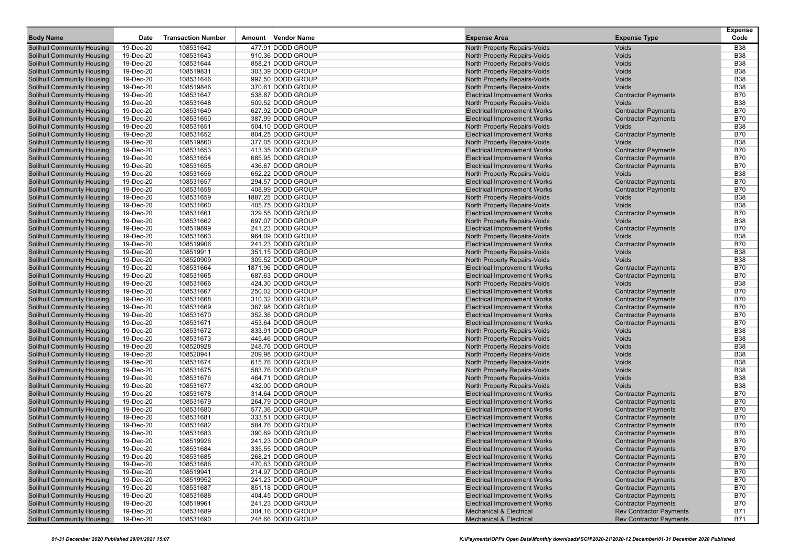| <b>Body Name</b>                                                       | Date                   | <b>Transaction Number</b> | Amount | Vendor Name                            | <b>Expense Area</b>                                                      | <b>Expense Type</b>                                              | <b>Expense</b><br>Code   |
|------------------------------------------------------------------------|------------------------|---------------------------|--------|----------------------------------------|--------------------------------------------------------------------------|------------------------------------------------------------------|--------------------------|
| Solihull Community Housing                                             | 19-Dec-20              | 108531642                 |        | 477.91 DODD GROUP                      | North Property Repairs-Voids                                             | Voids                                                            | <b>B38</b>               |
| Solihull Community Housing                                             | 19-Dec-20              | 108531643                 |        | 910.36 DODD GROUP                      | North Property Repairs-Voids                                             | Voids                                                            | <b>B38</b>               |
| <b>Solihull Community Housing</b>                                      | 19-Dec-20              | 108531644                 |        | 858.21 DODD GROUP                      | North Property Repairs-Voids                                             | Voids                                                            | <b>B38</b>               |
| Solihull Community Housing                                             | 19-Dec-20              | 108519831                 |        | 303.39 DODD GROUP                      | North Property Repairs-Voids                                             | Voids                                                            | <b>B38</b>               |
| <b>Solihull Community Housing</b>                                      | 19-Dec-20              | 108531646                 |        | 997.50 DODD GROUP                      | North Property Repairs-Voids                                             | Voids                                                            | <b>B38</b>               |
| <b>Solihull Community Housing</b>                                      | 19-Dec-20              | 108519846                 |        | 370.61 DODD GROUP                      | North Property Repairs-Voids                                             | Voids                                                            | <b>B38</b>               |
| Solihull Community Housing                                             | 19-Dec-20              | 108531647                 |        | 538.87 DODD GROUP                      | <b>Electrical Improvement Works</b>                                      | <b>Contractor Payments</b>                                       | <b>B70</b>               |
| Solihull Community Housing                                             | 19-Dec-20              | 108531648                 |        | 509.52 DODD GROUP                      | North Property Repairs-Voids                                             | Voids                                                            | <b>B38</b>               |
| Solihull Community Housing                                             | 19-Dec-20              | 108531649                 |        | 627.92 DODD GROUP                      | <b>Electrical Improvement Works</b>                                      | <b>Contractor Payments</b>                                       | <b>B70</b>               |
| Solihull Community Housing                                             | 19-Dec-20              | 108531650                 |        | 387.99 DODD GROUP                      | <b>Electrical Improvement Works</b>                                      | <b>Contractor Payments</b>                                       | <b>B70</b>               |
| <b>Solihull Community Housing</b>                                      | 19-Dec-20              | 108531651                 |        | 504.10 DODD GROUP                      | North Property Repairs-Voids                                             | Voids                                                            | <b>B38</b>               |
| <b>Solihull Community Housing</b>                                      | 19-Dec-20              | 108531652                 |        | 804.25 DODD GROUP                      | <b>Electrical Improvement Works</b>                                      | <b>Contractor Payments</b>                                       | <b>B70</b>               |
| <b>Solihull Community Housing</b>                                      | 19-Dec-20              | 108519860                 |        | 377.05 DODD GROUP                      | North Property Repairs-Voids                                             | Voids                                                            | <b>B38</b>               |
| Solihull Community Housing                                             | 19-Dec-20              | 108531653                 |        | 413.35 DODD GROUP                      | <b>Electrical Improvement Works</b>                                      | <b>Contractor Payments</b>                                       | <b>B70</b>               |
| <b>Solihull Community Housing</b>                                      | 19-Dec-20              | 108531654                 |        | 685.95 DODD GROUP                      | <b>Electrical Improvement Works</b>                                      | <b>Contractor Payments</b>                                       | <b>B70</b>               |
| Solihull Community Housing                                             | 19-Dec-20              | 108531655                 |        | 436.67 DODD GROUP                      | <b>Electrical Improvement Works</b>                                      | <b>Contractor Payments</b>                                       | <b>B70</b>               |
| Solihull Community Housing                                             | 19-Dec-20              | 108531656                 |        | 652.22 DODD GROUP                      | North Property Repairs-Voids                                             | Voids                                                            | <b>B38</b>               |
| <b>Solihull Community Housing</b>                                      | 19-Dec-20              | 108531657                 |        | 294.57 DODD GROUP                      | <b>Electrical Improvement Works</b>                                      | <b>Contractor Payments</b>                                       | <b>B70</b>               |
| <b>Solihull Community Housing</b>                                      | 19-Dec-20              | 108531658                 |        | 408.99 DODD GROUP                      | <b>Electrical Improvement Works</b>                                      | <b>Contractor Payments</b>                                       | <b>B70</b>               |
| <b>Solihull Community Housing</b>                                      | 19-Dec-20              | 108531659                 |        | 1887.25 DODD GROUP                     | North Property Repairs-Voids                                             | Voids                                                            | <b>B38</b>               |
| Solihull Community Housing                                             | 19-Dec-20              | 108531660                 |        | 405.75 DODD GROUP                      | North Property Repairs-Voids                                             | Voids                                                            | <b>B38</b>               |
| Solihull Community Housing                                             | 19-Dec-20              | 108531661                 |        | 329.55 DODD GROUP                      | <b>Electrical Improvement Works</b>                                      | <b>Contractor Payments</b>                                       | <b>B70</b>               |
| Solihull Community Housing                                             | 19-Dec-20              | 108531662                 |        | 697.07 DODD GROUP                      | North Property Repairs-Voids                                             | Voids                                                            | <b>B38</b>               |
| Solihull Community Housing<br><b>Solihull Community Housing</b>        | 19-Dec-20              | 108519899                 |        | 241.23 DODD GROUP                      | <b>Electrical Improvement Works</b>                                      | <b>Contractor Payments</b>                                       | <b>B70</b><br><b>B38</b> |
|                                                                        | 19-Dec-20              | 108531663<br>108519906    |        | 964.09 DODD GROUP<br>241.23 DODD GROUP | North Property Repairs-Voids                                             | Voids<br><b>Contractor Payments</b>                              | <b>B70</b>               |
| Solihull Community Housing<br>Solihull Community Housing               | 19-Dec-20<br>19-Dec-20 | 108519911                 |        | 351.15 DODD GROUP                      | <b>Electrical Improvement Works</b><br>North Property Repairs-Voids      | Voids                                                            | <b>B38</b>               |
| <b>Solihull Community Housing</b>                                      | 19-Dec-20              | 108520909                 |        | 309.52 DODD GROUP                      | North Property Repairs-Voids                                             | Voids                                                            | <b>B38</b>               |
| Solihull Community Housing                                             | 19-Dec-20              | 108531664                 |        | 1871.96 DODD GROUP                     | <b>Electrical Improvement Works</b>                                      | <b>Contractor Payments</b>                                       | <b>B70</b>               |
| <b>Solihull Community Housing</b>                                      | 19-Dec-20              | 108531665                 |        | 687.63 DODD GROUP                      | <b>Electrical Improvement Works</b>                                      | <b>Contractor Payments</b>                                       | <b>B70</b>               |
| Solihull Community Housing                                             | 19-Dec-20              | 108531666                 |        | 424.30 DODD GROUP                      | North Property Repairs-Voids                                             | Voids                                                            | <b>B38</b>               |
| Solihull Community Housing                                             | 19-Dec-20              | 108531667                 |        | 250.02 DODD GROUP                      | <b>Electrical Improvement Works</b>                                      | <b>Contractor Payments</b>                                       | <b>B70</b>               |
| Solihull Community Housing                                             | 19-Dec-20              | 108531668                 |        | 310.32 DODD GROUP                      | <b>Electrical Improvement Works</b>                                      | <b>Contractor Payments</b>                                       | <b>B70</b>               |
| Solihull Community Housing                                             | 19-Dec-20              | 108531669                 |        | 367.98 DODD GROUP                      | <b>Electrical Improvement Works</b>                                      | <b>Contractor Payments</b>                                       | <b>B70</b>               |
| <b>Solihull Community Housing</b>                                      | 19-Dec-20              | 108531670                 |        | 352.36 DODD GROUP                      | <b>Electrical Improvement Works</b>                                      | <b>Contractor Payments</b>                                       | <b>B70</b>               |
| Solihull Community Housing                                             | 19-Dec-20              | 108531671                 |        | 453.64 DODD GROUP                      | <b>Electrical Improvement Works</b>                                      | <b>Contractor Payments</b>                                       | <b>B70</b>               |
| Solihull Community Housing                                             | 19-Dec-20              | 108531672                 |        | 833.91 DODD GROUP                      | North Property Repairs-Voids                                             | Voids                                                            | <b>B38</b>               |
| <b>Solihull Community Housing</b>                                      | 19-Dec-20              | 108531673                 |        | 445.46 DODD GROUP                      | North Property Repairs-Voids                                             | Voids                                                            | <b>B38</b>               |
| Solihull Community Housing                                             | 19-Dec-20              | 108520928                 |        | 248.76 DODD GROUP                      | North Property Repairs-Voids                                             | Voids                                                            | <b>B38</b>               |
| <b>Solihull Community Housing</b>                                      | 19-Dec-20              | 108520941                 |        | 209.98 DODD GROUP                      | North Property Repairs-Voids                                             | Voids                                                            | <b>B38</b>               |
| Solihull Community Housing                                             | 19-Dec-20              | 108531674                 |        | 615.76 DODD GROUP                      | North Property Repairs-Voids                                             | Voids                                                            | <b>B38</b>               |
| Solihull Community Housing                                             | 19-Dec-20              | 108531675                 |        | 583.76 DODD GROUP                      | North Property Repairs-Voids                                             | Voids                                                            | <b>B38</b>               |
| Solihull Community Housing                                             | 19-Dec-20              | 108531676                 |        | 464.71 DODD GROUP                      | North Property Repairs-Voids                                             | Voids                                                            | <b>B38</b>               |
| Solihull Community Housing                                             | 19-Dec-20              | 108531677                 |        | 432.00 DODD GROUP                      | North Property Repairs-Voids                                             | Voids                                                            | <b>B38</b>               |
| <b>Solihull Community Housing</b>                                      | 19-Dec-20              | 108531678                 |        | 314.64 DODD GROUP                      | <b>Electrical Improvement Works</b>                                      | <b>Contractor Payments</b>                                       | <b>B70</b>               |
| <b>Solihull Community Housing</b>                                      | 19-Dec-20              | 108531679                 |        | 264.79 DODD GROUP                      | <b>Electrical Improvement Works</b>                                      | <b>Contractor Payments</b>                                       | <b>B70</b>               |
| Solihull Community Housing                                             | 19-Dec-20              | 108531680                 |        | 577.36 DODD GROUP                      | <b>Electrical Improvement Works</b>                                      | <b>Contractor Payments</b>                                       | <b>B70</b>               |
| Solihull Community Housing                                             | 19-Dec-20              | 108531681                 |        | 333.51 DODD GROUP                      | <b>Electrical Improvement Works</b>                                      | <b>Contractor Payments</b>                                       | <b>B70</b>               |
| Solihull Community Housing                                             | 19-Dec-20              | 108531682                 |        | 584.76 DODD GROUP                      | <b>Electrical Improvement Works</b>                                      | <b>Contractor Payments</b>                                       | <b>B70</b>               |
| Solihull Community Housing                                             | 19-Dec-20              | 108531683                 |        | 390.69 DODD GROUP                      | <b>Electrical Improvement Works</b>                                      | <b>Contractor Payments</b>                                       | <b>B70</b>               |
| <b>Solihull Community Housing</b>                                      | 19-Dec-20              | 108519926                 |        | 241.23 DODD GROUP                      | <b>Electrical Improvement Works</b>                                      | <b>Contractor Payments</b>                                       | <b>B70</b>               |
| <b>Solihull Community Housing</b>                                      | 19-Dec-20              | 108531684                 |        | 335.55 DODD GROUP                      | <b>Electrical Improvement Works</b>                                      | <b>Contractor Payments</b>                                       | <b>B70</b>               |
| <b>Solihull Community Housing</b>                                      | 19-Dec-20              | 108531685                 |        | 268.21 DODD GROUP                      | <b>Electrical Improvement Works</b>                                      | <b>Contractor Payments</b>                                       | <b>B70</b>               |
| <b>Solihull Community Housing</b>                                      | 19-Dec-20              | 108531686                 |        | 470.63 DODD GROUP                      | <b>Electrical Improvement Works</b>                                      | <b>Contractor Payments</b>                                       | B70                      |
| <b>Solihull Community Housing</b>                                      | 19-Dec-20              | 108519941                 |        | 214.97 DODD GROUP                      | <b>Electrical Improvement Works</b>                                      | <b>Contractor Payments</b>                                       | <b>B70</b>               |
| <b>Solihull Community Housing</b>                                      | 19-Dec-20              | 108519952                 |        | 241.23 DODD GROUP                      | <b>Electrical Improvement Works</b>                                      | <b>Contractor Payments</b>                                       | <b>B70</b>               |
| <b>Solihull Community Housing</b>                                      | 19-Dec-20              | 108531687                 |        | 851.18 DODD GROUP                      | <b>Electrical Improvement Works</b>                                      | <b>Contractor Payments</b>                                       | B70                      |
| <b>Solihull Community Housing</b>                                      | 19-Dec-20              | 108531688                 |        | 404.45 DODD GROUP                      | <b>Electrical Improvement Works</b>                                      | <b>Contractor Payments</b>                                       | B70                      |
| <b>Solihull Community Housing</b><br><b>Solihull Community Housing</b> | 19-Dec-20              | 108519961                 |        | 241.23 DODD GROUP<br>304.16 DODD GROUP | <b>Electrical Improvement Works</b>                                      | <b>Contractor Payments</b>                                       | B70<br><b>B71</b>        |
| <b>Solihull Community Housing</b>                                      | 19-Dec-20<br>19-Dec-20 | 108531689<br>108531690    |        | 248.66 DODD GROUP                      | <b>Mechanical &amp; Electrical</b><br><b>Mechanical &amp; Electrical</b> | <b>Rev Contractor Payments</b><br><b>Rev Contractor Payments</b> | B71                      |
|                                                                        |                        |                           |        |                                        |                                                                          |                                                                  |                          |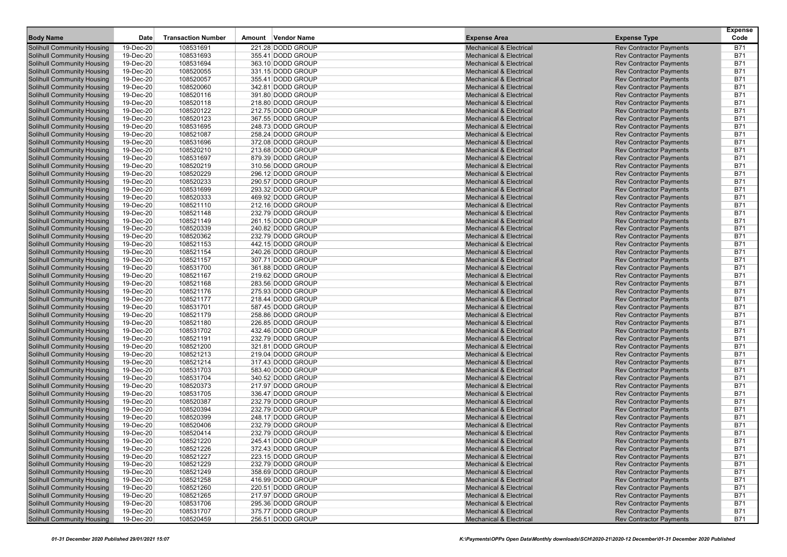|                                                          |                        |                           |                                        |                                                                          |                                                                  | <b>Expense</b>           |
|----------------------------------------------------------|------------------------|---------------------------|----------------------------------------|--------------------------------------------------------------------------|------------------------------------------------------------------|--------------------------|
| <b>Body Name</b>                                         | Date                   | <b>Transaction Number</b> | Amount Vendor Name                     | <b>Expense Area</b>                                                      | <b>Expense Type</b>                                              | Code                     |
| Solihull Community Housing                               | 19-Dec-20              | 108531691                 | 221.28 DODD GROUP                      | <b>Mechanical &amp; Electrical</b>                                       | <b>Rev Contractor Payments</b>                                   | B71                      |
| Solihull Community Housing                               | 19-Dec-20              | 108531693                 | 355.41 DODD GROUP                      | <b>Mechanical &amp; Electrical</b>                                       | <b>Rev Contractor Payments</b>                                   | <b>B71</b>               |
| Solihull Community Housing                               | 19-Dec-20              | 108531694                 | 363.10 DODD GROUP                      | <b>Mechanical &amp; Electrical</b>                                       | <b>Rev Contractor Payments</b>                                   | <b>B71</b>               |
| Solihull Community Housing                               | 19-Dec-20              | 108520055                 | 331.15 DODD GROUP                      | <b>Mechanical &amp; Electrical</b>                                       | <b>Rev Contractor Payments</b>                                   | <b>B71</b>               |
| Solihull Community Housing                               | 19-Dec-20              | 108520057                 | 355.41 DODD GROUP                      | <b>Mechanical &amp; Electrical</b>                                       | <b>Rev Contractor Payments</b>                                   | <b>B71</b>               |
| Solihull Community Housing                               | 19-Dec-20              | 108520060                 | 342.81 DODD GROUP                      | <b>Mechanical &amp; Electrical</b>                                       | <b>Rev Contractor Payments</b>                                   | <b>B71</b>               |
| Solihull Community Housing                               | 19-Dec-20              | 108520116                 | 391.80 DODD GROUP                      | <b>Mechanical &amp; Electrical</b>                                       | <b>Rev Contractor Payments</b>                                   | <b>B71</b>               |
| Solihull Community Housing                               | 19-Dec-20              | 108520118                 | 218.80 DODD GROUP                      | <b>Mechanical &amp; Electrical</b>                                       | <b>Rev Contractor Payments</b>                                   | <b>B71</b><br><b>B71</b> |
| Solihull Community Housing<br>Solihull Community Housing | 19-Dec-20<br>19-Dec-20 | 108520122<br>108520123    | 212.75 DODD GROUP<br>367.55 DODD GROUP | <b>Mechanical &amp; Electrical</b><br><b>Mechanical &amp; Electrical</b> | <b>Rev Contractor Payments</b><br><b>Rev Contractor Payments</b> | <b>B71</b>               |
| Solihull Community Housing                               | 19-Dec-20              | 108531695                 | 248.73 DODD GROUP                      | <b>Mechanical &amp; Electrical</b>                                       | <b>Rev Contractor Payments</b>                                   | <b>B71</b>               |
| Solihull Community Housing                               | 19-Dec-20              | 108521087                 | 258.24 DODD GROUP                      | <b>Mechanical &amp; Electrical</b>                                       | <b>Rev Contractor Payments</b>                                   | <b>B71</b>               |
| Solihull Community Housing                               | 19-Dec-20              | 108531696                 | 372.08 DODD GROUP                      | <b>Mechanical &amp; Electrical</b>                                       | <b>Rev Contractor Payments</b>                                   | <b>B71</b>               |
| Solihull Community Housing                               | 19-Dec-20              | 108520210                 | 213.68 DODD GROUP                      | <b>Mechanical &amp; Electrical</b>                                       | <b>Rev Contractor Payments</b>                                   | <b>B71</b>               |
| Solihull Community Housing                               | 19-Dec-20              | 108531697                 | 879.39 DODD GROUP                      | <b>Mechanical &amp; Electrical</b>                                       | <b>Rev Contractor Payments</b>                                   | <b>B71</b>               |
| Solihull Community Housing                               | 19-Dec-20              | 108520219                 | 310.56 DODD GROUP                      | <b>Mechanical &amp; Electrical</b>                                       | <b>Rev Contractor Payments</b>                                   | <b>B71</b>               |
| Solihull Community Housing                               | 19-Dec-20              | 108520229                 | 296.12 DODD GROUP                      | <b>Mechanical &amp; Electrical</b>                                       | <b>Rev Contractor Payments</b>                                   | <b>B71</b>               |
| Solihull Community Housing                               | 19-Dec-20              | 108520233                 | 290.57 DODD GROUP                      | <b>Mechanical &amp; Electrical</b>                                       | <b>Rev Contractor Payments</b>                                   | <b>B71</b>               |
| Solihull Community Housing                               | 19-Dec-20              | 108531699                 | 293.32 DODD GROUP                      | <b>Mechanical &amp; Electrical</b>                                       | <b>Rev Contractor Payments</b>                                   | <b>B71</b>               |
| Solihull Community Housing                               | 19-Dec-20              | 108520333                 | 469.92 DODD GROUP                      | <b>Mechanical &amp; Electrical</b>                                       | <b>Rev Contractor Payments</b>                                   | <b>B71</b>               |
| Solihull Community Housing                               | 19-Dec-20              | 108521110                 | 212.16 DODD GROUP                      | <b>Mechanical &amp; Electrical</b>                                       | <b>Rev Contractor Payments</b>                                   | <b>B71</b>               |
| Solihull Community Housing                               | 19-Dec-20              | 108521148                 | 232.79 DODD GROUP                      | <b>Mechanical &amp; Electrical</b>                                       | <b>Rev Contractor Payments</b>                                   | <b>B71</b>               |
| Solihull Community Housing                               | 19-Dec-20              | 108521149                 | 261.15 DODD GROUP                      | <b>Mechanical &amp; Electrical</b>                                       | <b>Rev Contractor Payments</b>                                   | <b>B71</b>               |
| Solihull Community Housing                               | 19-Dec-20              | 108520339                 | 240.82 DODD GROUP                      | <b>Mechanical &amp; Electrical</b>                                       | <b>Rev Contractor Payments</b>                                   | <b>B71</b>               |
| Solihull Community Housing                               | 19-Dec-20              | 108520362                 | 232.79 DODD GROUP                      | <b>Mechanical &amp; Electrical</b>                                       | <b>Rev Contractor Payments</b>                                   | <b>B71</b>               |
| Solihull Community Housing                               | 19-Dec-20              | 108521153                 | 442.15 DODD GROUP                      | <b>Mechanical &amp; Electrical</b>                                       | <b>Rev Contractor Payments</b>                                   | <b>B71</b>               |
| Solihull Community Housing                               | 19-Dec-20              | 108521154                 | 240.26 DODD GROUP                      | <b>Mechanical &amp; Electrical</b>                                       | <b>Rev Contractor Payments</b>                                   | <b>B71</b>               |
| Solihull Community Housing                               | 19-Dec-20              | 108521157                 | 307.71 DODD GROUP                      | <b>Mechanical &amp; Electrical</b>                                       | <b>Rev Contractor Payments</b>                                   | <b>B71</b>               |
| Solihull Community Housing                               | 19-Dec-20              | 108531700                 | 361.88 DODD GROUP                      | <b>Mechanical &amp; Electrical</b>                                       | <b>Rev Contractor Payments</b>                                   | <b>B71</b>               |
| Solihull Community Housing                               | 19-Dec-20              | 108521167                 | 219.62 DODD GROUP                      | <b>Mechanical &amp; Electrical</b>                                       | <b>Rev Contractor Payments</b>                                   | <b>B71</b>               |
| Solihull Community Housing                               | 19-Dec-20              | 108521168                 | 283.56 DODD GROUP                      | <b>Mechanical &amp; Electrical</b>                                       | <b>Rev Contractor Payments</b>                                   | <b>B71</b>               |
| Solihull Community Housing                               | 19-Dec-20              | 108521176                 | 275.93 DODD GROUP                      | <b>Mechanical &amp; Electrical</b>                                       | <b>Rev Contractor Payments</b>                                   | <b>B71</b>               |
| Solihull Community Housing                               | 19-Dec-20              | 108521177                 | 218.44 DODD GROUP                      | <b>Mechanical &amp; Electrical</b>                                       | <b>Rev Contractor Payments</b>                                   | <b>B71</b>               |
| Solihull Community Housing                               | 19-Dec-20              | 108531701                 | 587.45 DODD GROUP                      | <b>Mechanical &amp; Electrical</b>                                       | <b>Rev Contractor Payments</b>                                   | <b>B71</b>               |
| Solihull Community Housing                               | 19-Dec-20              | 108521179                 | 258.86 DODD GROUP                      | <b>Mechanical &amp; Electrical</b>                                       | <b>Rev Contractor Payments</b>                                   | <b>B71</b>               |
| Solihull Community Housing                               | 19-Dec-20              | 108521180                 | 226.85 DODD GROUP                      | <b>Mechanical &amp; Electrical</b>                                       | <b>Rev Contractor Payments</b>                                   | <b>B71</b>               |
| Solihull Community Housing                               | 19-Dec-20              | 108531702                 | 432.46 DODD GROUP                      | <b>Mechanical &amp; Electrical</b>                                       | <b>Rev Contractor Payments</b>                                   | <b>B71</b>               |
| Solihull Community Housing                               | 19-Dec-20              | 108521191                 | 232.79 DODD GROUP                      | <b>Mechanical &amp; Electrical</b>                                       | <b>Rev Contractor Payments</b>                                   | <b>B71</b>               |
| Solihull Community Housing                               | 19-Dec-20              | 108521200                 | 321.81 DODD GROUP                      | <b>Mechanical &amp; Electrical</b>                                       | <b>Rev Contractor Payments</b>                                   | <b>B71</b>               |
| Solihull Community Housing                               | 19-Dec-20              | 108521213                 | 219.04 DODD GROUP                      | <b>Mechanical &amp; Electrical</b>                                       | <b>Rev Contractor Payments</b>                                   | <b>B71</b>               |
| Solihull Community Housing                               | 19-Dec-20              | 108521214                 | 317.43 DODD GROUP                      | <b>Mechanical &amp; Electrical</b>                                       | <b>Rev Contractor Payments</b>                                   | <b>B71</b>               |
| Solihull Community Housing                               | 19-Dec-20              | 108531703                 | 583.40 DODD GROUP                      | <b>Mechanical &amp; Electrical</b>                                       | <b>Rev Contractor Payments</b>                                   | <b>B71</b>               |
| Solihull Community Housing                               | 19-Dec-20              | 108531704                 | 340.52 DODD GROUP                      | <b>Mechanical &amp; Electrical</b>                                       | <b>Rev Contractor Payments</b>                                   | <b>B71</b>               |
| Solihull Community Housing                               | 19-Dec-20              | 108520373                 | 217.97 DODD GROUP                      | <b>Mechanical &amp; Electrical</b>                                       | <b>Rev Contractor Payments</b>                                   | <b>B71</b>               |
| Solihull Community Housing                               | 19-Dec-20              | 108531705<br>108520387    | 336.47 DODD GROUP                      | <b>Mechanical &amp; Electrical</b>                                       | <b>Rev Contractor Payments</b>                                   | <b>B71</b>               |
| Solihull Community Housing                               | 19-Dec-20              |                           | 232.79 DODD GROUP                      | <b>Mechanical &amp; Electrical</b>                                       | <b>Rev Contractor Payments</b>                                   | <b>B71</b>               |
| Solihull Community Housing                               | 19-Dec-20              | 108520394<br>108520399    | 232.79 DODD GROUP<br>248.17 DODD GROUP | <b>Mechanical &amp; Electrical</b>                                       | <b>Rev Contractor Payments</b><br><b>Rev Contractor Payments</b> | <b>B71</b><br><b>B71</b> |
| Solihull Community Housing<br>Solihull Community Housing | 19-Dec-20<br>19-Dec-20 | 108520406                 | 232.79 DODD GROUP                      | <b>Mechanical &amp; Electrical</b><br><b>Mechanical &amp; Electrical</b> | <b>Rev Contractor Payments</b>                                   | <b>B71</b>               |
| Solihull Community Housing                               | 19-Dec-20              | 108520414                 | 232.79 DODD GROUP                      | <b>Mechanical &amp; Electrical</b>                                       | <b>Rev Contractor Payments</b>                                   | <b>B71</b>               |
| <b>Solihull Community Housing</b>                        | 19-Dec-20              | 108521220                 | 245.41 DODD GROUP                      | <b>Mechanical &amp; Electrical</b>                                       | <b>Rev Contractor Payments</b>                                   | <b>B71</b>               |
| Solihull Community Housing                               | 19-Dec-20              | 108521226                 | 372.43 DODD GROUP                      | <b>Mechanical &amp; Electrical</b>                                       | <b>Rev Contractor Payments</b>                                   | <b>B71</b>               |
| <b>Solihull Community Housing</b>                        | 19-Dec-20              | 108521227                 | 223.15 DODD GROUP                      | <b>Mechanical &amp; Electrical</b>                                       | <b>Rev Contractor Payments</b>                                   | <b>B71</b>               |
| <b>Solihull Community Housing</b>                        | 19-Dec-20              | 108521229                 | 232.79 DODD GROUP                      | <b>Mechanical &amp; Electrical</b>                                       | <b>Rev Contractor Payments</b>                                   | <b>B71</b>               |
| <b>Solihull Community Housing</b>                        | 19-Dec-20              | 108521249                 | 358.69 DODD GROUP                      | <b>Mechanical &amp; Electrical</b>                                       | <b>Rev Contractor Payments</b>                                   | <b>B71</b>               |
| <b>Solihull Community Housing</b>                        | 19-Dec-20              | 108521258                 | 416.99 DODD GROUP                      | <b>Mechanical &amp; Electrical</b>                                       | <b>Rev Contractor Payments</b>                                   | <b>B71</b>               |
| Solihull Community Housing                               | 19-Dec-20              | 108521260                 | 220.51 DODD GROUP                      | <b>Mechanical &amp; Electrical</b>                                       | <b>Rev Contractor Payments</b>                                   | <b>B71</b>               |
| <b>Solihull Community Housing</b>                        | 19-Dec-20              | 108521265                 | 217.97 DODD GROUP                      | <b>Mechanical &amp; Electrical</b>                                       | <b>Rev Contractor Payments</b>                                   | <b>B71</b>               |
| <b>Solihull Community Housing</b>                        | 19-Dec-20              | 108531706                 | 295.36 DODD GROUP                      | <b>Mechanical &amp; Electrical</b>                                       | <b>Rev Contractor Payments</b>                                   | <b>B71</b>               |
| <b>Solihull Community Housing</b>                        | 19-Dec-20              | 108531707                 | 375.77 DODD GROUP                      | <b>Mechanical &amp; Electrical</b>                                       | <b>Rev Contractor Payments</b>                                   | <b>B71</b>               |
| <b>Solihull Community Housing</b>                        | 19-Dec-20              | 108520459                 | 256.51 DODD GROUP                      | <b>Mechanical &amp; Electrical</b>                                       | <b>Rev Contractor Payments</b>                                   | B71                      |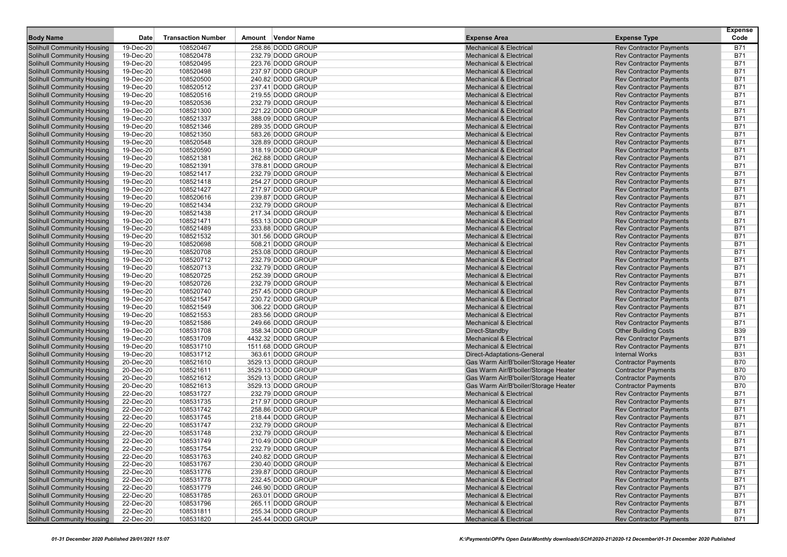|                                                                        |                        |                           |        |                                          |                                                                              |                                                                  | <b>Expense</b>           |
|------------------------------------------------------------------------|------------------------|---------------------------|--------|------------------------------------------|------------------------------------------------------------------------------|------------------------------------------------------------------|--------------------------|
| <b>Body Name</b>                                                       | Date                   | <b>Transaction Number</b> | Amount | Vendor Name                              | <b>Expense Area</b>                                                          | <b>Expense Type</b>                                              | Code                     |
| Solihull Community Housing                                             | 19-Dec-20              | 108520467                 |        | 258.86 DODD GROUP                        | <b>Mechanical &amp; Electrical</b>                                           | <b>Rev Contractor Payments</b>                                   | <b>B71</b>               |
| Solihull Community Housing                                             | 19-Dec-20              | 108520478                 |        | 232.79 DODD GROUP                        | <b>Mechanical &amp; Electrical</b>                                           | <b>Rev Contractor Payments</b>                                   | <b>B71</b>               |
| Solihull Community Housing                                             | 19-Dec-20              | 108520495                 |        | 223.76 DODD GROUP                        | <b>Mechanical &amp; Electrical</b>                                           | <b>Rev Contractor Payments</b>                                   | <b>B71</b><br><b>B71</b> |
| Solihull Community Housing<br><b>Solihull Community Housing</b>        | 19-Dec-20<br>19-Dec-20 | 108520498<br>108520500    |        | 237.97 DODD GROUP<br>240.82 DODD GROUP   | <b>Mechanical &amp; Electrical</b><br><b>Mechanical &amp; Electrical</b>     | <b>Rev Contractor Payments</b><br><b>Rev Contractor Payments</b> | <b>B71</b>               |
| Solihull Community Housing                                             | 19-Dec-20              | 108520512                 |        | 237.41 DODD GROUP                        | <b>Mechanical &amp; Electrical</b>                                           | <b>Rev Contractor Payments</b>                                   | <b>B71</b>               |
| Solihull Community Housing                                             | 19-Dec-20              | 108520516                 |        | 219.55 DODD GROUP                        | <b>Mechanical &amp; Electrical</b>                                           | <b>Rev Contractor Payments</b>                                   | <b>B71</b>               |
| <b>Solihull Community Housing</b>                                      | 19-Dec-20              | 108520536                 |        | 232.79 DODD GROUP                        | <b>Mechanical &amp; Electrical</b>                                           | <b>Rev Contractor Payments</b>                                   | <b>B71</b>               |
| <b>Solihull Community Housing</b>                                      | 19-Dec-20              | 108521300                 |        | 221.22 DODD GROUP                        | <b>Mechanical &amp; Electrical</b>                                           | <b>Rev Contractor Payments</b>                                   | <b>B71</b>               |
| <b>Solihull Community Housing</b>                                      | 19-Dec-20              | 108521337                 |        | 388.09 DODD GROUP                        | <b>Mechanical &amp; Electrical</b>                                           | <b>Rev Contractor Payments</b>                                   | <b>B71</b>               |
| Solihull Community Housing                                             | 19-Dec-20              | 108521346                 |        | 289.35 DODD GROUP                        | <b>Mechanical &amp; Electrical</b>                                           | <b>Rev Contractor Payments</b>                                   | <b>B71</b>               |
| Solihull Community Housing                                             | 19-Dec-20              | 108521350                 |        | 583.26 DODD GROUP                        | <b>Mechanical &amp; Electrical</b>                                           | <b>Rev Contractor Payments</b>                                   | <b>B71</b>               |
| Solihull Community Housing                                             | 19-Dec-20              | 108520548                 |        | 328.89 DODD GROUP                        | <b>Mechanical &amp; Electrical</b>                                           | <b>Rev Contractor Payments</b>                                   | <b>B71</b>               |
| Solihull Community Housing                                             | 19-Dec-20              | 108520590                 |        | 318.19 DODD GROUP                        | <b>Mechanical &amp; Electrical</b>                                           | <b>Rev Contractor Payments</b>                                   | <b>B71</b>               |
| <b>Solihull Community Housing</b>                                      | 19-Dec-20              | 108521381                 |        | 262.88 DODD GROUP                        | <b>Mechanical &amp; Electrical</b>                                           | <b>Rev Contractor Payments</b>                                   | <b>B71</b>               |
| Solihull Community Housing                                             | 19-Dec-20              | 108521391                 |        | 378.81 DODD GROUP                        | <b>Mechanical &amp; Electrical</b>                                           | <b>Rev Contractor Payments</b>                                   | <b>B71</b>               |
| Solihull Community Housing                                             | 19-Dec-20              | 108521417                 |        | 232.79 DODD GROUP                        | <b>Mechanical &amp; Electrical</b>                                           | <b>Rev Contractor Payments</b>                                   | <b>B71</b>               |
| <b>Solihull Community Housing</b>                                      | 19-Dec-20              | 108521418                 |        | 254.27 DODD GROUP                        | <b>Mechanical &amp; Electrical</b>                                           | <b>Rev Contractor Payments</b>                                   | <b>B71</b>               |
| Solihull Community Housing                                             | 19-Dec-20              | 108521427                 |        | 217.97 DODD GROUP                        | <b>Mechanical &amp; Electrical</b>                                           | <b>Rev Contractor Payments</b>                                   | <b>B71</b>               |
| <b>Solihull Community Housing</b>                                      | 19-Dec-20              | 108520616                 |        | 239.87 DODD GROUP                        | <b>Mechanical &amp; Electrical</b>                                           | <b>Rev Contractor Payments</b>                                   | <b>B71</b>               |
| Solihull Community Housing                                             | 19-Dec-20              | 108521434                 |        | 232.79 DODD GROUP                        | <b>Mechanical &amp; Electrical</b>                                           | <b>Rev Contractor Payments</b>                                   | <b>B71</b>               |
| Solihull Community Housing<br>Solihull Community Housing               | 19-Dec-20<br>19-Dec-20 | 108521438<br>108521471    |        | 217.34 DODD GROUP<br>553.13 DODD GROUP   | <b>Mechanical &amp; Electrical</b><br><b>Mechanical &amp; Electrical</b>     | <b>Rev Contractor Payments</b><br><b>Rev Contractor Payments</b> | <b>B71</b><br><b>B71</b> |
| Solihull Community Housing                                             | 19-Dec-20              | 108521489                 |        | 233.88 DODD GROUP                        | <b>Mechanical &amp; Electrical</b>                                           | <b>Rev Contractor Payments</b>                                   | <b>B71</b>               |
| <b>Solihull Community Housing</b>                                      | 19-Dec-20              | 108521532                 |        | 301.56 DODD GROUP                        | <b>Mechanical &amp; Electrical</b>                                           | <b>Rev Contractor Payments</b>                                   | <b>B71</b>               |
| Solihull Community Housing                                             | 19-Dec-20              | 108520698                 |        | 508.21 DODD GROUP                        | <b>Mechanical &amp; Electrical</b>                                           | <b>Rev Contractor Payments</b>                                   | <b>B71</b>               |
| Solihull Community Housing                                             | 19-Dec-20              | 108520708                 |        | 253.08 DODD GROUP                        | <b>Mechanical &amp; Electrical</b>                                           | <b>Rev Contractor Payments</b>                                   | <b>B71</b>               |
| <b>Solihull Community Housing</b>                                      | 19-Dec-20              | 108520712                 |        | 232.79 DODD GROUP                        | <b>Mechanical &amp; Electrical</b>                                           | <b>Rev Contractor Payments</b>                                   | <b>B71</b>               |
| Solihull Community Housing                                             | 19-Dec-20              | 108520713                 |        | 232.79 DODD GROUP                        | <b>Mechanical &amp; Electrical</b>                                           | <b>Rev Contractor Payments</b>                                   | <b>B71</b>               |
| <b>Solihull Community Housing</b>                                      | 19-Dec-20              | 108520725                 |        | 252.39 DODD GROUP                        | <b>Mechanical &amp; Electrical</b>                                           | <b>Rev Contractor Payments</b>                                   | <b>B71</b>               |
| Solihull Community Housing                                             | 19-Dec-20              | 108520726                 |        | 232.79 DODD GROUP                        | <b>Mechanical &amp; Electrical</b>                                           | <b>Rev Contractor Payments</b>                                   | <b>B71</b>               |
| Solihull Community Housing                                             | 19-Dec-20              | 108520740                 |        | 257.45 DODD GROUP                        | <b>Mechanical &amp; Electrical</b>                                           | <b>Rev Contractor Payments</b>                                   | <b>B71</b>               |
| Solihull Community Housing                                             | 19-Dec-20              | 108521547                 |        | 230.72 DODD GROUP                        | <b>Mechanical &amp; Electrical</b>                                           | <b>Rev Contractor Payments</b>                                   | <b>B71</b>               |
| Solihull Community Housing                                             | 19-Dec-20              | 108521549                 |        | 306.22 DODD GROUP                        | <b>Mechanical &amp; Electrical</b>                                           | <b>Rev Contractor Payments</b>                                   | <b>B71</b>               |
| <b>Solihull Community Housing</b>                                      | 19-Dec-20              | 108521553                 |        | 283.56 DODD GROUP                        | <b>Mechanical &amp; Electrical</b>                                           | <b>Rev Contractor Payments</b>                                   | <b>B71</b>               |
| Solihull Community Housing                                             | 19-Dec-20              | 108521586                 |        | 249.66 DODD GROUP                        | <b>Mechanical &amp; Electrical</b>                                           | <b>Rev Contractor Payments</b>                                   | <b>B71</b>               |
| Solihull Community Housing                                             | 19-Dec-20              | 108531708                 |        | 358.34 DODD GROUP                        | Direct-Standby                                                               | <b>Other Building Costs</b>                                      | <b>B39</b>               |
| <b>Solihull Community Housing</b>                                      | 19-Dec-20              | 108531709                 |        | 4432.32 DODD GROUP                       | <b>Mechanical &amp; Electrical</b>                                           | <b>Rev Contractor Payments</b>                                   | <b>B71</b>               |
| Solihull Community Housing                                             | 19-Dec-20              | 108531710                 |        | 1511.68 DODD GROUP                       | <b>Mechanical &amp; Electrical</b>                                           | <b>Rev Contractor Payments</b>                                   | <b>B71</b>               |
| <b>Solihull Community Housing</b>                                      | 19-Dec-20              | 108531712                 |        | 363.61 DODD GROUP                        | Direct-Adaptations-General                                                   | <b>Internal Works</b>                                            | <b>B31</b>               |
| Solihull Community Housing<br>Solihull Community Housing               | 20-Dec-20<br>20-Dec-20 | 108521610<br>108521611    |        | 3529.13 DODD GROUP<br>3529.13 DODD GROUP | Gas Warm Air/B'boiler/Storage Heater<br>Gas Warm Air/B'boiler/Storage Heater | <b>Contractor Payments</b><br><b>Contractor Payments</b>         | <b>B70</b><br><b>B70</b> |
| Solihull Community Housing                                             | 20-Dec-20              | 108521612                 |        | 3529.13 DODD GROUP                       | Gas Warm Air/B'boiler/Storage Heater                                         | <b>Contractor Payments</b>                                       | <b>B70</b>               |
| Solihull Community Housing                                             | 20-Dec-20              | 108521613                 |        | 3529.13 DODD GROUP                       | Gas Warm Air/B'boiler/Storage Heater                                         | <b>Contractor Payments</b>                                       | <b>B70</b>               |
| <b>Solihull Community Housing</b>                                      | 22-Dec-20              | 108531727                 |        | 232.79 DODD GROUP                        | <b>Mechanical &amp; Electrical</b>                                           | <b>Rev Contractor Payments</b>                                   | <b>B71</b>               |
| Solihull Community Housing                                             | 22-Dec-20              | 108531735                 |        | 217.97 DODD GROUP                        | <b>Mechanical &amp; Electrical</b>                                           | <b>Rev Contractor Payments</b>                                   | <b>B71</b>               |
| Solihull Community Housing                                             | 22-Dec-20              | 108531742                 |        | 258.86 DODD GROUP                        | <b>Mechanical &amp; Electrical</b>                                           | <b>Rev Contractor Payments</b>                                   | <b>B71</b>               |
| Solihull Community Housing                                             | 22-Dec-20              | 108531745                 |        | 218.44 DODD GROUP                        | <b>Mechanical &amp; Electrical</b>                                           | <b>Rev Contractor Payments</b>                                   | <b>B71</b>               |
| Solihull Community Housing                                             | 22-Dec-20              | 108531747                 |        | 232.79 DODD GROUP                        | <b>Mechanical &amp; Electrical</b>                                           | <b>Rev Contractor Payments</b>                                   | <b>B71</b>               |
| <b>Solihull Community Housing</b>                                      | 22-Dec-20              | 108531748                 |        | 232.79 DODD GROUP                        | <b>Mechanical &amp; Electrical</b>                                           | <b>Rev Contractor Payments</b>                                   | <b>B71</b>               |
| <b>Solihull Community Housing</b>                                      | 22-Dec-20              | 108531749                 |        | 210.49 DODD GROUP                        | <b>Mechanical &amp; Electrical</b>                                           | <b>Rev Contractor Payments</b>                                   | <b>B71</b>               |
| <b>Solihull Community Housing</b>                                      | 22-Dec-20              | 108531754                 |        | 232.79 DODD GROUP                        | <b>Mechanical &amp; Electrical</b>                                           | <b>Rev Contractor Payments</b>                                   | <b>B71</b>               |
| <b>Solihull Community Housing</b>                                      | 22-Dec-20              | 108531763                 |        | 240.82 DODD GROUP                        | <b>Mechanical &amp; Electrical</b>                                           | <b>Rev Contractor Payments</b>                                   | <b>B71</b>               |
| <b>Solihull Community Housing</b>                                      | 22-Dec-20              | 108531767                 |        | 230.40 DODD GROUP                        | <b>Mechanical &amp; Electrical</b>                                           | <b>Rev Contractor Payments</b>                                   | <b>B71</b>               |
| <b>Solihull Community Housing</b>                                      | 22-Dec-20              | 108531776                 |        | 239.87 DODD GROUP                        | <b>Mechanical &amp; Electrical</b>                                           | <b>Rev Contractor Payments</b>                                   | <b>B71</b>               |
| <b>Solihull Community Housing</b>                                      | 22-Dec-20              | 108531778                 |        | 232.45 DODD GROUP                        | <b>Mechanical &amp; Electrical</b>                                           | <b>Rev Contractor Payments</b>                                   | <b>B71</b>               |
| <b>Solihull Community Housing</b>                                      | 22-Dec-20              | 108531779                 |        | 246.90 DODD GROUP                        | <b>Mechanical &amp; Electrical</b>                                           | <b>Rev Contractor Payments</b>                                   | <b>B71</b>               |
| <b>Solihull Community Housing</b>                                      | 22-Dec-20              | 108531785                 |        | 263.01 DODD GROUP                        | <b>Mechanical &amp; Electrical</b>                                           | <b>Rev Contractor Payments</b>                                   | <b>B71</b>               |
| <b>Solihull Community Housing</b><br><b>Solihull Community Housing</b> | 22-Dec-20              | 108531796                 |        | 265.11 DODD GROUP                        | <b>Mechanical &amp; Electrical</b>                                           | <b>Rev Contractor Payments</b>                                   | <b>B71</b>               |
| <b>Solihull Community Housing</b>                                      | 22-Dec-20<br>22-Dec-20 | 108531811<br>108531820    |        | 255.34 DODD GROUP<br>245.44 DODD GROUP   | <b>Mechanical &amp; Electrical</b><br><b>Mechanical &amp; Electrical</b>     | <b>Rev Contractor Payments</b><br><b>Rev Contractor Payments</b> | <b>B71</b><br><b>B71</b> |
|                                                                        |                        |                           |        |                                          |                                                                              |                                                                  |                          |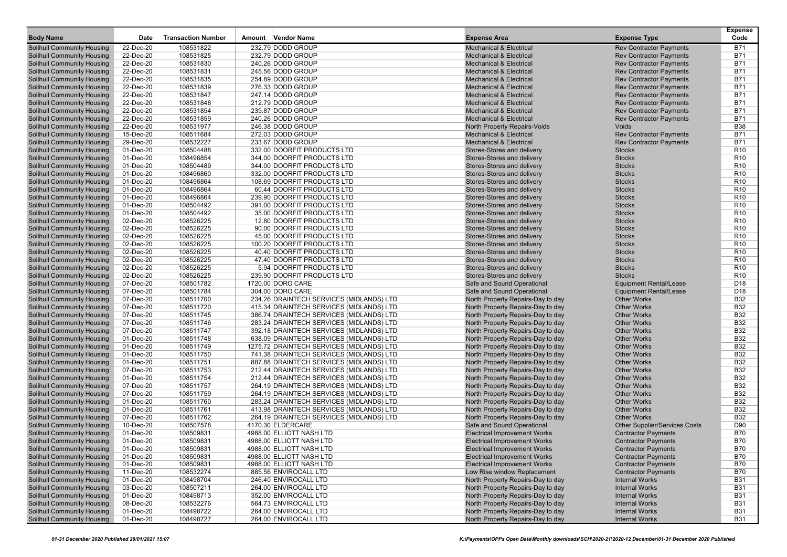| <b>Body Name</b>                                                       | Date                   | <b>Transaction Number</b> | Amount Vendor Name                               | <b>Expense Area</b>                                      | <b>Expense Type</b>                                            | <b>Expense</b><br>Code             |
|------------------------------------------------------------------------|------------------------|---------------------------|--------------------------------------------------|----------------------------------------------------------|----------------------------------------------------------------|------------------------------------|
| <b>Solihull Community Housing</b>                                      | 22-Dec-20              | 108531822                 | 232.79 DODD GROUP                                | <b>Mechanical &amp; Electrical</b>                       | <b>Rev Contractor Payments</b>                                 | B71                                |
| <b>Solihull Community Housing</b>                                      | 22-Dec-20              | 108531825                 | 232.79 DODD GROUP                                | <b>Mechanical &amp; Electrical</b>                       | <b>Rev Contractor Payments</b>                                 | <b>B71</b>                         |
| <b>Solihull Community Housing</b>                                      | 22-Dec-20              | 108531830                 | 240.26 DODD GROUP                                | <b>Mechanical &amp; Electrical</b>                       | <b>Rev Contractor Payments</b>                                 | <b>B71</b>                         |
| <b>Solihull Community Housing</b>                                      | 22-Dec-20              | 108531831                 | 245.56 DODD GROUP                                | <b>Mechanical &amp; Electrical</b>                       | <b>Rev Contractor Payments</b>                                 | <b>B71</b>                         |
| <b>Solihull Community Housing</b>                                      | 22-Dec-20              | 108531835                 | 254.89 DODD GROUP                                | <b>Mechanical &amp; Electrical</b>                       | <b>Rev Contractor Payments</b>                                 | <b>B71</b>                         |
| <b>Solihull Community Housing</b>                                      | 22-Dec-20              | 108531839                 | 276.33 DODD GROUP                                | <b>Mechanical &amp; Electrical</b>                       | <b>Rev Contractor Payments</b>                                 | <b>B71</b>                         |
| <b>Solihull Community Housing</b>                                      | 22-Dec-20              | 108531847                 | 247.14 DODD GROUP                                | <b>Mechanical &amp; Electrical</b>                       | <b>Rev Contractor Payments</b>                                 | <b>B71</b>                         |
| <b>Solihull Community Housing</b>                                      | 22-Dec-20              | 108531848                 | 212.79 DODD GROUP                                | <b>Mechanical &amp; Electrical</b>                       | <b>Rev Contractor Payments</b>                                 | <b>B71</b>                         |
| <b>Solihull Community Housing</b>                                      | 22-Dec-20              | 108531854                 | 239.87 DODD GROUP                                | <b>Mechanical &amp; Electrical</b>                       | <b>Rev Contractor Payments</b>                                 | <b>B71</b>                         |
| <b>Solihull Community Housing</b>                                      | 22-Dec-20              | 108531859                 | 240.26 DODD GROUP                                | <b>Mechanical &amp; Electrical</b>                       | <b>Rev Contractor Payments</b>                                 | <b>B71</b>                         |
| <b>Solihull Community Housing</b>                                      | 22-Dec-20              | 108531977                 | 246.38 DODD GROUP                                | North Property Repairs-Voids                             | Voids                                                          | <b>B38</b>                         |
| <b>Solihull Community Housing</b>                                      | 15-Dec-20              | 108511684                 | 272.03 DODD GROUP                                | <b>Mechanical &amp; Electrical</b>                       | <b>Rev Contractor Payments</b>                                 | <b>B71</b>                         |
| <b>Solihull Community Housing</b>                                      | 29-Dec-20              | 108532227                 | 233.67 DODD GROUP                                | <b>Mechanical &amp; Electrical</b>                       | <b>Rev Contractor Payments</b>                                 | <b>B71</b>                         |
| <b>Solihull Community Housing</b>                                      | 01-Dec-20              | 108504488                 | 332.00 DOORFIT PRODUCTS LTD                      | Stores-Stores and delivery                               | <b>Stocks</b>                                                  | R <sub>10</sub>                    |
| <b>Solihull Community Housing</b>                                      | 01-Dec-20              | 108496854                 | 344.00 DOORFIT PRODUCTS LTD                      | Stores-Stores and delivery                               | <b>Stocks</b>                                                  | R <sub>10</sub>                    |
| <b>Solihull Community Housing</b>                                      | 01-Dec-20              | 108504489                 | 344.00 DOORFIT PRODUCTS LTD                      | Stores-Stores and delivery                               | <b>Stocks</b>                                                  | R <sub>10</sub>                    |
| <b>Solihull Community Housing</b>                                      | 01-Dec-20              | 108496860                 | 332.00 DOORFIT PRODUCTS LTD                      | Stores-Stores and delivery                               | <b>Stocks</b>                                                  | R <sub>10</sub>                    |
| <b>Solihull Community Housing</b>                                      | 01-Dec-20              | 108496864                 | 108.69 DOORFIT PRODUCTS LTD                      | Stores-Stores and delivery                               | <b>Stocks</b>                                                  | R <sub>10</sub>                    |
| <b>Solihull Community Housing</b>                                      | 01-Dec-20              | 108496864                 | 60.44 DOORFIT PRODUCTS LTD                       | Stores-Stores and delivery                               | <b>Stocks</b>                                                  | R <sub>10</sub>                    |
| <b>Solihull Community Housing</b>                                      | 01-Dec-20              | 108496864                 | 239.90 DOORFIT PRODUCTS LTD                      | Stores-Stores and delivery                               | <b>Stocks</b>                                                  | R <sub>10</sub>                    |
| <b>Solihull Community Housing</b>                                      | 01-Dec-20              | 108504492                 | 391.00 DOORFIT PRODUCTS LTD                      | Stores-Stores and delivery                               | <b>Stocks</b>                                                  | R <sub>10</sub>                    |
| <b>Solihull Community Housing</b>                                      | 01-Dec-20              | 108504492                 | 35.00 DOORFIT PRODUCTS LTD                       | Stores-Stores and delivery                               | <b>Stocks</b>                                                  | R <sub>10</sub>                    |
| <b>Solihull Community Housing</b>                                      | 02-Dec-20              | 108526225                 | 12.80 DOORFIT PRODUCTS LTD                       | Stores-Stores and delivery                               | <b>Stocks</b>                                                  | R <sub>10</sub>                    |
| <b>Solihull Community Housing</b>                                      | 02-Dec-20              | 108526225                 | 90.00 DOORFIT PRODUCTS LTD                       | Stores-Stores and delivery                               | <b>Stocks</b>                                                  | R <sub>10</sub>                    |
| <b>Solihull Community Housing</b>                                      | 02-Dec-20              | 108526225                 | 45.00 DOORFIT PRODUCTS LTD                       | Stores-Stores and delivery                               | <b>Stocks</b>                                                  | R <sub>10</sub>                    |
| <b>Solihull Community Housing</b>                                      | 02-Dec-20              | 108526225                 | 100.20 DOORFIT PRODUCTS LTD                      | Stores-Stores and delivery                               | <b>Stocks</b>                                                  | R <sub>10</sub>                    |
| <b>Solihull Community Housing</b>                                      | 02-Dec-20              | 108526225                 | 40.40 DOORFIT PRODUCTS LTD                       | Stores-Stores and delivery                               | <b>Stocks</b>                                                  | R <sub>10</sub>                    |
| <b>Solihull Community Housing</b>                                      | 02-Dec-20              | 108526225                 | 47.40 DOORFIT PRODUCTS LTD                       | Stores-Stores and delivery                               | <b>Stocks</b>                                                  | R <sub>10</sub>                    |
| <b>Solihull Community Housing</b>                                      | 02-Dec-20              | 108526225                 | 5.94 DOORFIT PRODUCTS LTD                        | Stores-Stores and delivery                               | <b>Stocks</b>                                                  | R <sub>10</sub>                    |
| <b>Solihull Community Housing</b>                                      | 02-Dec-20              | 108526225                 | 239.90 DOORFIT PRODUCTS LTD<br>1720.00 DORO CARE | Stores-Stores and delivery<br>Safe and Sound Operational | <b>Stocks</b>                                                  | R <sub>10</sub>                    |
| <b>Solihull Community Housing</b><br><b>Solihull Community Housing</b> | 07-Dec-20<br>07-Dec-20 | 108501782<br>108501784    | 304.00 DORO CARE                                 | Safe and Sound Operational                               | <b>Equipment Rental/Lease</b><br><b>Equipment Rental/Lease</b> | D <sub>18</sub><br>D <sub>18</sub> |
| <b>Solihull Community Housing</b>                                      | 07-Dec-20              | 108511700                 | 234.26 DRAINTECH SERVICES (MIDLANDS) LTD         | North Property Repairs-Day to day                        | <b>Other Works</b>                                             | <b>B32</b>                         |
| <b>Solihull Community Housing</b>                                      | 07-Dec-20              | 108511720                 | 415.34 DRAINTECH SERVICES (MIDLANDS) LTD         | North Property Repairs-Day to day                        | <b>Other Works</b>                                             | <b>B32</b>                         |
| <b>Solihull Community Housing</b>                                      | 07-Dec-20              | 108511745                 | 386.74 DRAINTECH SERVICES (MIDLANDS) LTD         | North Property Repairs-Day to day                        | <b>Other Works</b>                                             | <b>B32</b>                         |
| <b>Solihull Community Housing</b>                                      | 07-Dec-20              | 108511746                 | 283.24 DRAINTECH SERVICES (MIDLANDS) LTD         | North Property Repairs-Day to day                        | <b>Other Works</b>                                             | <b>B32</b>                         |
| <b>Solihull Community Housing</b>                                      | 07-Dec-20              | 108511747                 | 392.18 DRAINTECH SERVICES (MIDLANDS) LTD         | North Property Repairs-Day to day                        | <b>Other Works</b>                                             | <b>B32</b>                         |
| <b>Solihull Community Housing</b>                                      | 01-Dec-20              | 108511748                 | 638.09 DRAINTECH SERVICES (MIDLANDS) LTD         | North Property Repairs-Day to day                        | <b>Other Works</b>                                             | <b>B32</b>                         |
| <b>Solihull Community Housing</b>                                      | 01-Dec-20              | 108511749                 | 1275.72 DRAINTECH SERVICES (MIDLANDS) LTD        | North Property Repairs-Day to day                        | <b>Other Works</b>                                             | <b>B32</b>                         |
| <b>Solihull Community Housing</b>                                      | 01-Dec-20              | 108511750                 | 741.38 DRAINTECH SERVICES (MIDLANDS) LTD         | North Property Repairs-Day to day                        | <b>Other Works</b>                                             | <b>B32</b>                         |
| <b>Solihull Community Housing</b>                                      | 01-Dec-20              | 108511751                 | 887.88 DRAINTECH SERVICES (MIDLANDS) LTD         | North Property Repairs-Day to day                        | <b>Other Works</b>                                             | <b>B32</b>                         |
| <b>Solihull Community Housing</b>                                      | 07-Dec-20              | 108511753                 | 212.44 DRAINTECH SERVICES (MIDLANDS) LTD         | North Property Repairs-Day to day                        | <b>Other Works</b>                                             | <b>B32</b>                         |
| <b>Solihull Community Housing</b>                                      | 01-Dec-20              | 108511754                 | 212.44 DRAINTECH SERVICES (MIDLANDS) LTD         | North Property Repairs-Day to day                        | <b>Other Works</b>                                             | <b>B32</b>                         |
| <b>Solihull Community Housing</b>                                      | 07-Dec-20              | 108511757                 | 264.19 DRAINTECH SERVICES (MIDLANDS) LTD         | North Property Repairs-Day to day                        | <b>Other Works</b>                                             | <b>B32</b>                         |
| <b>Solihull Community Housing</b>                                      | 07-Dec-20              | 108511759                 | 264.19 DRAINTECH SERVICES (MIDLANDS) LTD         | North Property Repairs-Day to day                        | <b>Other Works</b>                                             | <b>B32</b>                         |
| <b>Solihull Community Housing</b>                                      | 01-Dec-20              | 108511760                 | 283.24 DRAINTECH SERVICES (MIDLANDS) LTD         | North Property Repairs-Day to day                        | <b>Other Works</b>                                             | <b>B32</b>                         |
| <b>Solihull Community Housing</b>                                      | 01-Dec-20              | 108511761                 | 413.98 DRAINTECH SERVICES (MIDLANDS) LTD         | North Property Repairs-Day to day                        | <b>Other Works</b>                                             | <b>B32</b>                         |
| <b>Solihull Community Housing</b>                                      | 07-Dec-20              | 108511762                 | 264.19 DRAINTECH SERVICES (MIDLANDS) LTD         | North Property Repairs-Day to day                        | <b>Other Works</b>                                             | <b>B32</b>                         |
| <b>Solihull Community Housing</b>                                      | 10-Dec-20              | 108507578                 | 4170.30 ELDERCARE                                | Safe and Sound Operational                               | <b>Other Supplier/Services Costs</b>                           | D90                                |
| <b>Solihull Community Housing</b>                                      | 01-Dec-20              | 108509831                 | 4988.00 ELLIOTT NASH LTD                         | <b>Electrical Improvement Works</b>                      | <b>Contractor Payments</b>                                     | <b>B70</b>                         |
| <b>Solihull Community Housing</b>                                      | 01-Dec-20              | 108509831                 | 4988.00 ELLIOTT NASH LTD                         | <b>Electrical Improvement Works</b>                      | <b>Contractor Payments</b>                                     | <b>B70</b>                         |
| <b>Solihull Community Housing</b>                                      | 01-Dec-20              | 108509831                 | 4988.00 ELLIOTT NASH LTD                         | <b>Electrical Improvement Works</b>                      | <b>Contractor Payments</b>                                     | B70                                |
| <b>Solihull Community Housing</b>                                      | 01-Dec-20              | 108509831                 | 4988.00 ELLIOTT NASH LTD                         | <b>Electrical Improvement Works</b>                      | <b>Contractor Payments</b>                                     | <b>B70</b>                         |
| <b>Solihull Community Housing</b>                                      | 01-Dec-20              | 108509831                 | 4988.00 ELLIOTT NASH LTD                         | <b>Electrical Improvement Works</b>                      | <b>Contractor Payments</b>                                     | B70                                |
| <b>Solihull Community Housing</b>                                      | 11-Dec-20              | 108532274                 | 885.56 ENVIROCALL LTD                            | Low Rise window Replacement                              | <b>Contractor Payments</b>                                     | <b>B70</b>                         |
| <b>Solihull Community Housing</b>                                      | 01-Dec-20              | 108498704                 | 246.40 ENVIROCALL LTD                            | North Property Repairs-Day to day                        | <b>Internal Works</b>                                          | <b>B31</b>                         |
| <b>Solihull Community Housing</b>                                      | 03-Dec-20              | 108507211                 | 264.00 ENVIROCALL LTD                            | North Property Repairs-Day to day                        | <b>Internal Works</b>                                          | <b>B31</b>                         |
| <b>Solihull Community Housing</b>                                      | 01-Dec-20              | 108498713                 | 352.00 ENVIROCALL LTD                            | North Property Repairs-Day to day                        | <b>Internal Works</b>                                          | <b>B31</b>                         |
| <b>Solihull Community Housing</b>                                      | 08-Dec-20              | 108532276                 | 564.73 ENVIROCALL LTD                            | North Property Repairs-Day to day                        | <b>Internal Works</b>                                          | <b>B31</b>                         |
| <b>Solihull Community Housing</b>                                      | 01-Dec-20              | 108498722                 | 264.00 ENVIROCALL LTD                            | North Property Repairs-Day to day                        | <b>Internal Works</b>                                          | <b>B31</b>                         |
| <b>Solihull Community Housing</b>                                      | 01-Dec-20              | 108498727                 | 264.00 ENVIROCALL LTD                            | North Property Repairs-Day to day                        | <b>Internal Works</b>                                          | <b>B31</b>                         |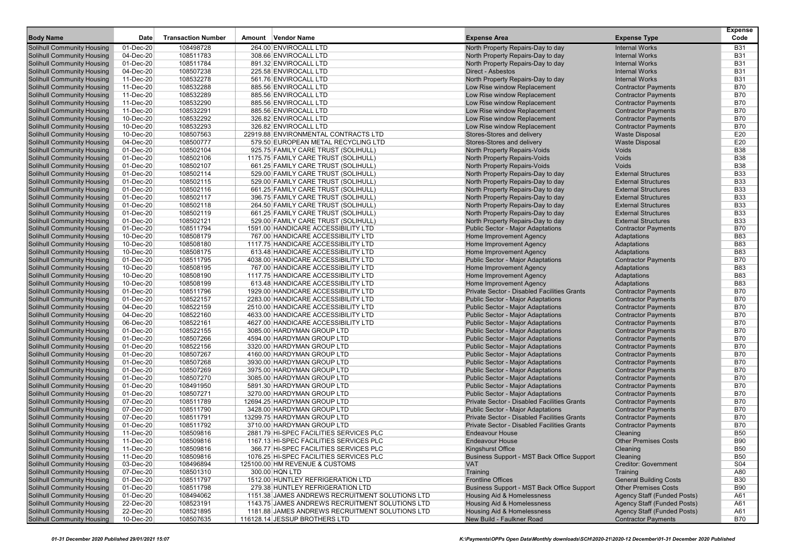| <b>Body Name</b>                                                       | Date                   | <b>Transaction Number</b> | Amount Vendor Name                                                    | <b>Expense Area</b>                                                                        | <b>Expense Type</b>                            | <b>Expense</b><br>Code   |
|------------------------------------------------------------------------|------------------------|---------------------------|-----------------------------------------------------------------------|--------------------------------------------------------------------------------------------|------------------------------------------------|--------------------------|
|                                                                        |                        |                           |                                                                       |                                                                                            |                                                |                          |
| <b>Solihull Community Housing</b>                                      | 01-Dec-20              | 108498728                 | 264.00 ENVIROCALL LTD                                                 | North Property Repairs-Day to day                                                          | <b>Internal Works</b>                          | <b>B31</b>               |
| <b>Solihull Community Housing</b>                                      | 04-Dec-20<br>01-Dec-20 | 108511783<br>108511784    | 308.66 ENVIROCALL LTD<br>891.32 ENVIROCALL LTD                        | North Property Repairs-Day to day                                                          | <b>Internal Works</b><br><b>Internal Works</b> | <b>B31</b><br><b>B31</b> |
| <b>Solihull Community Housing</b><br><b>Solihull Community Housing</b> | 04-Dec-20              | 108507238                 | 225.58 ENVIROCALL LTD                                                 | North Property Repairs-Day to day<br>Direct - Asbestos                                     | <b>Internal Works</b>                          | <b>B31</b>               |
| <b>Solihull Community Housing</b>                                      | 11-Dec-20              | 108532278                 | 561.76 ENVIROCALL LTD                                                 | North Property Repairs-Day to day                                                          | <b>Internal Works</b>                          | <b>B31</b>               |
| <b>Solihull Community Housing</b>                                      | 11-Dec-20              | 108532288                 | 885.56 ENVIROCALL LTD                                                 | Low Rise window Replacement                                                                | <b>Contractor Payments</b>                     | <b>B70</b>               |
| <b>Solihull Community Housing</b>                                      | 11-Dec-20              | 108532289                 | 885.56 ENVIROCALL LTD                                                 | Low Rise window Replacement                                                                | <b>Contractor Payments</b>                     | <b>B70</b>               |
| <b>Solihull Community Housing</b>                                      | 11-Dec-20              | 108532290                 | 885.56 ENVIROCALL LTD                                                 | Low Rise window Replacement                                                                | <b>Contractor Payments</b>                     | <b>B70</b>               |
| <b>Solihull Community Housing</b>                                      | 11-Dec-20              | 108532291                 | 885.56 ENVIROCALL LTD                                                 | Low Rise window Replacement                                                                | <b>Contractor Payments</b>                     | <b>B70</b>               |
| <b>Solihull Community Housing</b>                                      | 10-Dec-20              | 108532292                 | 326.82 ENVIROCALL LTD                                                 | Low Rise window Replacement                                                                | <b>Contractor Payments</b>                     | <b>B70</b>               |
| <b>Solihull Community Housing</b>                                      | 10-Dec-20              | 108532293                 | 326.82 ENVIROCALL LTD                                                 | Low Rise window Replacement                                                                | <b>Contractor Payments</b>                     | <b>B70</b>               |
| <b>Solihull Community Housing</b>                                      | 10-Dec-20              | 108507563                 | 22919.88 ENVIRONMENTAL CONTRACTS LTD                                  | Stores-Stores and delivery                                                                 | <b>Waste Disposal</b>                          | E20                      |
| <b>Solihull Community Housing</b>                                      | 04-Dec-20              | 108500777                 | 579.50 EUROPEAN METAL RECYCLING LTD                                   | Stores-Stores and delivery                                                                 | <b>Waste Disposal</b>                          | E20                      |
| <b>Solihull Community Housing</b>                                      | 01-Dec-20              | 108502104                 | 925.75 FAMILY CARE TRUST (SOLIHULL)                                   | North Property Repairs-Voids                                                               | Voids                                          | <b>B38</b>               |
| <b>Solihull Community Housing</b>                                      | 01-Dec-20              | 108502106                 | 1175.75 FAMILY CARE TRUST (SOLIHULL)                                  | <b>North Property Repairs-Voids</b>                                                        | Voids                                          | <b>B38</b>               |
| <b>Solihull Community Housing</b>                                      | 01-Dec-20              | 108502107                 | 661.25 FAMILY CARE TRUST (SOLIHULL)                                   | <b>North Property Repairs-Voids</b>                                                        | Voids                                          | <b>B38</b>               |
| <b>Solihull Community Housing</b>                                      | 01-Dec-20              | 108502114                 | 529.00 FAMILY CARE TRUST (SOLIHULL)                                   | North Property Repairs-Day to day                                                          | <b>External Structures</b>                     | <b>B33</b>               |
| <b>Solihull Community Housing</b>                                      | 01-Dec-20              | 108502115                 | 529.00 FAMILY CARE TRUST (SOLIHULL)                                   | North Property Repairs-Day to day                                                          | <b>External Structures</b>                     | <b>B33</b>               |
| <b>Solihull Community Housing</b>                                      | 01-Dec-20              | 108502116                 | 661.25 FAMILY CARE TRUST (SOLIHULL)                                   | North Property Repairs-Day to day                                                          | <b>External Structures</b>                     | <b>B33</b>               |
| <b>Solihull Community Housing</b>                                      | 01-Dec-20              | 108502117                 | 396.75 FAMILY CARE TRUST (SOLIHULL)                                   | North Property Repairs-Day to day                                                          | <b>External Structures</b>                     | <b>B33</b>               |
| <b>Solihull Community Housing</b>                                      | 01-Dec-20              | 108502118                 | 264.50 FAMILY CARE TRUST (SOLIHULL)                                   | North Property Repairs-Day to day                                                          | <b>External Structures</b>                     | <b>B33</b>               |
| <b>Solihull Community Housing</b>                                      | 01-Dec-20              | 108502119                 | 661.25 FAMILY CARE TRUST (SOLIHULL)                                   | North Property Repairs-Day to day                                                          | <b>External Structures</b>                     | <b>B33</b>               |
| <b>Solihull Community Housing</b>                                      | 01-Dec-20              | 108502121                 | 529.00 FAMILY CARE TRUST (SOLIHULL)                                   | North Property Repairs-Day to day                                                          | <b>External Structures</b>                     | <b>B33</b>               |
| <b>Solihull Community Housing</b>                                      | 01-Dec-20              | 108511794                 | 1591.00 HANDICARE ACCESSIBILITY LTD                                   | <b>Public Sector - Major Adaptations</b>                                                   | <b>Contractor Payments</b>                     | <b>B70</b>               |
| <b>Solihull Community Housing</b>                                      | 10-Dec-20              | 108508179                 | 767.00 HANDICARE ACCESSIBILITY LTD                                    | Home Improvement Agency                                                                    | Adaptations                                    | <b>B83</b>               |
| <b>Solihull Community Housing</b>                                      | 10-Dec-20              | 108508180                 | 1117.75 HANDICARE ACCESSIBILITY LTD                                   | Home Improvement Agency                                                                    | Adaptations                                    | <b>B83</b>               |
| <b>Solihull Community Housing</b>                                      | 10-Dec-20              | 108508175                 | 613.48 HANDICARE ACCESSIBILITY LTD                                    | Home Improvement Agency                                                                    | Adaptations                                    | <b>B83</b>               |
| <b>Solihull Community Housing</b>                                      | 01-Dec-20              | 108511795                 | 4038.00 HANDICARE ACCESSIBILITY LTD                                   | <b>Public Sector - Major Adaptations</b>                                                   | <b>Contractor Payments</b>                     | <b>B70</b>               |
| <b>Solihull Community Housing</b>                                      | 10-Dec-20              | 108508195                 | 767.00 HANDICARE ACCESSIBILITY LTD                                    | Home Improvement Agency                                                                    | Adaptations                                    | <b>B83</b>               |
| <b>Solihull Community Housing</b>                                      | 10-Dec-20              | 108508190                 | 1117.75 HANDICARE ACCESSIBILITY LTD                                   | Home Improvement Agency                                                                    | Adaptations                                    | <b>B83</b>               |
| <b>Solihull Community Housing</b>                                      | 10-Dec-20              | 108508199                 | 613.48 HANDICARE ACCESSIBILITY LTD                                    | Home Improvement Agency                                                                    | Adaptations                                    | <b>B83</b>               |
| <b>Solihull Community Housing</b>                                      | 01-Dec-20              | 108511796                 | 1929.00 HANDICARE ACCESSIBILITY LTD                                   | Private Sector - Disabled Facilities Grants                                                | <b>Contractor Payments</b>                     | <b>B70</b>               |
| <b>Solihull Community Housing</b>                                      | 01-Dec-20              | 108522157                 | 2283.00 HANDICARE ACCESSIBILITY LTD                                   | <b>Public Sector - Major Adaptations</b>                                                   | <b>Contractor Payments</b>                     | <b>B70</b>               |
| <b>Solihull Community Housing</b>                                      | 04-Dec-20              | 108522159                 | 2510.00 HANDICARE ACCESSIBILITY LTD                                   | <b>Public Sector - Major Adaptations</b>                                                   | <b>Contractor Payments</b>                     | <b>B70</b>               |
| <b>Solihull Community Housing</b>                                      | 04-Dec-20              | 108522160                 | 4633.00 HANDICARE ACCESSIBILITY LTD                                   | <b>Public Sector - Major Adaptations</b>                                                   | <b>Contractor Payments</b>                     | <b>B70</b>               |
| <b>Solihull Community Housing</b>                                      | 06-Dec-20              | 108522161                 | 4627.00 HANDICARE ACCESSIBILITY LTD                                   | <b>Public Sector - Major Adaptations</b>                                                   | <b>Contractor Payments</b>                     | <b>B70</b>               |
| <b>Solihull Community Housing</b>                                      | 01-Dec-20              | 108522155                 | 3085.00 HARDYMAN GROUP LTD                                            | <b>Public Sector - Major Adaptations</b>                                                   | <b>Contractor Payments</b>                     | <b>B70</b>               |
| <b>Solihull Community Housing</b>                                      | 01-Dec-20              | 108507266                 | 4594.00 HARDYMAN GROUP LTD                                            | <b>Public Sector - Major Adaptations</b>                                                   | <b>Contractor Payments</b>                     | <b>B70</b>               |
| <b>Solihull Community Housing</b>                                      | 01-Dec-20              | 108522156                 | 3320.00 HARDYMAN GROUP LTD                                            | <b>Public Sector - Major Adaptations</b>                                                   | <b>Contractor Payments</b>                     | <b>B70</b>               |
| <b>Solihull Community Housing</b>                                      | 01-Dec-20              | 108507267                 | 4160.00 HARDYMAN GROUP LTD                                            | <b>Public Sector - Major Adaptations</b>                                                   | <b>Contractor Payments</b>                     | <b>B70</b>               |
| <b>Solihull Community Housing</b>                                      | 01-Dec-20              | 108507268                 | 3930.00 HARDYMAN GROUP LTD                                            | <b>Public Sector - Major Adaptations</b>                                                   | <b>Contractor Payments</b>                     | <b>B70</b>               |
| <b>Solihull Community Housing</b>                                      | 01-Dec-20              | 108507269                 | 3975.00 HARDYMAN GROUP LTD                                            | <b>Public Sector - Major Adaptations</b>                                                   | <b>Contractor Payments</b>                     | <b>B70</b>               |
| <b>Solihull Community Housing</b>                                      | 01-Dec-20              | 108507270                 | 3085.00 HARDYMAN GROUP LTD                                            | <b>Public Sector - Major Adaptations</b>                                                   | <b>Contractor Payments</b>                     | <b>B70</b>               |
| <b>Solihull Community Housing</b>                                      | 01-Dec-20              | 108491950                 | 5891.30 HARDYMAN GROUP LTD                                            | <b>Public Sector - Major Adaptations</b>                                                   | <b>Contractor Payments</b>                     | <b>B70</b>               |
| <b>Solihull Community Housing</b>                                      | 01-Dec-20              | 108507271                 | 3270.00 HARDYMAN GROUP LTD                                            | <b>Public Sector - Major Adaptations</b>                                                   | <b>Contractor Payments</b>                     | <b>B70</b>               |
| <b>Solihull Community Housing</b>                                      | 07-Dec-20              | 108511789                 | 12694.25 HARDYMAN GROUP LTD                                           | Private Sector - Disabled Facilities Grants                                                | <b>Contractor Payments</b>                     | <b>B70</b>               |
| <b>Solihull Community Housing</b>                                      | 07-Dec-20              | 108511790                 | 3428.00 HARDYMAN GROUP LTD                                            | <b>Public Sector - Major Adaptations</b>                                                   | <b>Contractor Payments</b>                     | <b>B70</b>               |
| <b>Solihull Community Housing</b>                                      | 07-Dec-20              | 108511791                 | 13299.75 HARDYMAN GROUP LTD                                           | Private Sector - Disabled Facilities Grants<br>Private Sector - Disabled Facilities Grants | <b>Contractor Payments</b>                     | <b>B70</b>               |
| <b>Solihull Community Housing</b>                                      | 01-Dec-20              | 108511792                 | 3710.00 HARDYMAN GROUP LTD<br>2881.79 HI-SPEC FACILITIES SERVICES PLC | <b>Endeavour House</b>                                                                     | <b>Contractor Payments</b>                     | <b>B70</b><br><b>B50</b> |
| <b>Solihull Community Housing</b>                                      | 11-Dec-20              | 108509816                 |                                                                       |                                                                                            | Cleaning<br><b>Other Premises Costs</b>        | <b>B90</b>               |
| <b>Solihull Community Housing</b>                                      | 11-Dec-20              | 108509816                 | 1167.13 HI-SPEC FACILITIES SERVICES PLC                               | <b>Endeavour House</b>                                                                     |                                                |                          |
| <b>Solihull Community Housing</b>                                      | 11-Dec-20<br>11-Dec-20 | 108509816                 | 366.77 HI-SPEC FACILITIES SERVICES PLC                                | Kingshurst Office                                                                          | Cleaning                                       | <b>B50</b>               |
| <b>Solihull Community Housing</b><br><b>Solihull Community Housing</b> |                        | 108509816<br>108496894    | 1076.25 HI-SPEC FACILITIES SERVICES PLC                               | Business Support - MST Back Office Support<br><b>VAT</b>                                   | Cleaning<br><b>Creditor: Government</b>        | <b>B50</b>               |
| <b>Solihull Community Housing</b>                                      | 03-Dec-20<br>07-Dec-20 | 108501310                 | 125100.00 HM REVENUE & CUSTOMS<br>300.00 HQN LTD                      | Training                                                                                   | Training                                       | S04<br>A80               |
| <b>Solihull Community Housing</b>                                      | 01-Dec-20              | 108511797                 | 1512.00 HUNTLEY REFRIGERATION LTD                                     | <b>Frontline Offices</b>                                                                   | <b>General Building Costs</b>                  | <b>B30</b>               |
| <b>Solihull Community Housing</b>                                      | 01-Dec-20              | 108511798                 | 279.38 HUNTLEY REFRIGERATION LTD                                      | Business Support - MST Back Office Support                                                 | <b>Other Premises Costs</b>                    | <b>B90</b>               |
| <b>Solihull Community Housing</b>                                      | 01-Dec-20              | 108494062                 | 1151.38 JAMES ANDREWS RECRUITMENT SOLUTIONS LTD                       | Housing Aid & Homelessness                                                                 | <b>Agency Staff (Funded Posts)</b>             | A61                      |
| <b>Solihull Community Housing</b>                                      | 22-Dec-20              | 108523191                 | 1143.75 JAMES ANDREWS RECRUITMENT SOLUTIONS LTD                       | Housing Aid & Homelessness                                                                 | <b>Agency Staff (Funded Posts)</b>             | A61                      |
| <b>Solihull Community Housing</b>                                      | 22-Dec-20              | 108521895                 | 1181.88 JAMES ANDREWS RECRUITMENT SOLUTIONS LTD                       | Housing Aid & Homelessness                                                                 | Agency Staff (Funded Posts)                    | A61                      |
| <b>Solihull Community Housing</b>                                      | 10-Dec-20              | 108507635                 | 116128.14 JESSUP BROTHERS LTD                                         | New Build - Faulkner Road                                                                  | <b>Contractor Payments</b>                     | <b>B70</b>               |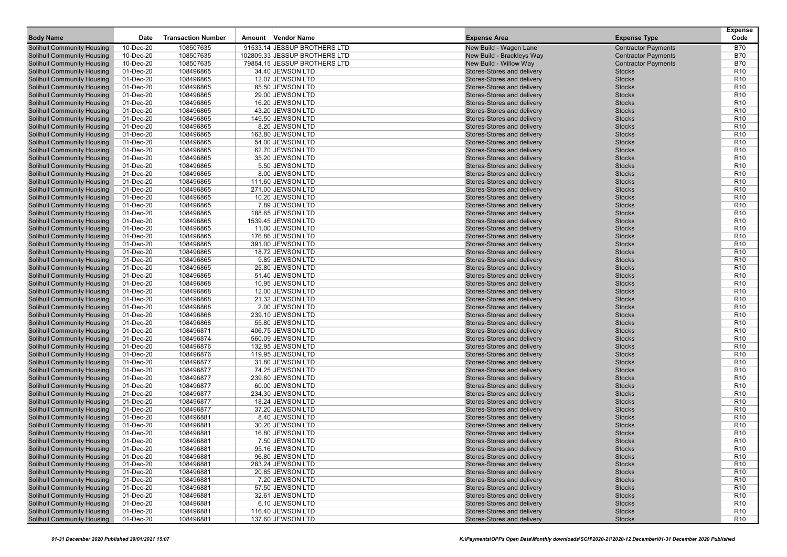| <b>Body Name</b>                  | Date      | <b>Transaction Number</b> | Amount | <b>Vendor Name</b>            | <b>Expense Area</b>        | <b>Expense Type</b>        | <b>Expense</b><br>Code |
|-----------------------------------|-----------|---------------------------|--------|-------------------------------|----------------------------|----------------------------|------------------------|
| <b>Solihull Community Housing</b> | 10-Dec-20 | 108507635                 |        | 91533.14 JESSUP BROTHERS LTD  | New Build - Wagon Lane     | <b>Contractor Payments</b> | <b>B70</b>             |
| <b>Solihull Community Housing</b> | 10-Dec-20 | 108507635                 |        | 102809.33 JESSUP BROTHERS LTD | New Build - Brackleys Way  | <b>Contractor Payments</b> | <b>B70</b>             |
| <b>Solihull Community Housing</b> | 10-Dec-20 | 108507635                 |        | 79854.15 JESSUP BROTHERS LTD  | New Build - Willow Way     | <b>Contractor Payments</b> | <b>B70</b>             |
| <b>Solihull Community Housing</b> | 01-Dec-20 | 108496865                 |        | 34.40 JEWSON LTD              | Stores-Stores and delivery | <b>Stocks</b>              | R <sub>10</sub>        |
| <b>Solihull Community Housing</b> | 01-Dec-20 | 108496865                 |        | 12.07 JEWSON LTD              | Stores-Stores and delivery | <b>Stocks</b>              | R <sub>10</sub>        |
| <b>Solihull Community Housing</b> | 01-Dec-20 | 108496865                 |        | 85.50 JEWSON LTD              | Stores-Stores and delivery | <b>Stocks</b>              | R <sub>10</sub>        |
| <b>Solihull Community Housing</b> | 01-Dec-20 | 108496865                 |        | 29.00 JEWSON LTD              | Stores-Stores and delivery | <b>Stocks</b>              | R <sub>10</sub>        |
| <b>Solihull Community Housing</b> | 01-Dec-20 | 108496865                 |        | 16.20 JEWSON LTD              | Stores-Stores and delivery | <b>Stocks</b>              | R <sub>10</sub>        |
| <b>Solihull Community Housing</b> | 01-Dec-20 | 108496865                 |        | 43.20 JEWSON LTD              | Stores-Stores and delivery | <b>Stocks</b>              | R <sub>10</sub>        |
| <b>Solihull Community Housing</b> | 01-Dec-20 | 108496865                 |        | 149.50 JEWSON LTD             | Stores-Stores and delivery | <b>Stocks</b>              | R <sub>10</sub>        |
| <b>Solihull Community Housing</b> | 01-Dec-20 | 108496865                 |        | 8.20 JEWSON LTD               | Stores-Stores and delivery | <b>Stocks</b>              | R <sub>10</sub>        |
| <b>Solihull Community Housing</b> | 01-Dec-20 | 108496865                 |        | 163.80 JEWSON LTD             | Stores-Stores and delivery | <b>Stocks</b>              | R <sub>10</sub>        |
| <b>Solihull Community Housing</b> | 01-Dec-20 | 108496865                 |        | 54.00 JEWSON LTD              | Stores-Stores and delivery | <b>Stocks</b>              | R <sub>10</sub>        |
| <b>Solihull Community Housing</b> | 01-Dec-20 | 108496865                 |        | 62.70 JEWSON LTD              | Stores-Stores and delivery | <b>Stocks</b>              | R <sub>10</sub>        |
| <b>Solihull Community Housing</b> | 01-Dec-20 | 108496865                 |        | 35.20 JEWSON LTD              | Stores-Stores and delivery | <b>Stocks</b>              | R <sub>10</sub>        |
| <b>Solihull Community Housing</b> | 01-Dec-20 | 108496865                 |        | 5.50 JEWSON LTD               | Stores-Stores and delivery | <b>Stocks</b>              | R <sub>10</sub>        |
| <b>Solihull Community Housing</b> | 01-Dec-20 | 108496865                 |        | 8.00 JEWSON LTD               | Stores-Stores and delivery | <b>Stocks</b>              | R <sub>10</sub>        |
| <b>Solihull Community Housing</b> | 01-Dec-20 | 108496865                 |        | 111.60 JEWSON LTD             | Stores-Stores and delivery | <b>Stocks</b>              | R <sub>10</sub>        |
| <b>Solihull Community Housing</b> | 01-Dec-20 | 108496865                 |        | 271.00 JEWSON LTD             | Stores-Stores and delivery | <b>Stocks</b>              | R <sub>10</sub>        |
| <b>Solihull Community Housing</b> | 01-Dec-20 | 108496865                 |        | 10.20 JEWSON LTD              | Stores-Stores and delivery | <b>Stocks</b>              | R <sub>10</sub>        |
| <b>Solihull Community Housing</b> | 01-Dec-20 | 108496865                 |        | 7.89 JEWSON LTD               | Stores-Stores and delivery | <b>Stocks</b>              | R <sub>10</sub>        |
| <b>Solihull Community Housing</b> | 01-Dec-20 | 108496865                 |        | 188.65 JEWSON LTD             | Stores-Stores and delivery | <b>Stocks</b>              | R <sub>10</sub>        |
| <b>Solihull Community Housing</b> | 01-Dec-20 | 108496865                 |        | 1539.45 JEWSON LTD            | Stores-Stores and delivery | <b>Stocks</b>              | R <sub>10</sub>        |
| <b>Solihull Community Housing</b> | 01-Dec-20 | 108496865                 |        | 11.00 JEWSON LTD              | Stores-Stores and delivery | <b>Stocks</b>              | R <sub>10</sub>        |
| <b>Solihull Community Housing</b> | 01-Dec-20 | 108496865                 |        | 176.86 JEWSON LTD             | Stores-Stores and delivery | <b>Stocks</b>              | R <sub>10</sub>        |
| <b>Solihull Community Housing</b> | 01-Dec-20 | 108496865                 |        | 391.00 JEWSON LTD             | Stores-Stores and delivery | <b>Stocks</b>              | R <sub>10</sub>        |
| <b>Solihull Community Housing</b> | 01-Dec-20 | 108496865                 |        | 18.72 JEWSON LTD              | Stores-Stores and delivery | <b>Stocks</b>              | R <sub>10</sub>        |
| <b>Solihull Community Housing</b> | 01-Dec-20 | 108496865                 |        | 9.89 JEWSON LTD               | Stores-Stores and delivery | <b>Stocks</b>              | R <sub>10</sub>        |
| <b>Solihull Community Housing</b> | 01-Dec-20 | 108496865                 |        | 25.80 JEWSON LTD              | Stores-Stores and delivery | <b>Stocks</b>              | R <sub>10</sub>        |
| <b>Solihull Community Housing</b> | 01-Dec-20 | 108496865                 |        | 51.40 JEWSON LTD              | Stores-Stores and delivery | <b>Stocks</b>              | R <sub>10</sub>        |
| <b>Solihull Community Housing</b> | 01-Dec-20 | 108496868                 |        | 10.95 JEWSON LTD              | Stores-Stores and delivery | <b>Stocks</b>              | R <sub>10</sub>        |
| <b>Solihull Community Housing</b> | 01-Dec-20 | 108496868                 |        | 12.00 JEWSON LTD              | Stores-Stores and delivery | <b>Stocks</b>              | R <sub>10</sub>        |
| <b>Solihull Community Housing</b> | 01-Dec-20 | 108496868                 |        | 21.32 JEWSON LTD              | Stores-Stores and delivery | <b>Stocks</b>              | R <sub>10</sub>        |
| <b>Solihull Community Housing</b> | 01-Dec-20 | 108496868                 |        | 2.00 JEWSON LTD               | Stores-Stores and delivery | <b>Stocks</b>              | R <sub>10</sub>        |
| <b>Solihull Community Housing</b> | 01-Dec-20 | 108496868                 |        | 239.10 JEWSON LTD             | Stores-Stores and delivery | <b>Stocks</b>              | R <sub>10</sub>        |
| <b>Solihull Community Housing</b> | 01-Dec-20 | 108496868                 |        | 55.80 JEWSON LTD              | Stores-Stores and delivery | <b>Stocks</b>              | R <sub>10</sub>        |
| <b>Solihull Community Housing</b> | 01-Dec-20 | 108496871                 |        | 406.75 JEWSON LTD             | Stores-Stores and delivery | <b>Stocks</b>              | R <sub>10</sub>        |
| <b>Solihull Community Housing</b> | 01-Dec-20 | 108496874                 |        | 560.09 JEWSON LTD             | Stores-Stores and delivery | <b>Stocks</b>              | R <sub>10</sub>        |
| <b>Solihull Community Housing</b> | 01-Dec-20 | 108496876                 |        | 132.95 JEWSON LTD             | Stores-Stores and delivery | <b>Stocks</b>              | R <sub>10</sub>        |
| <b>Solihull Community Housing</b> | 01-Dec-20 | 108496876                 |        | 119.95 JEWSON LTD             | Stores-Stores and delivery | <b>Stocks</b>              | R <sub>10</sub>        |
| <b>Solihull Community Housing</b> | 01-Dec-20 | 108496877                 |        | 31.80 JEWSON LTD              | Stores-Stores and delivery | <b>Stocks</b>              | R <sub>10</sub>        |
| <b>Solihull Community Housing</b> | 01-Dec-20 | 108496877                 |        | 74.25 JEWSON LTD              | Stores-Stores and delivery | <b>Stocks</b>              | R <sub>10</sub>        |
| <b>Solihull Community Housing</b> | 01-Dec-20 | 108496877                 |        | 239.60 JEWSON LTD             | Stores-Stores and delivery | <b>Stocks</b>              | R <sub>10</sub>        |
| <b>Solihull Community Housing</b> | 01-Dec-20 | 108496877                 |        | 60.00 JEWSON LTD              | Stores-Stores and delivery | <b>Stocks</b>              | R <sub>10</sub>        |
| <b>Solihull Community Housing</b> | 01-Dec-20 | 108496877                 |        | 234.30 JEWSON LTD             | Stores-Stores and delivery | <b>Stocks</b>              | R <sub>10</sub>        |
| <b>Solihull Community Housing</b> | 01-Dec-20 | 108496877                 |        | 18.24 JEWSON LTD              | Stores-Stores and delivery | <b>Stocks</b>              | R <sub>10</sub>        |
| <b>Solihull Community Housing</b> | 01-Dec-20 | 108496877                 |        | 37.20 JEWSON LTD              | Stores-Stores and delivery | <b>Stocks</b>              | R <sub>10</sub>        |
| Solihull Community Housing        | 01-Dec-20 | 108496881                 |        | 8.40 JEWSON LTD               | Stores-Stores and delivery | <b>Stocks</b>              | R <sub>10</sub>        |
| <b>Solihull Community Housing</b> | 01-Dec-20 | 108496881                 |        | 30.20 JEWSON LTD              | Stores-Stores and delivery | <b>Stocks</b>              | R <sub>10</sub>        |
| <b>Solihull Community Housing</b> | 01-Dec-20 | 108496881                 |        | 16.80 JEWSON LTD              | Stores-Stores and delivery | <b>Stocks</b>              | R <sub>10</sub>        |
| <b>Solihull Community Housing</b> | 01-Dec-20 | 108496881                 |        | 7.50 JEWSON LTD               | Stores-Stores and delivery | <b>Stocks</b>              | R <sub>10</sub>        |
| <b>Solihull Community Housing</b> | 01-Dec-20 | 108496881                 |        | 95.16 JEWSON LTD              | Stores-Stores and delivery | <b>Stocks</b>              | R <sub>10</sub>        |
| <b>Solihull Community Housing</b> | 01-Dec-20 | 108496881                 |        | 96.80 JEWSON LTD              | Stores-Stores and delivery | <b>Stocks</b>              | R <sub>10</sub>        |
| <b>Solihull Community Housing</b> | 01-Dec-20 | 108496881                 |        | 283.24 JEWSON LTD             | Stores-Stores and delivery | <b>Stocks</b>              | R <sub>10</sub>        |
| <b>Solihull Community Housing</b> | 01-Dec-20 | 108496881                 |        | 20.85 JEWSON LTD              | Stores-Stores and delivery | <b>Stocks</b>              | R <sub>10</sub>        |
| <b>Solihull Community Housing</b> | 01-Dec-20 | 108496881                 |        | 7.20 JEWSON LTD               | Stores-Stores and delivery | <b>Stocks</b>              | R <sub>10</sub>        |
| <b>Solihull Community Housing</b> | 01-Dec-20 | 108496881                 |        | 57.50 JEWSON LTD              | Stores-Stores and delivery | <b>Stocks</b>              | R <sub>10</sub>        |
| <b>Solihull Community Housing</b> | 01-Dec-20 | 108496881                 |        | 32.61 JEWSON LTD              | Stores-Stores and delivery | <b>Stocks</b>              | R <sub>10</sub>        |
| <b>Solihull Community Housing</b> | 01-Dec-20 | 108496881                 |        | 6.10 JEWSON LTD               | Stores-Stores and delivery | <b>Stocks</b>              | R <sub>10</sub>        |
| <b>Solihull Community Housing</b> | 01-Dec-20 | 108496881                 |        | 116.40 JEWSON LTD             | Stores-Stores and delivery | <b>Stocks</b>              | R <sub>10</sub>        |
| <b>Solihull Community Housing</b> | 01-Dec-20 | 108496881                 |        | 137.60 JEWSON LTD             | Stores-Stores and delivery | <b>Stocks</b>              | <b>R10</b>             |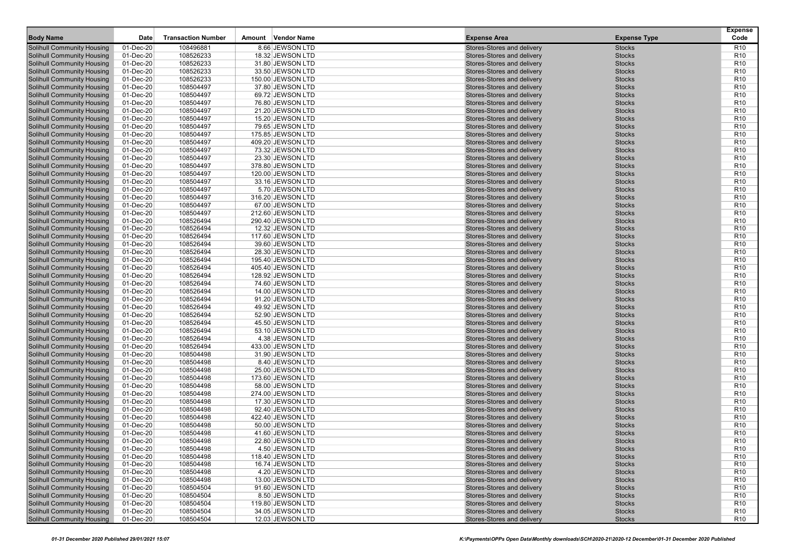| <b>Body Name</b>                                                       | Date                   | <b>Transaction Number</b> | Amount Vendor Name                   | <b>Expense Area</b>                                      | <b>Expense Type</b>            | <b>Expense</b><br>Code             |
|------------------------------------------------------------------------|------------------------|---------------------------|--------------------------------------|----------------------------------------------------------|--------------------------------|------------------------------------|
| <b>Solihull Community Housing</b>                                      | 01-Dec-20              | 108496881                 | 8.66 JEWSON LTD                      | Stores-Stores and delivery                               | <b>Stocks</b>                  | R10                                |
| <b>Solihull Community Housing</b>                                      | 01-Dec-20              | 108526233                 | 18.32 JEWSON LTD                     | Stores-Stores and delivery                               | <b>Stocks</b>                  | R <sub>10</sub>                    |
| <b>Solihull Community Housing</b>                                      | 01-Dec-20              | 108526233                 | 31.80 JEWSON LTD                     | Stores-Stores and delivery                               | <b>Stocks</b>                  | R <sub>10</sub>                    |
| <b>Solihull Community Housing</b>                                      | 01-Dec-20              | 108526233                 | 33.50 JEWSON LTD                     | Stores-Stores and delivery                               | <b>Stocks</b>                  | R <sub>10</sub>                    |
| <b>Solihull Community Housing</b>                                      | 01-Dec-20              | 108526233                 | 150.00 JEWSON LTD                    | Stores-Stores and delivery                               | <b>Stocks</b>                  | R <sub>10</sub>                    |
| <b>Solihull Community Housing</b>                                      | 01-Dec-20              | 108504497                 | 37.80 JEWSON LTD                     | Stores-Stores and delivery                               | <b>Stocks</b>                  | R <sub>10</sub>                    |
| <b>Solihull Community Housing</b>                                      | 01-Dec-20              | 108504497                 | 69.72 JEWSON LTD                     | Stores-Stores and delivery                               | <b>Stocks</b>                  | R <sub>10</sub>                    |
| <b>Solihull Community Housing</b>                                      | 01-Dec-20              | 108504497                 | 76.80 JEWSON LTD                     | Stores-Stores and delivery                               | <b>Stocks</b>                  | R <sub>10</sub>                    |
| <b>Solihull Community Housing</b>                                      | 01-Dec-20              | 108504497                 | 21.20 JEWSON LTD                     | Stores-Stores and delivery                               | <b>Stocks</b>                  | R <sub>10</sub>                    |
| <b>Solihull Community Housing</b>                                      | 01-Dec-20              | 108504497                 | 15.20 JEWSON LTD                     | Stores-Stores and delivery                               | <b>Stocks</b>                  | R <sub>10</sub>                    |
| <b>Solihull Community Housing</b>                                      | 01-Dec-20              | 108504497                 | 79.65 JEWSON LTD                     | Stores-Stores and delivery                               | <b>Stocks</b>                  | R <sub>10</sub>                    |
| <b>Solihull Community Housing</b>                                      | 01-Dec-20              | 108504497                 | 175.85 JEWSON LTD                    | Stores-Stores and delivery                               | <b>Stocks</b>                  | R <sub>10</sub>                    |
| <b>Solihull Community Housing</b>                                      | 01-Dec-20              | 108504497                 | 409.20 JEWSON LTD                    | Stores-Stores and delivery                               | <b>Stocks</b>                  | R <sub>10</sub>                    |
| <b>Solihull Community Housing</b>                                      | 01-Dec-20              | 108504497                 | 73.32 JEWSON LTD                     | Stores-Stores and delivery                               | <b>Stocks</b>                  | R <sub>10</sub>                    |
| <b>Solihull Community Housing</b>                                      | 01-Dec-20              | 108504497                 | 23.30 JEWSON LTD                     | Stores-Stores and delivery                               | <b>Stocks</b>                  | R <sub>10</sub>                    |
| <b>Solihull Community Housing</b>                                      | 01-Dec-20              | 108504497                 | 378.80 JEWSON LTD                    | Stores-Stores and delivery                               | <b>Stocks</b>                  | R <sub>10</sub>                    |
| <b>Solihull Community Housing</b>                                      | 01-Dec-20              | 108504497                 | 120.00 JEWSON LTD                    | Stores-Stores and delivery                               | <b>Stocks</b>                  | R <sub>10</sub>                    |
| Solihull Community Housing                                             | 01-Dec-20              | 108504497                 | 33.16 JEWSON LTD                     | Stores-Stores and delivery                               | <b>Stocks</b>                  | R <sub>10</sub>                    |
| <b>Solihull Community Housing</b>                                      | 01-Dec-20              | 108504497                 | 5.70 JEWSON LTD                      | Stores-Stores and delivery                               | <b>Stocks</b>                  | R <sub>10</sub>                    |
| <b>Solihull Community Housing</b>                                      | 01-Dec-20              | 108504497                 | 316.20 JEWSON LTD                    | Stores-Stores and delivery                               | <b>Stocks</b>                  | R <sub>10</sub>                    |
| <b>Solihull Community Housing</b>                                      | 01-Dec-20              | 108504497                 | 67.00 JEWSON LTD                     | Stores-Stores and delivery                               | <b>Stocks</b>                  | R <sub>10</sub>                    |
| <b>Solihull Community Housing</b>                                      | 01-Dec-20              | 108504497                 | 212.60 JEWSON LTD                    | Stores-Stores and delivery                               | <b>Stocks</b>                  | R <sub>10</sub>                    |
| <b>Solihull Community Housing</b>                                      | 01-Dec-20              | 108526494                 | 290.40 JEWSON LTD                    | Stores-Stores and delivery                               | <b>Stocks</b>                  | R <sub>10</sub>                    |
| <b>Solihull Community Housing</b>                                      | 01-Dec-20              | 108526494                 | 12.32 JEWSON LTD                     | Stores-Stores and delivery                               | <b>Stocks</b>                  | R <sub>10</sub>                    |
| <b>Solihull Community Housing</b>                                      | 01-Dec-20              | 108526494                 | 117.60 JEWSON LTD                    | Stores-Stores and delivery                               | <b>Stocks</b>                  | R <sub>10</sub>                    |
| <b>Solihull Community Housing</b>                                      | 01-Dec-20              | 108526494                 | 39.60 JEWSON LTD                     | Stores-Stores and delivery                               | <b>Stocks</b>                  | R <sub>10</sub>                    |
| <b>Solihull Community Housing</b>                                      | 01-Dec-20              | 108526494                 | 28.30 JEWSON LTD                     | Stores-Stores and delivery                               | <b>Stocks</b>                  | R <sub>10</sub>                    |
| Solihull Community Housing                                             | 01-Dec-20              | 108526494                 | 195.40 JEWSON LTD                    | Stores-Stores and delivery                               | <b>Stocks</b>                  | R <sub>10</sub>                    |
| <b>Solihull Community Housing</b>                                      | 01-Dec-20              | 108526494                 | 405.40 JEWSON LTD                    | Stores-Stores and delivery                               | <b>Stocks</b>                  | R <sub>10</sub>                    |
| <b>Solihull Community Housing</b>                                      | 01-Dec-20              | 108526494                 | 128.92 JEWSON LTD                    | Stores-Stores and delivery                               | <b>Stocks</b>                  | R <sub>10</sub>                    |
| <b>Solihull Community Housing</b>                                      | 01-Dec-20              | 108526494                 | 74.60 JEWSON LTD                     | Stores-Stores and delivery                               | <b>Stocks</b>                  | R <sub>10</sub>                    |
| <b>Solihull Community Housing</b>                                      | 01-Dec-20              | 108526494                 | 14.00 JEWSON LTD                     | Stores-Stores and delivery                               | <b>Stocks</b>                  | R <sub>10</sub>                    |
| <b>Solihull Community Housing</b>                                      | 01-Dec-20              | 108526494                 | 91.20 JEWSON LTD                     | Stores-Stores and delivery                               | <b>Stocks</b>                  | R <sub>10</sub>                    |
| <b>Solihull Community Housing</b><br><b>Solihull Community Housing</b> | 01-Dec-20<br>01-Dec-20 | 108526494<br>108526494    | 49.92 JEWSON LTD<br>52.90 JEWSON LTD | Stores-Stores and delivery<br>Stores-Stores and delivery | <b>Stocks</b><br><b>Stocks</b> | R <sub>10</sub><br>R <sub>10</sub> |
| <b>Solihull Community Housing</b>                                      | 01-Dec-20              | 108526494                 | 45.50 JEWSON LTD                     | Stores-Stores and delivery                               | <b>Stocks</b>                  | R <sub>10</sub>                    |
| <b>Solihull Community Housing</b>                                      | 01-Dec-20              | 108526494                 | 53.10 JEWSON LTD                     | Stores-Stores and delivery                               | <b>Stocks</b>                  | R <sub>10</sub>                    |
| Solihull Community Housing                                             | 01-Dec-20              | 108526494                 | 4.38 JEWSON LTD                      | Stores-Stores and delivery                               | <b>Stocks</b>                  | R <sub>10</sub>                    |
| <b>Solihull Community Housing</b>                                      | 01-Dec-20              | 108526494                 | 433.00 JEWSON LTD                    | Stores-Stores and delivery                               | <b>Stocks</b>                  | R <sub>10</sub>                    |
| <b>Solihull Community Housing</b>                                      | 01-Dec-20              | 108504498                 | 31.90 JEWSON LTD                     | Stores-Stores and delivery                               | <b>Stocks</b>                  | R <sub>10</sub>                    |
| <b>Solihull Community Housing</b>                                      | 01-Dec-20              | 108504498                 | 8.40 JEWSON LTD                      | Stores-Stores and delivery                               | <b>Stocks</b>                  | R <sub>10</sub>                    |
| <b>Solihull Community Housing</b>                                      | 01-Dec-20              | 108504498                 | 25.00 JEWSON LTD                     | Stores-Stores and delivery                               | <b>Stocks</b>                  | R <sub>10</sub>                    |
| Solihull Community Housing                                             | 01-Dec-20              | 108504498                 | 173.60 JEWSON LTD                    | Stores-Stores and delivery                               | <b>Stocks</b>                  | R <sub>10</sub>                    |
| <b>Solihull Community Housing</b>                                      | 01-Dec-20              | 108504498                 | 58.00 JEWSON LTD                     | Stores-Stores and delivery                               | <b>Stocks</b>                  | R <sub>10</sub>                    |
| <b>Solihull Community Housing</b>                                      | 01-Dec-20              | 108504498                 | 274.00 JEWSON LTD                    | Stores-Stores and delivery                               | <b>Stocks</b>                  | R <sub>10</sub>                    |
| <b>Solihull Community Housing</b>                                      | 01-Dec-20              | 108504498                 | 17.30 JEWSON LTD                     | Stores-Stores and delivery                               | <b>Stocks</b>                  | R <sub>10</sub>                    |
| <b>Solihull Community Housing</b>                                      | 01-Dec-20              | 108504498                 | 92.40 JEWSON LTD                     | Stores-Stores and delivery                               | <b>Stocks</b>                  | R <sub>10</sub>                    |
| Solihull Community Housing                                             | 01-Dec-20              | 108504498                 | 422.40 JEWSON LTD                    | Stores-Stores and delivery                               | <b>Stocks</b>                  | R <sub>10</sub>                    |
| <b>Solihull Community Housing</b>                                      | 01-Dec-20              | 108504498                 | 50.00 JEWSON LTD                     | Stores-Stores and delivery                               | <b>Stocks</b>                  | R <sub>10</sub>                    |
| <b>Solihull Community Housing</b>                                      | 01-Dec-20              | 108504498                 | 41.60 JEWSON LTD                     | Stores-Stores and delivery                               | <b>Stocks</b>                  | R <sub>10</sub>                    |
| <b>Solihull Community Housing</b>                                      | 01-Dec-20              | 108504498                 | 22.80 JEWSON LTD                     | Stores-Stores and delivery                               | <b>Stocks</b>                  | R <sub>10</sub>                    |
| <b>Solihull Community Housing</b>                                      | 01-Dec-20              | 108504498                 | 4.50 JEWSON LTD                      | Stores-Stores and delivery                               | <b>Stocks</b>                  | R <sub>10</sub>                    |
| <b>Solihull Community Housing</b>                                      | 01-Dec-20              | 108504498                 | 118.40 JEWSON LTD                    | Stores-Stores and delivery                               | <b>Stocks</b>                  | R <sub>10</sub>                    |
| <b>Solihull Community Housing</b>                                      | 01-Dec-20              | 108504498                 | 16.74 JEWSON LTD                     | Stores-Stores and delivery                               | <b>Stocks</b>                  | R <sub>10</sub>                    |
| <b>Solihull Community Housing</b>                                      | 01-Dec-20              | 108504498                 | 4.20 JEWSON LTD                      | Stores-Stores and delivery                               | <b>Stocks</b>                  | R <sub>10</sub>                    |
| <b>Solihull Community Housing</b>                                      | 01-Dec-20              | 108504498                 | 13.00 JEWSON LTD                     | Stores-Stores and delivery                               | <b>Stocks</b>                  | R <sub>10</sub>                    |
| <b>Solihull Community Housing</b>                                      | 01-Dec-20              | 108504504                 | 91.60 JEWSON LTD                     | Stores-Stores and delivery                               | <b>Stocks</b>                  | R <sub>10</sub>                    |
| <b>Solihull Community Housing</b>                                      | 01-Dec-20              | 108504504                 | 8.50 JEWSON LTD                      | Stores-Stores and delivery                               | <b>Stocks</b>                  | R <sub>10</sub>                    |
| <b>Solihull Community Housing</b>                                      | 01-Dec-20              | 108504504                 | 119.80 JEWSON LTD                    | Stores-Stores and delivery                               | <b>Stocks</b>                  | R <sub>10</sub>                    |
| <b>Solihull Community Housing</b>                                      | 01-Dec-20              | 108504504                 | 34.05 JEWSON LTD                     | Stores-Stores and delivery                               | <b>Stocks</b>                  | R <sub>10</sub>                    |
| <b>Solihull Community Housing</b>                                      | 01-Dec-20              | 108504504                 | 12.03 JEWSON LTD                     | Stores-Stores and delivery                               | <b>Stocks</b>                  | R <sub>10</sub>                    |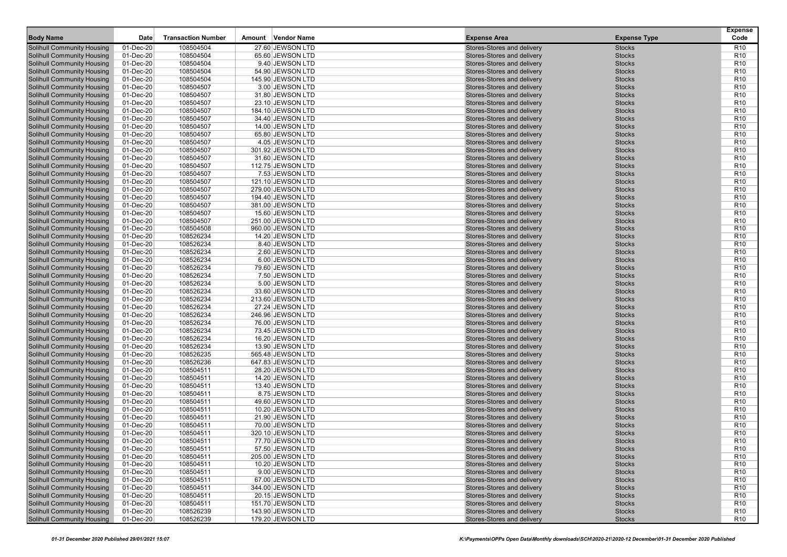| <b>Body Name</b>                                                       | Date                   | <b>Transaction Number</b> | Vendor Name<br>Amount               | <b>Expense Area</b>                                      | <b>Expense Type</b>            | <b>Expense</b><br>Code             |
|------------------------------------------------------------------------|------------------------|---------------------------|-------------------------------------|----------------------------------------------------------|--------------------------------|------------------------------------|
| <b>Solihull Community Housing</b>                                      | 01-Dec-20              | 108504504                 | 27.60 JEWSON LTD                    | Stores-Stores and delivery                               | <b>Stocks</b>                  | R <sub>10</sub>                    |
| <b>Solihull Community Housing</b>                                      | 01-Dec-20              | 108504504                 | 65.60 JEWSON LTD                    | Stores-Stores and delivery                               | <b>Stocks</b>                  | R <sub>10</sub>                    |
| <b>Solihull Community Housing</b>                                      | 01-Dec-20              | 108504504                 | 9.40 JEWSON LTD                     | Stores-Stores and delivery                               | <b>Stocks</b>                  | R <sub>10</sub>                    |
| <b>Solihull Community Housing</b>                                      | 01-Dec-20              | 108504504                 | 54.90 JEWSON LTD                    | Stores-Stores and delivery                               | <b>Stocks</b>                  | R <sub>10</sub>                    |
| <b>Solihull Community Housing</b>                                      | 01-Dec-20              | 108504504                 | 145.90 JEWSON LTD                   | Stores-Stores and delivery                               | <b>Stocks</b>                  | R <sub>10</sub>                    |
| <b>Solihull Community Housing</b>                                      | 01-Dec-20              | 108504507                 | 3.00 JEWSON LTD                     | Stores-Stores and delivery                               | <b>Stocks</b>                  | R <sub>10</sub>                    |
| <b>Solihull Community Housing</b>                                      | 01-Dec-20              | 108504507                 | 31.80 JEWSON LTD                    | Stores-Stores and delivery                               | <b>Stocks</b>                  | R <sub>10</sub>                    |
| <b>Solihull Community Housing</b>                                      | 01-Dec-20              | 108504507                 | 23.10 JEWSON LTD                    | Stores-Stores and delivery                               | <b>Stocks</b>                  | R <sub>10</sub>                    |
| <b>Solihull Community Housing</b>                                      | 01-Dec-20              | 108504507                 | 184.10 JEWSON LTD                   | Stores-Stores and delivery                               | <b>Stocks</b>                  | R <sub>10</sub>                    |
| <b>Solihull Community Housing</b>                                      | 01-Dec-20              | 108504507                 | 34.40 JEWSON LTD                    | Stores-Stores and delivery                               | <b>Stocks</b>                  | R <sub>10</sub>                    |
| <b>Solihull Community Housing</b>                                      | 01-Dec-20              | 108504507                 | 14.00 JEWSON LTD                    | Stores-Stores and delivery                               | <b>Stocks</b>                  | R <sub>10</sub>                    |
| <b>Solihull Community Housing</b>                                      | 01-Dec-20              | 108504507                 | 65.80 JEWSON LTD                    | Stores-Stores and delivery                               | <b>Stocks</b>                  | R <sub>10</sub>                    |
| <b>Solihull Community Housing</b>                                      | 01-Dec-20              | 108504507                 | 4.05 JEWSON LTD                     | Stores-Stores and delivery                               | <b>Stocks</b>                  | R <sub>10</sub>                    |
| <b>Solihull Community Housing</b>                                      | 01-Dec-20              | 108504507                 | 301.92 JEWSON LTD                   | Stores-Stores and delivery                               | <b>Stocks</b>                  | R <sub>10</sub>                    |
| <b>Solihull Community Housing</b>                                      | 01-Dec-20              | 108504507                 | 31.60 JEWSON LTD                    | Stores-Stores and delivery                               | <b>Stocks</b>                  | R <sub>10</sub>                    |
| <b>Solihull Community Housing</b>                                      | 01-Dec-20              | 108504507                 | 112.75 JEWSON LTD                   | Stores-Stores and delivery                               | <b>Stocks</b>                  | R <sub>10</sub>                    |
| <b>Solihull Community Housing</b>                                      | 01-Dec-20              | 108504507                 | 7.53 JEWSON LTD                     | Stores-Stores and delivery                               | <b>Stocks</b>                  | R <sub>10</sub>                    |
| <b>Solihull Community Housing</b>                                      | 01-Dec-20              | 108504507                 | 121.10 JEWSON LTD                   | Stores-Stores and delivery                               | <b>Stocks</b>                  | R <sub>10</sub>                    |
| <b>Solihull Community Housing</b>                                      | 01-Dec-20              | 108504507                 | 279.00 JEWSON LTD                   | Stores-Stores and delivery                               | <b>Stocks</b>                  | R <sub>10</sub>                    |
| <b>Solihull Community Housing</b>                                      | 01-Dec-20              | 108504507                 | 194.40 JEWSON LTD                   | Stores-Stores and delivery                               | <b>Stocks</b>                  | R <sub>10</sub>                    |
| <b>Solihull Community Housing</b>                                      | 01-Dec-20              | 108504507                 | 381.00 JEWSON LTD                   | Stores-Stores and delivery                               | <b>Stocks</b>                  | R <sub>10</sub>                    |
| <b>Solihull Community Housing</b>                                      | 01-Dec-20              | 108504507                 | 15.60 JEWSON LTD                    | Stores-Stores and delivery                               | <b>Stocks</b>                  | R <sub>10</sub>                    |
| <b>Solihull Community Housing</b>                                      | 01-Dec-20              | 108504507                 | 251.00 JEWSON LTD                   | Stores-Stores and delivery                               | <b>Stocks</b>                  | R <sub>10</sub>                    |
| <b>Solihull Community Housing</b>                                      | 01-Dec-20              | 108504508                 | 960.00 JEWSON LTD                   | Stores-Stores and delivery                               | <b>Stocks</b>                  | R <sub>10</sub>                    |
| <b>Solihull Community Housing</b>                                      | 01-Dec-20              | 108526234                 | 14.20 JEWSON LTD                    | Stores-Stores and delivery                               | <b>Stocks</b>                  | R <sub>10</sub>                    |
| <b>Solihull Community Housing</b>                                      | 01-Dec-20              | 108526234                 | 8.40 JEWSON LTD                     | Stores-Stores and delivery                               | <b>Stocks</b>                  | R <sub>10</sub>                    |
| <b>Solihull Community Housing</b>                                      | 01-Dec-20              | 108526234                 | 2.60 JEWSON LTD                     | Stores-Stores and delivery                               | <b>Stocks</b>                  | R <sub>10</sub>                    |
| <b>Solihull Community Housing</b>                                      | 01-Dec-20              | 108526234                 | 6.00 JEWSON LTD                     | Stores-Stores and delivery                               | <b>Stocks</b>                  | R <sub>10</sub>                    |
| <b>Solihull Community Housing</b>                                      | 01-Dec-20              | 108526234                 | 79.60 JEWSON LTD                    | Stores-Stores and delivery                               | <b>Stocks</b>                  | R <sub>10</sub>                    |
| <b>Solihull Community Housing</b>                                      | 01-Dec-20              | 108526234                 | 7.50 JEWSON LTD                     | Stores-Stores and delivery                               | <b>Stocks</b>                  | R <sub>10</sub>                    |
| <b>Solihull Community Housing</b><br><b>Solihull Community Housing</b> | 01-Dec-20<br>01-Dec-20 | 108526234<br>108526234    | 5.00 JEWSON LTD<br>33.60 JEWSON LTD | Stores-Stores and delivery<br>Stores-Stores and delivery | <b>Stocks</b><br><b>Stocks</b> | R <sub>10</sub><br>R <sub>10</sub> |
| <b>Solihull Community Housing</b>                                      | 01-Dec-20              | 108526234                 | 213.60 JEWSON LTD                   | Stores-Stores and delivery                               | <b>Stocks</b>                  | R <sub>10</sub>                    |
| <b>Solihull Community Housing</b>                                      | 01-Dec-20              | 108526234                 | 27.24 JEWSON LTD                    | Stores-Stores and delivery                               | <b>Stocks</b>                  | R <sub>10</sub>                    |
| <b>Solihull Community Housing</b>                                      | 01-Dec-20              | 108526234                 | 246.96 JEWSON LTD                   | Stores-Stores and delivery                               | <b>Stocks</b>                  | R <sub>10</sub>                    |
| <b>Solihull Community Housing</b>                                      | 01-Dec-20              | 108526234                 | 76.00 JEWSON LTD                    | Stores-Stores and delivery                               | <b>Stocks</b>                  | R <sub>10</sub>                    |
| <b>Solihull Community Housing</b>                                      | 01-Dec-20              | 108526234                 | 73.45 JEWSON LTD                    | Stores-Stores and delivery                               | <b>Stocks</b>                  | R <sub>10</sub>                    |
| <b>Solihull Community Housing</b>                                      | 01-Dec-20              | 108526234                 | 16.20 JEWSON LTD                    | Stores-Stores and delivery                               | <b>Stocks</b>                  | R <sub>10</sub>                    |
| <b>Solihull Community Housing</b>                                      | 01-Dec-20              | 108526234                 | 13.90 JEWSON LTD                    | Stores-Stores and delivery                               | <b>Stocks</b>                  | R <sub>10</sub>                    |
| <b>Solihull Community Housing</b>                                      | 01-Dec-20              | 108526235                 | 565.48 JEWSON LTD                   | Stores-Stores and delivery                               | <b>Stocks</b>                  | R <sub>10</sub>                    |
| <b>Solihull Community Housing</b>                                      | 01-Dec-20              | 108526236                 | 647.83 JEWSON LTD                   | Stores-Stores and delivery                               | <b>Stocks</b>                  | R <sub>10</sub>                    |
| <b>Solihull Community Housing</b>                                      | 01-Dec-20              | 108504511                 | 28.20 JEWSON LTD                    | Stores-Stores and delivery                               | <b>Stocks</b>                  | R <sub>10</sub>                    |
| <b>Solihull Community Housing</b>                                      | 01-Dec-20              | 108504511                 | 14.20 JEWSON LTD                    | Stores-Stores and delivery                               | <b>Stocks</b>                  | R <sub>10</sub>                    |
| <b>Solihull Community Housing</b>                                      | 01-Dec-20              | 108504511                 | 13.40 JEWSON LTD                    | Stores-Stores and delivery                               | <b>Stocks</b>                  | R <sub>10</sub>                    |
| <b>Solihull Community Housing</b>                                      | 01-Dec-20              | 108504511                 | 8.75 JEWSON LTD                     | Stores-Stores and delivery                               | <b>Stocks</b>                  | R <sub>10</sub>                    |
| <b>Solihull Community Housing</b>                                      | 01-Dec-20              | 108504511                 | 49.60 JEWSON LTD                    | Stores-Stores and delivery                               | <b>Stocks</b>                  | R <sub>10</sub>                    |
| <b>Solihull Community Housing</b>                                      | 01-Dec-20              | 108504511                 | 10.20 JEWSON LTD                    | Stores-Stores and delivery                               | <b>Stocks</b>                  | R <sub>10</sub>                    |
| <b>Solihull Community Housing</b>                                      | 01-Dec-20              | 108504511                 | 21.90 JEWSON LTD                    | Stores-Stores and delivery                               | <b>Stocks</b>                  | R <sub>10</sub>                    |
| <b>Solihull Community Housing</b>                                      | 01-Dec-20              | 108504511                 | 70.00 JEWSON LTD                    | Stores-Stores and delivery                               | <b>Stocks</b>                  | R <sub>10</sub>                    |
| <b>Solihull Community Housing</b>                                      | 01-Dec-20              | 108504511                 | 320.10 JEWSON LTD                   | Stores-Stores and delivery                               | <b>Stocks</b>                  | R <sub>10</sub>                    |
| <b>Solihull Community Housing</b>                                      | 01-Dec-20              | 108504511                 | 77.70 JEWSON LTD                    | Stores-Stores and delivery                               | <b>Stocks</b>                  | R <sub>10</sub>                    |
| <b>Solihull Community Housing</b>                                      | 01-Dec-20              | 108504511                 | 57.50 JEWSON LTD                    | Stores-Stores and delivery                               | <b>Stocks</b>                  | R <sub>10</sub>                    |
| <b>Solihull Community Housing</b>                                      | 01-Dec-20              | 108504511                 | 205.00 JEWSON LTD                   | Stores-Stores and delivery                               | <b>Stocks</b>                  | R <sub>10</sub>                    |
| <b>Solihull Community Housing</b>                                      | 01-Dec-20              | 108504511                 | 10.20 JEWSON LTD                    | Stores-Stores and delivery                               | <b>Stocks</b>                  | R <sub>10</sub>                    |
| <b>Solihull Community Housing</b>                                      | 01-Dec-20              | 108504511                 | 9.00 JEWSON LTD                     | Stores-Stores and delivery                               | <b>Stocks</b>                  | R <sub>10</sub>                    |
| <b>Solihull Community Housing</b>                                      | 01-Dec-20              | 108504511                 | 67.00 JEWSON LTD                    | Stores-Stores and delivery                               | <b>Stocks</b>                  | R <sub>10</sub>                    |
| <b>Solihull Community Housing</b>                                      | 01-Dec-20              | 108504511                 | 344.00 JEWSON LTD                   | Stores-Stores and delivery                               | <b>Stocks</b>                  | R <sub>10</sub>                    |
| <b>Solihull Community Housing</b>                                      | 01-Dec-20              | 108504511                 | 20.15 JEWSON LTD                    | Stores-Stores and delivery                               | <b>Stocks</b>                  | R <sub>10</sub>                    |
| <b>Solihull Community Housing</b>                                      | 01-Dec-20              | 108504511                 | 151.70 JEWSON LTD                   | Stores-Stores and delivery                               | <b>Stocks</b>                  | R <sub>10</sub>                    |
| <b>Solihull Community Housing</b>                                      | 01-Dec-20              | 108526239                 | 143.90 JEWSON LTD                   | Stores-Stores and delivery                               | <b>Stocks</b>                  | R <sub>10</sub>                    |
| <b>Solihull Community Housing</b>                                      | 01-Dec-20              | 108526239                 | 179.20 JEWSON LTD                   | Stores-Stores and delivery                               | <b>Stocks</b>                  | <b>R10</b>                         |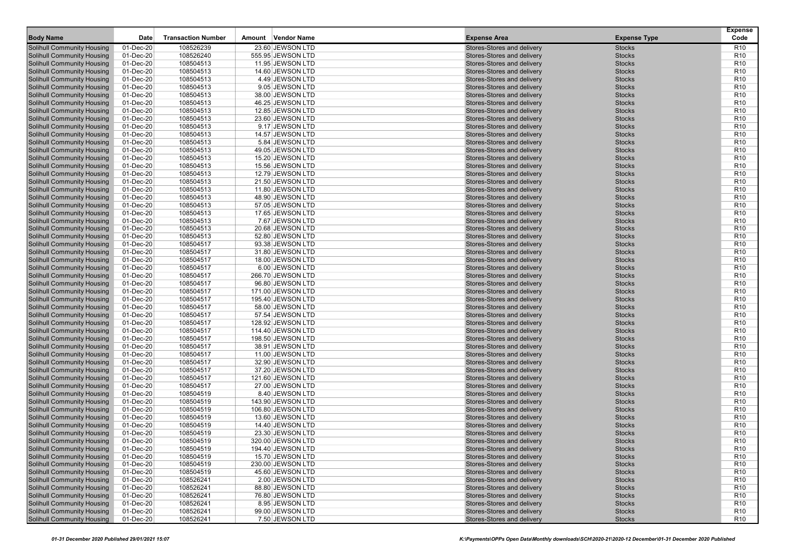| <b>Body Name</b>                                                       | Date                   | <b>Transaction Number</b> | Vendor Name<br>Amount                 | <b>Expense Area</b>                                      | <b>Expense Type</b>            | <b>Expense</b><br>Code             |
|------------------------------------------------------------------------|------------------------|---------------------------|---------------------------------------|----------------------------------------------------------|--------------------------------|------------------------------------|
| <b>Solihull Community Housing</b>                                      | 01-Dec-20              | 108526239                 | 23.60 JEWSON LTD                      | Stores-Stores and delivery                               | <b>Stocks</b>                  | R <sub>10</sub>                    |
| <b>Solihull Community Housing</b>                                      | 01-Dec-20              | 108526240                 | 555.95 JEWSON LTD                     | Stores-Stores and delivery                               | <b>Stocks</b>                  | R <sub>10</sub>                    |
| <b>Solihull Community Housing</b>                                      | 01-Dec-20              | 108504513                 | 11.95 JEWSON LTD                      | Stores-Stores and delivery                               | <b>Stocks</b>                  | R <sub>10</sub>                    |
| <b>Solihull Community Housing</b>                                      | 01-Dec-20              | 108504513                 | 14.60 JEWSON LTD                      | Stores-Stores and delivery                               | <b>Stocks</b>                  | R <sub>10</sub>                    |
| <b>Solihull Community Housing</b>                                      | 01-Dec-20              | 108504513                 | 4.49 JEWSON LTD                       | Stores-Stores and delivery                               | <b>Stocks</b>                  | R <sub>10</sub>                    |
| <b>Solihull Community Housing</b>                                      | 01-Dec-20              | 108504513                 | 9.05 JEWSON LTD                       | Stores-Stores and delivery                               | <b>Stocks</b>                  | R <sub>10</sub>                    |
| <b>Solihull Community Housing</b>                                      | 01-Dec-20              | 108504513                 | 38.00 JEWSON LTD                      | Stores-Stores and delivery                               | <b>Stocks</b>                  | R <sub>10</sub>                    |
| <b>Solihull Community Housing</b>                                      | 01-Dec-20              | 108504513                 | 46.25 JEWSON LTD                      | Stores-Stores and delivery                               | <b>Stocks</b>                  | R <sub>10</sub>                    |
| <b>Solihull Community Housing</b>                                      | 01-Dec-20              | 108504513                 | 12.85 JEWSON LTD                      | Stores-Stores and delivery                               | <b>Stocks</b>                  | R <sub>10</sub>                    |
| <b>Solihull Community Housing</b>                                      | 01-Dec-20              | 108504513                 | 23.60 JEWSON LTD                      | Stores-Stores and delivery                               | <b>Stocks</b>                  | R <sub>10</sub>                    |
| <b>Solihull Community Housing</b>                                      | 01-Dec-20              | 108504513                 | 9.17 JEWSON LTD                       | Stores-Stores and delivery                               | <b>Stocks</b>                  | R <sub>10</sub>                    |
| <b>Solihull Community Housing</b>                                      | 01-Dec-20              | 108504513                 | 14.57 JEWSON LTD                      | Stores-Stores and delivery                               | <b>Stocks</b>                  | R <sub>10</sub>                    |
| <b>Solihull Community Housing</b>                                      | 01-Dec-20              | 108504513                 | 5.84 JEWSON LTD                       | Stores-Stores and delivery                               | <b>Stocks</b>                  | R <sub>10</sub>                    |
| <b>Solihull Community Housing</b>                                      | 01-Dec-20              | 108504513                 | 49.05 JEWSON LTD                      | Stores-Stores and delivery                               | <b>Stocks</b>                  | R <sub>10</sub>                    |
| <b>Solihull Community Housing</b>                                      | 01-Dec-20              | 108504513                 | 15.20 JEWSON LTD                      | Stores-Stores and delivery                               | <b>Stocks</b>                  | R <sub>10</sub>                    |
| <b>Solihull Community Housing</b>                                      | 01-Dec-20              | 108504513                 | 15.56 JEWSON LTD                      | Stores-Stores and delivery                               | <b>Stocks</b>                  | R <sub>10</sub>                    |
| <b>Solihull Community Housing</b>                                      | 01-Dec-20              | 108504513                 | 12.79 JEWSON LTD                      | Stores-Stores and delivery                               | <b>Stocks</b>                  | R <sub>10</sub>                    |
| <b>Solihull Community Housing</b>                                      | 01-Dec-20              | 108504513                 | 21.50 JEWSON LTD                      | Stores-Stores and delivery                               | <b>Stocks</b>                  | R <sub>10</sub>                    |
| <b>Solihull Community Housing</b>                                      | 01-Dec-20              | 108504513                 | 11.80 JEWSON LTD                      | Stores-Stores and delivery                               | <b>Stocks</b>                  | R <sub>10</sub>                    |
| <b>Solihull Community Housing</b>                                      | 01-Dec-20              | 108504513                 | 48.90 JEWSON LTD                      | Stores-Stores and delivery                               | <b>Stocks</b>                  | R <sub>10</sub>                    |
| <b>Solihull Community Housing</b>                                      | 01-Dec-20              | 108504513                 | 57.05 JEWSON LTD                      | Stores-Stores and delivery                               | <b>Stocks</b>                  | R <sub>10</sub>                    |
| <b>Solihull Community Housing</b>                                      | 01-Dec-20              | 108504513                 | 17.65 JEWSON LTD                      | Stores-Stores and delivery                               | <b>Stocks</b>                  | R <sub>10</sub>                    |
| <b>Solihull Community Housing</b>                                      | 01-Dec-20              | 108504513                 | 7.67 JEWSON LTD                       | Stores-Stores and delivery                               | <b>Stocks</b>                  | R <sub>10</sub>                    |
| <b>Solihull Community Housing</b>                                      | 01-Dec-20              | 108504513                 | 20.68 JEWSON LTD                      | Stores-Stores and delivery                               | <b>Stocks</b>                  | R <sub>10</sub>                    |
| <b>Solihull Community Housing</b>                                      | 01-Dec-20              | 108504513                 | 52.80 JEWSON LTD                      | Stores-Stores and delivery                               | <b>Stocks</b>                  | R <sub>10</sub>                    |
| <b>Solihull Community Housing</b>                                      | 01-Dec-20              | 108504517                 | 93.38 JEWSON LTD                      | Stores-Stores and delivery                               | <b>Stocks</b>                  | R <sub>10</sub>                    |
| <b>Solihull Community Housing</b>                                      | 01-Dec-20              | 108504517                 | 31.80 JEWSON LTD                      | Stores-Stores and delivery                               | <b>Stocks</b>                  | R <sub>10</sub>                    |
| <b>Solihull Community Housing</b>                                      | 01-Dec-20              | 108504517                 | 18.00 JEWSON LTD                      | Stores-Stores and delivery                               | <b>Stocks</b>                  | R <sub>10</sub>                    |
| <b>Solihull Community Housing</b><br><b>Solihull Community Housing</b> | 01-Dec-20<br>01-Dec-20 | 108504517<br>108504517    | 6.00 JEWSON LTD                       | Stores-Stores and delivery<br>Stores-Stores and delivery | <b>Stocks</b><br><b>Stocks</b> | R <sub>10</sub><br>R <sub>10</sub> |
| <b>Solihull Community Housing</b>                                      | 01-Dec-20              | 108504517                 | 266.70 JEWSON LTD<br>96.80 JEWSON LTD | Stores-Stores and delivery                               | <b>Stocks</b>                  | R <sub>10</sub>                    |
| <b>Solihull Community Housing</b>                                      | 01-Dec-20              | 108504517                 | 171.00 JEWSON LTD                     | Stores-Stores and delivery                               | <b>Stocks</b>                  | R <sub>10</sub>                    |
| <b>Solihull Community Housing</b>                                      | 01-Dec-20              | 108504517                 | 195.40 JEWSON LTD                     | Stores-Stores and delivery                               | <b>Stocks</b>                  | R <sub>10</sub>                    |
| <b>Solihull Community Housing</b>                                      | 01-Dec-20              | 108504517                 | 58.00 JEWSON LTD                      | Stores-Stores and delivery                               | <b>Stocks</b>                  | R <sub>10</sub>                    |
| <b>Solihull Community Housing</b>                                      | 01-Dec-20              | 108504517                 | 57.54 JEWSON LTD                      | Stores-Stores and delivery                               | <b>Stocks</b>                  | R <sub>10</sub>                    |
| <b>Solihull Community Housing</b>                                      | 01-Dec-20              | 108504517                 | 128.92 JEWSON LTD                     | Stores-Stores and delivery                               | <b>Stocks</b>                  | R <sub>10</sub>                    |
| <b>Solihull Community Housing</b>                                      | 01-Dec-20              | 108504517                 | 114.40 JEWSON LTD                     | Stores-Stores and delivery                               | <b>Stocks</b>                  | R <sub>10</sub>                    |
| <b>Solihull Community Housing</b>                                      | 01-Dec-20              | 108504517                 | 198.50 JEWSON LTD                     | Stores-Stores and delivery                               | <b>Stocks</b>                  | R <sub>10</sub>                    |
| <b>Solihull Community Housing</b>                                      | 01-Dec-20              | 108504517                 | 38.91 JEWSON LTD                      | Stores-Stores and delivery                               | <b>Stocks</b>                  | R <sub>10</sub>                    |
| <b>Solihull Community Housing</b>                                      | 01-Dec-20              | 108504517                 | 11.00 JEWSON LTD                      | Stores-Stores and delivery                               | <b>Stocks</b>                  | R <sub>10</sub>                    |
| <b>Solihull Community Housing</b>                                      | 01-Dec-20              | 108504517                 | 32.90 JEWSON LTD                      | Stores-Stores and delivery                               | <b>Stocks</b>                  | R <sub>10</sub>                    |
| <b>Solihull Community Housing</b>                                      | 01-Dec-20              | 108504517                 | 37.20 JEWSON LTD                      | Stores-Stores and delivery                               | <b>Stocks</b>                  | R <sub>10</sub>                    |
| <b>Solihull Community Housing</b>                                      | 01-Dec-20              | 108504517                 | 121.60 JEWSON LTD                     | Stores-Stores and delivery                               | <b>Stocks</b>                  | R <sub>10</sub>                    |
| <b>Solihull Community Housing</b>                                      | 01-Dec-20              | 108504517                 | 27.00 JEWSON LTD                      | Stores-Stores and delivery                               | <b>Stocks</b>                  | R <sub>10</sub>                    |
| <b>Solihull Community Housing</b>                                      | 01-Dec-20              | 108504519                 | 8.40 JEWSON LTD                       | Stores-Stores and delivery                               | <b>Stocks</b>                  | R <sub>10</sub>                    |
| <b>Solihull Community Housing</b>                                      | 01-Dec-20              | 108504519                 | 143.90 JEWSON LTD                     | Stores-Stores and delivery                               | <b>Stocks</b>                  | R <sub>10</sub>                    |
| <b>Solihull Community Housing</b>                                      | 01-Dec-20              | 108504519                 | 106.80 JEWSON LTD                     | Stores-Stores and delivery                               | <b>Stocks</b>                  | R <sub>10</sub>                    |
| <b>Solihull Community Housing</b>                                      | 01-Dec-20              | 108504519                 | 13.60 JEWSON LTD                      | Stores-Stores and delivery                               | <b>Stocks</b>                  | R <sub>10</sub>                    |
| <b>Solihull Community Housing</b>                                      | 01-Dec-20              | 108504519                 | 14.40 JEWSON LTD                      | Stores-Stores and delivery                               | <b>Stocks</b>                  | R <sub>10</sub>                    |
| <b>Solihull Community Housing</b>                                      | 01-Dec-20              | 108504519                 | 23.30 JEWSON LTD                      | Stores-Stores and delivery                               | <b>Stocks</b>                  | R <sub>10</sub>                    |
| <b>Solihull Community Housing</b>                                      | 01-Dec-20              | 108504519                 | 320.00 JEWSON LTD                     | Stores-Stores and delivery                               | <b>Stocks</b>                  | R <sub>10</sub>                    |
| <b>Solihull Community Housing</b>                                      | 01-Dec-20              | 108504519                 | 194.40 JEWSON LTD                     | Stores-Stores and delivery                               | <b>Stocks</b>                  | R <sub>10</sub>                    |
| <b>Solihull Community Housing</b>                                      | 01-Dec-20              | 108504519                 | 15.70 JEWSON LTD                      | Stores-Stores and delivery                               | <b>Stocks</b>                  | R <sub>10</sub>                    |
| <b>Solihull Community Housing</b>                                      | 01-Dec-20              | 108504519                 | 230.00 JEWSON LTD                     | Stores-Stores and delivery                               | <b>Stocks</b>                  | R <sub>10</sub>                    |
| <b>Solihull Community Housing</b>                                      | 01-Dec-20              | 108504519                 | 45.60 JEWSON LTD                      | Stores-Stores and delivery                               | <b>Stocks</b>                  | R <sub>10</sub>                    |
| <b>Solihull Community Housing</b>                                      | 01-Dec-20              | 108526241                 | 2.00 JEWSON LTD                       | Stores-Stores and delivery                               | <b>Stocks</b>                  | R <sub>10</sub>                    |
| <b>Solihull Community Housing</b>                                      | 01-Dec-20              | 108526241                 | 88.80 JEWSON LTD                      | Stores-Stores and delivery                               | <b>Stocks</b>                  | R <sub>10</sub>                    |
| <b>Solihull Community Housing</b>                                      | 01-Dec-20              | 108526241                 | 76.80 JEWSON LTD                      | Stores-Stores and delivery                               | <b>Stocks</b>                  | R <sub>10</sub>                    |
| <b>Solihull Community Housing</b><br><b>Solihull Community Housing</b> | 01-Dec-20              | 108526241                 | 8.95 JEWSON LTD                       | Stores-Stores and delivery<br>Stores-Stores and delivery | <b>Stocks</b>                  | R <sub>10</sub>                    |
| <b>Solihull Community Housing</b>                                      | 01-Dec-20<br>01-Dec-20 | 108526241<br>108526241    | 99.00 JEWSON LTD<br>7.50 JEWSON LTD   | Stores-Stores and delivery                               | <b>Stocks</b><br><b>Stocks</b> | R <sub>10</sub><br><b>R10</b>      |
|                                                                        |                        |                           |                                       |                                                          |                                |                                    |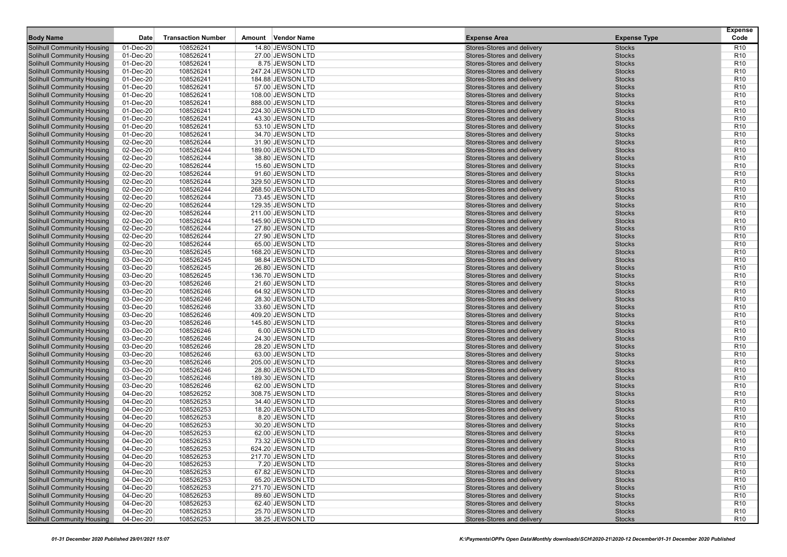| <b>Body Name</b>                                                       | Date                   | <b>Transaction Number</b> | Amount | Vendor Name                           | <b>Expense Area</b>                                      | <b>Expense Type</b>            | <b>Expense</b><br>Code             |
|------------------------------------------------------------------------|------------------------|---------------------------|--------|---------------------------------------|----------------------------------------------------------|--------------------------------|------------------------------------|
| <b>Solihull Community Housing</b>                                      | 01-Dec-20              | 108526241                 |        | 14.80 JEWSON LTD                      | Stores-Stores and delivery                               | <b>Stocks</b>                  | R <sub>10</sub>                    |
| <b>Solihull Community Housing</b>                                      | 01-Dec-20              | 108526241                 |        | 27.00 JEWSON LTD                      | Stores-Stores and delivery                               | <b>Stocks</b>                  | R <sub>10</sub>                    |
| <b>Solihull Community Housing</b>                                      | 01-Dec-20              | 108526241                 |        | 8.75 JEWSON LTD                       | Stores-Stores and delivery                               | <b>Stocks</b>                  | R <sub>10</sub>                    |
| <b>Solihull Community Housing</b>                                      | 01-Dec-20              | 108526241                 |        | 247.24 JEWSON LTD                     | Stores-Stores and delivery                               | <b>Stocks</b>                  | R <sub>10</sub>                    |
| <b>Solihull Community Housing</b>                                      | 01-Dec-20              | 108526241                 |        | 184.88 JEWSON LTD                     | Stores-Stores and delivery                               | <b>Stocks</b>                  | R <sub>10</sub>                    |
| <b>Solihull Community Housing</b>                                      | 01-Dec-20              | 108526241                 |        | 57.00 JEWSON LTD                      | Stores-Stores and delivery                               | <b>Stocks</b>                  | R <sub>10</sub>                    |
| <b>Solihull Community Housing</b>                                      | 01-Dec-20              | 108526241                 |        | 108.00 JEWSON LTD                     | Stores-Stores and delivery                               | <b>Stocks</b>                  | R <sub>10</sub>                    |
| <b>Solihull Community Housing</b>                                      | 01-Dec-20              | 108526241                 |        | 888.00 JEWSON LTD                     | Stores-Stores and delivery                               | <b>Stocks</b>                  | R <sub>10</sub>                    |
| <b>Solihull Community Housing</b>                                      | 01-Dec-20              | 108526241                 |        | 224.30 JEWSON LTD                     | Stores-Stores and delivery                               | <b>Stocks</b>                  | R <sub>10</sub>                    |
| <b>Solihull Community Housing</b>                                      | 01-Dec-20              | 108526241                 |        | 43.30 JEWSON LTD                      | Stores-Stores and delivery                               | <b>Stocks</b>                  | R <sub>10</sub>                    |
| <b>Solihull Community Housing</b>                                      | 01-Dec-20              | 108526241                 |        | 53.10 JEWSON LTD                      | Stores-Stores and delivery                               | <b>Stocks</b>                  | R <sub>10</sub>                    |
| <b>Solihull Community Housing</b>                                      | 01-Dec-20              | 108526241                 |        | 34.70 JEWSON LTD                      | Stores-Stores and delivery                               | <b>Stocks</b>                  | R <sub>10</sub>                    |
| <b>Solihull Community Housing</b>                                      | 02-Dec-20              | 108526244                 |        | 31.90 JEWSON LTD                      | Stores-Stores and delivery                               | <b>Stocks</b>                  | R <sub>10</sub>                    |
| <b>Solihull Community Housing</b>                                      | 02-Dec-20              | 108526244                 |        | 189.00 JEWSON LTD                     | Stores-Stores and delivery                               | <b>Stocks</b>                  | R <sub>10</sub>                    |
| <b>Solihull Community Housing</b>                                      | 02-Dec-20              | 108526244                 |        | 38.80 JEWSON LTD                      | Stores-Stores and delivery                               | <b>Stocks</b>                  | R <sub>10</sub>                    |
| <b>Solihull Community Housing</b>                                      | 02-Dec-20              | 108526244                 |        | 15.60 JEWSON LTD                      | Stores-Stores and delivery                               | <b>Stocks</b>                  | R <sub>10</sub>                    |
| <b>Solihull Community Housing</b>                                      | 02-Dec-20              | 108526244                 |        | 91.60 JEWSON LTD                      | Stores-Stores and delivery                               | <b>Stocks</b>                  | R <sub>10</sub>                    |
| <b>Solihull Community Housing</b>                                      | 02-Dec-20              | 108526244                 |        | 329.50 JEWSON LTD                     | Stores-Stores and delivery                               | <b>Stocks</b>                  | R <sub>10</sub>                    |
| <b>Solihull Community Housing</b>                                      | 02-Dec-20              | 108526244                 |        | 268.50 JEWSON LTD                     | Stores-Stores and delivery                               | <b>Stocks</b>                  | R <sub>10</sub>                    |
| <b>Solihull Community Housing</b>                                      | 02-Dec-20              | 108526244                 |        | 73.45 JEWSON LTD                      | Stores-Stores and delivery                               | <b>Stocks</b>                  | R <sub>10</sub>                    |
| <b>Solihull Community Housing</b>                                      | 02-Dec-20              | 108526244                 |        | 129.35 JEWSON LTD                     | Stores-Stores and delivery                               | <b>Stocks</b>                  | R <sub>10</sub>                    |
| <b>Solihull Community Housing</b>                                      | 02-Dec-20              | 108526244                 |        | 211.00 JEWSON LTD                     | Stores-Stores and delivery                               | <b>Stocks</b>                  | R <sub>10</sub>                    |
| <b>Solihull Community Housing</b>                                      | 02-Dec-20              | 108526244                 |        | 145.90 JEWSON LTD                     | Stores-Stores and delivery                               | <b>Stocks</b>                  | R <sub>10</sub>                    |
| <b>Solihull Community Housing</b>                                      | 02-Dec-20              | 108526244                 |        | 27.80 JEWSON LTD                      | Stores-Stores and delivery                               | <b>Stocks</b>                  | R <sub>10</sub>                    |
| <b>Solihull Community Housing</b>                                      | 02-Dec-20              | 108526244                 |        | 27.90 JEWSON LTD                      | Stores-Stores and delivery                               | <b>Stocks</b>                  | R <sub>10</sub>                    |
| <b>Solihull Community Housing</b>                                      | 02-Dec-20              | 108526244                 |        | 65.00 JEWSON LTD                      | Stores-Stores and delivery                               | <b>Stocks</b>                  | R <sub>10</sub>                    |
| <b>Solihull Community Housing</b>                                      | 03-Dec-20              | 108526245                 |        | 168.20 JEWSON LTD                     | Stores-Stores and delivery                               | <b>Stocks</b>                  | R <sub>10</sub>                    |
| <b>Solihull Community Housing</b>                                      | 03-Dec-20              | 108526245                 |        | 98.84 JEWSON LTD                      | Stores-Stores and delivery                               | <b>Stocks</b>                  | R <sub>10</sub>                    |
| <b>Solihull Community Housing</b>                                      | 03-Dec-20              | 108526245                 |        | 26.80 JEWSON LTD                      | Stores-Stores and delivery                               | <b>Stocks</b>                  | R <sub>10</sub>                    |
| <b>Solihull Community Housing</b>                                      | 03-Dec-20              | 108526245                 |        | 136.70 JEWSON LTD                     | Stores-Stores and delivery                               | <b>Stocks</b>                  | R <sub>10</sub>                    |
| <b>Solihull Community Housing</b>                                      | 03-Dec-20              | 108526246                 |        | 21.60 JEWSON LTD                      | Stores-Stores and delivery                               | <b>Stocks</b>                  | R <sub>10</sub>                    |
| <b>Solihull Community Housing</b>                                      | 03-Dec-20              | 108526246                 |        | 64.92 JEWSON LTD                      | Stores-Stores and delivery                               | <b>Stocks</b>                  | R <sub>10</sub>                    |
| <b>Solihull Community Housing</b>                                      | 03-Dec-20              | 108526246                 |        | 28.30 JEWSON LTD                      | Stores-Stores and delivery                               | <b>Stocks</b>                  | R <sub>10</sub>                    |
| <b>Solihull Community Housing</b>                                      | 03-Dec-20              | 108526246                 |        | 33.60 JEWSON LTD                      | Stores-Stores and delivery                               | <b>Stocks</b>                  | R <sub>10</sub>                    |
| <b>Solihull Community Housing</b>                                      | 03-Dec-20              | 108526246                 |        | 409.20 JEWSON LTD                     | Stores-Stores and delivery                               | <b>Stocks</b>                  | R <sub>10</sub>                    |
| <b>Solihull Community Housing</b>                                      | 03-Dec-20              | 108526246                 |        | 145.80 JEWSON LTD                     | Stores-Stores and delivery                               | <b>Stocks</b>                  | R <sub>10</sub>                    |
| <b>Solihull Community Housing</b>                                      | 03-Dec-20              | 108526246                 |        | 6.00 JEWSON LTD                       | Stores-Stores and delivery                               | <b>Stocks</b>                  | R <sub>10</sub>                    |
| <b>Solihull Community Housing</b>                                      | 03-Dec-20              | 108526246                 |        | 24.30 JEWSON LTD                      | Stores-Stores and delivery                               | <b>Stocks</b>                  | R <sub>10</sub>                    |
| <b>Solihull Community Housing</b>                                      | 03-Dec-20              | 108526246                 |        | 28.20 JEWSON LTD                      | Stores-Stores and delivery                               | <b>Stocks</b>                  | R <sub>10</sub>                    |
| <b>Solihull Community Housing</b>                                      | 03-Dec-20              | 108526246<br>108526246    |        | 63.00 JEWSON LTD                      | Stores-Stores and delivery                               | <b>Stocks</b>                  | R <sub>10</sub><br>R <sub>10</sub> |
| <b>Solihull Community Housing</b><br><b>Solihull Community Housing</b> | 03-Dec-20<br>03-Dec-20 | 108526246                 |        | 205.00 JEWSON LTD<br>28.80 JEWSON LTD | Stores-Stores and delivery<br>Stores-Stores and delivery | <b>Stocks</b><br><b>Stocks</b> | R <sub>10</sub>                    |
| <b>Solihull Community Housing</b>                                      | 03-Dec-20              | 108526246                 |        | 189.30 JEWSON LTD                     | Stores-Stores and delivery                               | <b>Stocks</b>                  | R <sub>10</sub>                    |
| <b>Solihull Community Housing</b>                                      | 03-Dec-20              | 108526246                 |        | 62.00 JEWSON LTD                      | Stores-Stores and delivery                               | <b>Stocks</b>                  | R <sub>10</sub>                    |
| <b>Solihull Community Housing</b>                                      | 04-Dec-20              | 108526252                 |        | 308.75 JEWSON LTD                     | Stores-Stores and delivery                               | <b>Stocks</b>                  | R <sub>10</sub>                    |
| <b>Solihull Community Housing</b>                                      | 04-Dec-20              | 108526253                 |        | 34.40 JEWSON LTD                      | Stores-Stores and delivery                               | <b>Stocks</b>                  | R <sub>10</sub>                    |
| <b>Solihull Community Housing</b>                                      | 04-Dec-20              | 108526253                 |        | 18.20 JEWSON LTD                      | Stores-Stores and delivery                               | <b>Stocks</b>                  | R <sub>10</sub>                    |
| Solihull Community Housing                                             | 04-Dec-20              | 108526253                 |        | 8.20 JEWSON LTD                       | Stores-Stores and delivery                               | <b>Stocks</b>                  | R <sub>10</sub>                    |
| <b>Solihull Community Housing</b>                                      | 04-Dec-20              | 108526253                 |        | 30.20 JEWSON LTD                      | Stores-Stores and delivery                               | <b>Stocks</b>                  | R <sub>10</sub>                    |
| <b>Solihull Community Housing</b>                                      | 04-Dec-20              | 108526253                 |        | 62.00 JEWSON LTD                      | Stores-Stores and delivery                               | <b>Stocks</b>                  | R <sub>10</sub>                    |
| <b>Solihull Community Housing</b>                                      | 04-Dec-20              | 108526253                 |        | 73.32 JEWSON LTD                      | Stores-Stores and delivery                               | <b>Stocks</b>                  | R <sub>10</sub>                    |
| <b>Solihull Community Housing</b>                                      | 04-Dec-20              | 108526253                 |        | 624.20 JEWSON LTD                     | Stores-Stores and delivery                               | <b>Stocks</b>                  | R <sub>10</sub>                    |
| <b>Solihull Community Housing</b>                                      | 04-Dec-20              | 108526253                 |        | 217.70 JEWSON LTD                     | Stores-Stores and delivery                               | Stocks                         | R <sub>10</sub>                    |
| <b>Solihull Community Housing</b>                                      | 04-Dec-20              | 108526253                 |        | 7.20 JEWSON LTD                       | Stores-Stores and delivery                               | <b>Stocks</b>                  | R <sub>10</sub>                    |
| <b>Solihull Community Housing</b>                                      | 04-Dec-20              | 108526253                 |        | 67.82 JEWSON LTD                      | Stores-Stores and delivery                               | <b>Stocks</b>                  | R <sub>10</sub>                    |
| <b>Solihull Community Housing</b>                                      | 04-Dec-20              | 108526253                 |        | 65.20 JEWSON LTD                      | Stores-Stores and delivery                               | <b>Stocks</b>                  | R <sub>10</sub>                    |
| <b>Solihull Community Housing</b>                                      | 04-Dec-20              | 108526253                 |        | 271.70 JEWSON LTD                     | Stores-Stores and delivery                               | <b>Stocks</b>                  | R <sub>10</sub>                    |
| <b>Solihull Community Housing</b>                                      | 04-Dec-20              | 108526253                 |        | 89.60 JEWSON LTD                      | Stores-Stores and delivery                               | <b>Stocks</b>                  | R <sub>10</sub>                    |
| <b>Solihull Community Housing</b>                                      | 04-Dec-20              | 108526253                 |        | 62.40 JEWSON LTD                      | Stores-Stores and delivery                               | <b>Stocks</b>                  | R <sub>10</sub>                    |
| <b>Solihull Community Housing</b>                                      | 04-Dec-20              | 108526253                 |        | 25.70 JEWSON LTD                      | Stores-Stores and delivery                               | <b>Stocks</b>                  | R <sub>10</sub>                    |
| Solihull Community Housing                                             | 04-Dec-20              | 108526253                 |        | 38.25 JEWSON LTD                      | Stores-Stores and delivery                               | <b>Stocks</b>                  | <b>R10</b>                         |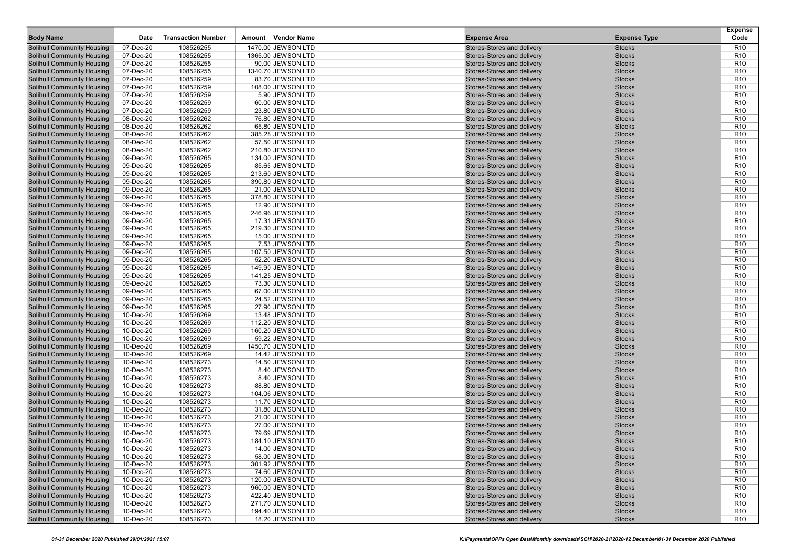| <b>Body Name</b>                  | Date      | <b>Transaction Number</b> | Amount Vendor Name | <b>Expense Area</b>        | <b>Expense Type</b> | <b>Expense</b><br>Code |
|-----------------------------------|-----------|---------------------------|--------------------|----------------------------|---------------------|------------------------|
| <b>Solihull Community Housing</b> | 07-Dec-20 | 108526255                 | 1470.00 JEWSON LTD | Stores-Stores and delivery | <b>Stocks</b>       | R <sub>10</sub>        |
| <b>Solihull Community Housing</b> | 07-Dec-20 | 108526255                 | 1365.00 JEWSON LTD | Stores-Stores and delivery | <b>Stocks</b>       | R <sub>10</sub>        |
| <b>Solihull Community Housing</b> | 07-Dec-20 | 108526255                 | 90.00 JEWSON LTD   | Stores-Stores and delivery | <b>Stocks</b>       | R <sub>10</sub>        |
| <b>Solihull Community Housing</b> | 07-Dec-20 | 108526255                 | 1340.70 JEWSON LTD | Stores-Stores and delivery | <b>Stocks</b>       | R <sub>10</sub>        |
| <b>Solihull Community Housing</b> | 07-Dec-20 | 108526259                 | 83.70 JEWSON LTD   | Stores-Stores and delivery | <b>Stocks</b>       | R <sub>10</sub>        |
| <b>Solihull Community Housing</b> | 07-Dec-20 | 108526259                 | 108.00 JEWSON LTD  | Stores-Stores and delivery | <b>Stocks</b>       | R <sub>10</sub>        |
| <b>Solihull Community Housing</b> | 07-Dec-20 | 108526259                 | 5.90 JEWSON LTD    | Stores-Stores and delivery | <b>Stocks</b>       | R <sub>10</sub>        |
| <b>Solihull Community Housing</b> | 07-Dec-20 | 108526259                 | 60.00 JEWSON LTD   | Stores-Stores and delivery | <b>Stocks</b>       | R <sub>10</sub>        |
| <b>Solihull Community Housing</b> | 07-Dec-20 | 108526259                 | 23.80 JEWSON LTD   | Stores-Stores and delivery | <b>Stocks</b>       | R <sub>10</sub>        |
| <b>Solihull Community Housing</b> | 08-Dec-20 | 108526262                 | 76.80 JEWSON LTD   | Stores-Stores and delivery | <b>Stocks</b>       | R <sub>10</sub>        |
| <b>Solihull Community Housing</b> | 08-Dec-20 | 108526262                 | 65.80 JEWSON LTD   | Stores-Stores and delivery | <b>Stocks</b>       | R <sub>10</sub>        |
| <b>Solihull Community Housing</b> | 08-Dec-20 | 108526262                 | 385.28 JEWSON LTD  | Stores-Stores and delivery | <b>Stocks</b>       | R <sub>10</sub>        |
| <b>Solihull Community Housing</b> | 08-Dec-20 | 108526262                 | 57.50 JEWSON LTD   | Stores-Stores and delivery | <b>Stocks</b>       | R <sub>10</sub>        |
| <b>Solihull Community Housing</b> | 08-Dec-20 | 108526262                 | 210.80 JEWSON LTD  | Stores-Stores and delivery | <b>Stocks</b>       | R <sub>10</sub>        |
| <b>Solihull Community Housing</b> | 09-Dec-20 | 108526265                 | 134.00 JEWSON LTD  | Stores-Stores and delivery | <b>Stocks</b>       | R <sub>10</sub>        |
| <b>Solihull Community Housing</b> | 09-Dec-20 | 108526265                 | 85.65 JEWSON LTD   | Stores-Stores and delivery | <b>Stocks</b>       | R <sub>10</sub>        |
| <b>Solihull Community Housing</b> | 09-Dec-20 | 108526265                 | 213.60 JEWSON LTD  | Stores-Stores and delivery | <b>Stocks</b>       | R <sub>10</sub>        |
| <b>Solihull Community Housing</b> | 09-Dec-20 | 108526265                 | 390.80 JEWSON LTD  | Stores-Stores and delivery | <b>Stocks</b>       | R <sub>10</sub>        |
| <b>Solihull Community Housing</b> | 09-Dec-20 | 108526265                 | 21.00 JEWSON LTD   | Stores-Stores and delivery | <b>Stocks</b>       | R <sub>10</sub>        |
| <b>Solihull Community Housing</b> | 09-Dec-20 | 108526265                 | 378.80 JEWSON LTD  | Stores-Stores and delivery | <b>Stocks</b>       | R <sub>10</sub>        |
| <b>Solihull Community Housing</b> | 09-Dec-20 | 108526265                 | 12.90 JEWSON LTD   | Stores-Stores and delivery | <b>Stocks</b>       | R <sub>10</sub>        |
| <b>Solihull Community Housing</b> | 09-Dec-20 | 108526265                 | 246.96 JEWSON LTD  | Stores-Stores and delivery | <b>Stocks</b>       | R <sub>10</sub>        |
| <b>Solihull Community Housing</b> | 09-Dec-20 | 108526265                 | 17.31 JEWSON LTD   | Stores-Stores and delivery | <b>Stocks</b>       | R <sub>10</sub>        |
| <b>Solihull Community Housing</b> | 09-Dec-20 | 108526265                 | 219.30 JEWSON LTD  | Stores-Stores and delivery | <b>Stocks</b>       | R <sub>10</sub>        |
| <b>Solihull Community Housing</b> | 09-Dec-20 | 108526265                 | 15.00 JEWSON LTD   | Stores-Stores and delivery | <b>Stocks</b>       | R <sub>10</sub>        |
| <b>Solihull Community Housing</b> | 09-Dec-20 | 108526265                 | 7.53 JEWSON LTD    | Stores-Stores and delivery | <b>Stocks</b>       | R <sub>10</sub>        |
| <b>Solihull Community Housing</b> | 09-Dec-20 | 108526265                 | 107.50 JEWSON LTD  | Stores-Stores and delivery | <b>Stocks</b>       | R <sub>10</sub>        |
| <b>Solihull Community Housing</b> | 09-Dec-20 | 108526265                 | 52.20 JEWSON LTD   | Stores-Stores and delivery | <b>Stocks</b>       | R <sub>10</sub>        |
| <b>Solihull Community Housing</b> | 09-Dec-20 | 108526265                 | 149.90 JEWSON LTD  | Stores-Stores and delivery | <b>Stocks</b>       | R <sub>10</sub>        |
| <b>Solihull Community Housing</b> | 09-Dec-20 | 108526265                 | 141.25 JEWSON LTD  | Stores-Stores and delivery | <b>Stocks</b>       | R <sub>10</sub>        |
| <b>Solihull Community Housing</b> | 09-Dec-20 | 108526265                 | 73.30 JEWSON LTD   | Stores-Stores and delivery | <b>Stocks</b>       | R <sub>10</sub>        |
| <b>Solihull Community Housing</b> | 09-Dec-20 | 108526265                 | 67.00 JEWSON LTD   | Stores-Stores and delivery | <b>Stocks</b>       | R <sub>10</sub>        |
| <b>Solihull Community Housing</b> | 09-Dec-20 | 108526265                 | 24.52 JEWSON LTD   | Stores-Stores and delivery | <b>Stocks</b>       | R <sub>10</sub>        |
| <b>Solihull Community Housing</b> | 09-Dec-20 | 108526265                 | 27.90 JEWSON LTD   | Stores-Stores and delivery | <b>Stocks</b>       | R <sub>10</sub>        |
| <b>Solihull Community Housing</b> | 10-Dec-20 | 108526269                 | 13.48 JEWSON LTD   | Stores-Stores and delivery | <b>Stocks</b>       | R <sub>10</sub>        |
| <b>Solihull Community Housing</b> | 10-Dec-20 | 108526269                 | 112.20 JEWSON LTD  | Stores-Stores and delivery | <b>Stocks</b>       | R <sub>10</sub>        |
| <b>Solihull Community Housing</b> | 10-Dec-20 | 108526269                 | 160.20 JEWSON LTD  | Stores-Stores and delivery | <b>Stocks</b>       | R <sub>10</sub>        |
| <b>Solihull Community Housing</b> | 10-Dec-20 | 108526269                 | 59.22 JEWSON LTD   | Stores-Stores and delivery | <b>Stocks</b>       | R <sub>10</sub>        |
| <b>Solihull Community Housing</b> | 10-Dec-20 | 108526269                 | 1450.70 JEWSON LTD | Stores-Stores and delivery | <b>Stocks</b>       | R <sub>10</sub>        |
| <b>Solihull Community Housing</b> | 10-Dec-20 | 108526269                 | 14.42 JEWSON LTD   | Stores-Stores and delivery | <b>Stocks</b>       | R <sub>10</sub>        |
| <b>Solihull Community Housing</b> | 10-Dec-20 | 108526273                 | 14.50 JEWSON LTD   | Stores-Stores and delivery | <b>Stocks</b>       | R <sub>10</sub>        |
| <b>Solihull Community Housing</b> | 10-Dec-20 | 108526273                 | 8.40 JEWSON LTD    | Stores-Stores and delivery | <b>Stocks</b>       | R <sub>10</sub>        |
| <b>Solihull Community Housing</b> | 10-Dec-20 | 108526273                 | 8.40 JEWSON LTD    | Stores-Stores and delivery | <b>Stocks</b>       | R <sub>10</sub>        |
| <b>Solihull Community Housing</b> | 10-Dec-20 | 108526273                 | 88.80 JEWSON LTD   | Stores-Stores and delivery | <b>Stocks</b>       | R <sub>10</sub>        |
| <b>Solihull Community Housing</b> | 10-Dec-20 | 108526273                 | 104.06 JEWSON LTD  | Stores-Stores and delivery | <b>Stocks</b>       | R <sub>10</sub>        |
| <b>Solihull Community Housing</b> | 10-Dec-20 | 108526273                 | 11.70 JEWSON LTD   | Stores-Stores and delivery | <b>Stocks</b>       | R <sub>10</sub>        |
| <b>Solihull Community Housing</b> | 10-Dec-20 | 108526273                 | 31.80 JEWSON LTD   | Stores-Stores and delivery | <b>Stocks</b>       | R <sub>10</sub>        |
| Solihull Community Housing        | 10-Dec-20 | 108526273                 | 21.00 JEWSON LTD   | Stores-Stores and delivery | <b>Stocks</b>       | R <sub>10</sub>        |
| <b>Solihull Community Housing</b> | 10-Dec-20 | 108526273                 | 27.00 JEWSON LTD   | Stores-Stores and delivery | <b>Stocks</b>       | R <sub>10</sub>        |
| <b>Solihull Community Housing</b> | 10-Dec-20 | 108526273                 | 79.69 JEWSON LTD   | Stores-Stores and delivery | <b>Stocks</b>       | R <sub>10</sub>        |
| <b>Solihull Community Housing</b> | 10-Dec-20 | 108526273                 | 184.10 JEWSON LTD  | Stores-Stores and delivery | <b>Stocks</b>       | R <sub>10</sub>        |
| <b>Solihull Community Housing</b> | 10-Dec-20 | 108526273                 | 14.00 JEWSON LTD   | Stores-Stores and delivery | <b>Stocks</b>       | R <sub>10</sub>        |
| <b>Solihull Community Housing</b> | 10-Dec-20 | 108526273                 | 58.00 JEWSON LTD   | Stores-Stores and delivery | Stocks              | R <sub>10</sub>        |
| <b>Solihull Community Housing</b> | 10-Dec-20 | 108526273                 | 301.92 JEWSON LTD  | Stores-Stores and delivery | <b>Stocks</b>       | R <sub>10</sub>        |
| <b>Solihull Community Housing</b> | 10-Dec-20 | 108526273                 | 74.60 JEWSON LTD   | Stores-Stores and delivery | <b>Stocks</b>       | R <sub>10</sub>        |
| <b>Solihull Community Housing</b> | 10-Dec-20 | 108526273                 | 120.00 JEWSON LTD  | Stores-Stores and delivery | <b>Stocks</b>       | R <sub>10</sub>        |
| <b>Solihull Community Housing</b> | 10-Dec-20 | 108526273                 | 960.00 JEWSON LTD  | Stores-Stores and delivery | <b>Stocks</b>       | R <sub>10</sub>        |
| <b>Solihull Community Housing</b> | 10-Dec-20 | 108526273                 | 422.40 JEWSON LTD  | Stores-Stores and delivery | <b>Stocks</b>       | R <sub>10</sub>        |
| <b>Solihull Community Housing</b> | 10-Dec-20 | 108526273                 | 271.70 JEWSON LTD  | Stores-Stores and delivery | <b>Stocks</b>       | R <sub>10</sub>        |
| <b>Solihull Community Housing</b> | 10-Dec-20 | 108526273                 | 194.40 JEWSON LTD  | Stores-Stores and delivery | <b>Stocks</b>       | R <sub>10</sub>        |
| <b>Solihull Community Housing</b> | 10-Dec-20 | 108526273                 | 18.20 JEWSON LTD   | Stores-Stores and delivery | <b>Stocks</b>       | <b>R10</b>             |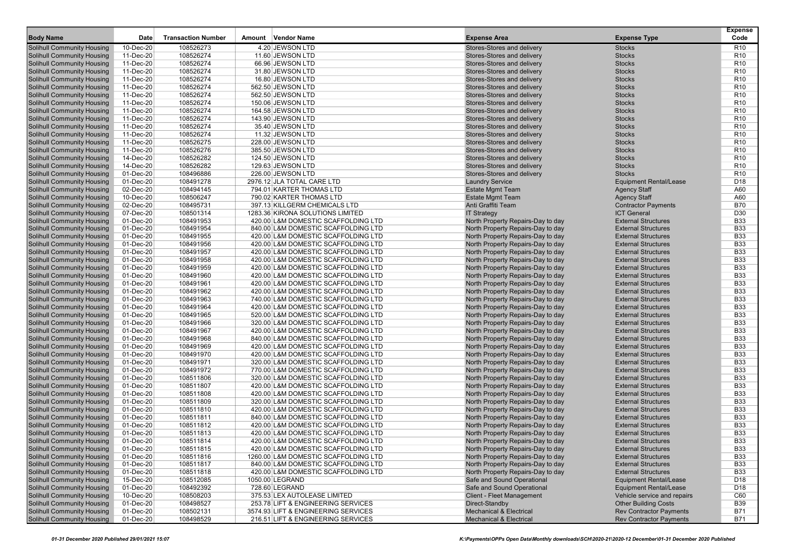| <b>Body Name</b>                                                       | Date                   | <b>Transaction Number</b> | <b>Vendor Name</b><br>Amount                                               | <b>Expense Area</b>                                                    | <b>Expense Type</b>                                      | <b>Expense</b><br>Code   |
|------------------------------------------------------------------------|------------------------|---------------------------|----------------------------------------------------------------------------|------------------------------------------------------------------------|----------------------------------------------------------|--------------------------|
| <b>Solihull Community Housing</b>                                      | 10-Dec-20              | 108526273                 | 4.20 JEWSON LTD                                                            | Stores-Stores and delivery                                             | <b>Stocks</b>                                            | R <sub>10</sub>          |
| <b>Solihull Community Housing</b>                                      | 11-Dec-20              | 108526274                 | 11.60 JEWSON LTD                                                           | Stores-Stores and delivery                                             | <b>Stocks</b>                                            | R <sub>10</sub>          |
| <b>Solihull Community Housing</b>                                      | 11-Dec-20              | 108526274                 | 66.96 JEWSON LTD                                                           | Stores-Stores and delivery                                             | <b>Stocks</b>                                            | R <sub>10</sub>          |
| <b>Solihull Community Housing</b>                                      | 11-Dec-20              | 108526274                 | 31.80 JEWSON LTD                                                           | Stores-Stores and delivery                                             | <b>Stocks</b>                                            | R <sub>10</sub>          |
| <b>Solihull Community Housing</b>                                      | 11-Dec-20              | 108526274                 | 16.80 JEWSON LTD                                                           | Stores-Stores and delivery                                             | <b>Stocks</b>                                            | R <sub>10</sub>          |
| <b>Solihull Community Housing</b>                                      | 11-Dec-20              | 108526274                 | 562.50 JEWSON LTD                                                          | Stores-Stores and delivery                                             | <b>Stocks</b>                                            | R <sub>10</sub>          |
| <b>Solihull Community Housing</b>                                      | 11-Dec-20              | 108526274                 | 562.50 JEWSON LTD                                                          | Stores-Stores and delivery                                             | <b>Stocks</b>                                            | R <sub>10</sub>          |
| <b>Solihull Community Housing</b>                                      | 11-Dec-20              | 108526274                 | 150.06 JEWSON LTD                                                          | Stores-Stores and delivery                                             | <b>Stocks</b>                                            | R <sub>10</sub>          |
| <b>Solihull Community Housing</b>                                      | 11-Dec-20              | 108526274                 | 164.58 JEWSON LTD                                                          | Stores-Stores and delivery                                             | <b>Stocks</b>                                            | R <sub>10</sub>          |
| <b>Solihull Community Housing</b>                                      | 11-Dec-20              | 108526274                 | 143.90 JEWSON LTD                                                          | Stores-Stores and delivery                                             | <b>Stocks</b>                                            | R <sub>10</sub>          |
| <b>Solihull Community Housing</b>                                      | 11-Dec-20              | 108526274                 | 35.40 JEWSON LTD                                                           | Stores-Stores and delivery                                             | <b>Stocks</b>                                            | R <sub>10</sub>          |
| <b>Solihull Community Housing</b>                                      | 11-Dec-20              | 108526274                 | 11.32 JEWSON LTD                                                           | Stores-Stores and delivery                                             | <b>Stocks</b>                                            | R <sub>10</sub>          |
| <b>Solihull Community Housing</b>                                      | 11-Dec-20              | 108526275                 | 228.00 JEWSON LTD                                                          | Stores-Stores and delivery                                             | <b>Stocks</b>                                            | R <sub>10</sub>          |
| <b>Solihull Community Housing</b>                                      | 11-Dec-20              | 108526276                 | 385.50 JEWSON LTD                                                          | Stores-Stores and delivery                                             | <b>Stocks</b>                                            | R <sub>10</sub>          |
| <b>Solihull Community Housing</b>                                      | 14-Dec-20              | 108526282                 | 124.50 JEWSON LTD                                                          | Stores-Stores and delivery                                             | <b>Stocks</b>                                            | R <sub>10</sub>          |
| <b>Solihull Community Housing</b>                                      | 14-Dec-20              | 108526282                 | 129.63 JEWSON LTD                                                          | Stores-Stores and delivery                                             | <b>Stocks</b>                                            | R <sub>10</sub>          |
| <b>Solihull Community Housing</b>                                      | 01-Dec-20              | 108496886                 | 226.00 JEWSON LTD                                                          | Stores-Stores and delivery                                             | <b>Stocks</b>                                            | R <sub>10</sub>          |
| <b>Solihull Community Housing</b>                                      | 01-Dec-20              | 108491278                 | 2976.12 JLA TOTAL CARE LTD                                                 | <b>Laundry Service</b>                                                 | <b>Equipment Rental/Lease</b>                            | D <sub>18</sub>          |
| <b>Solihull Community Housing</b>                                      | 02-Dec-20              | 108494145                 | 794.01 KARTER THOMAS LTD                                                   | <b>Estate Mgmt Team</b>                                                | <b>Agency Staff</b>                                      | A60                      |
| <b>Solihull Community Housing</b>                                      | 10-Dec-20              | 108506247                 | 790.02 KARTER THOMAS LTD                                                   | <b>Estate Mgmt Team</b>                                                | <b>Agency Staff</b>                                      | A60                      |
| <b>Solihull Community Housing</b>                                      | 02-Dec-20              | 108495731                 | 397.13 KILLGERM CHEMICALS LTD                                              | Anti Graffiti Team                                                     | <b>Contractor Payments</b>                               | <b>B70</b>               |
| <b>Solihull Community Housing</b>                                      | 07-Dec-20              | 108501314                 | 1283.36 KIRONA SOLUTIONS LIMITED                                           | <b>IT Strategy</b>                                                     | <b>ICT General</b>                                       | D <sub>30</sub>          |
| <b>Solihull Community Housing</b>                                      | 01-Dec-20              | 108491953                 | 420.00 L&M DOMESTIC SCAFFOLDING LTD                                        | North Property Repairs-Day to day                                      | <b>External Structures</b>                               | <b>B33</b>               |
| <b>Solihull Community Housing</b>                                      | 01-Dec-20              | 108491954                 | 840.00 L&M DOMESTIC SCAFFOLDING LTD                                        | North Property Repairs-Day to day                                      | <b>External Structures</b>                               | <b>B33</b>               |
| <b>Solihull Community Housing</b>                                      | 01-Dec-20              | 108491955                 | 420.00 L&M DOMESTIC SCAFFOLDING LTD                                        | North Property Repairs-Day to day                                      | <b>External Structures</b>                               | <b>B33</b>               |
| <b>Solihull Community Housing</b>                                      | 01-Dec-20              | 108491956                 | 420.00 L&M DOMESTIC SCAFFOLDING LTD                                        | North Property Repairs-Day to day                                      | <b>External Structures</b>                               | <b>B33</b>               |
| <b>Solihull Community Housing</b>                                      | 01-Dec-20              | 108491957                 | 420.00 L&M DOMESTIC SCAFFOLDING LTD                                        | North Property Repairs-Day to day                                      | <b>External Structures</b>                               | <b>B33</b>               |
| <b>Solihull Community Housing</b>                                      | 01-Dec-20              | 108491958                 | 420.00 L&M DOMESTIC SCAFFOLDING LTD                                        | North Property Repairs-Day to day                                      | <b>External Structures</b>                               | <b>B33</b>               |
| <b>Solihull Community Housing</b>                                      | 01-Dec-20              | 108491959                 | 420.00 L&M DOMESTIC SCAFFOLDING LTD                                        | North Property Repairs-Day to day                                      | <b>External Structures</b>                               | <b>B33</b><br><b>B33</b> |
| <b>Solihull Community Housing</b>                                      | 01-Dec-20              | 108491960<br>108491961    | 420.00 L&M DOMESTIC SCAFFOLDING LTD                                        | North Property Repairs-Day to day<br>North Property Repairs-Day to day | <b>External Structures</b><br><b>External Structures</b> | <b>B33</b>               |
| <b>Solihull Community Housing</b><br><b>Solihull Community Housing</b> | 01-Dec-20<br>01-Dec-20 | 108491962                 | 420.00 L&M DOMESTIC SCAFFOLDING LTD<br>420.00 L&M DOMESTIC SCAFFOLDING LTD | North Property Repairs-Day to day                                      | <b>External Structures</b>                               | <b>B33</b>               |
| <b>Solihull Community Housing</b>                                      | 01-Dec-20              | 108491963                 | 740.00 L&M DOMESTIC SCAFFOLDING LTD                                        | North Property Repairs-Day to day                                      | <b>External Structures</b>                               | <b>B33</b>               |
| <b>Solihull Community Housing</b>                                      | 01-Dec-20              | 108491964                 | 420.00 L&M DOMESTIC SCAFFOLDING LTD                                        | North Property Repairs-Day to day                                      | <b>External Structures</b>                               | <b>B33</b>               |
| <b>Solihull Community Housing</b>                                      | 01-Dec-20              | 108491965                 | 520.00 L&M DOMESTIC SCAFFOLDING LTD                                        | North Property Repairs-Day to day                                      | <b>External Structures</b>                               | <b>B33</b>               |
| <b>Solihull Community Housing</b>                                      | 01-Dec-20              | 108491966                 | 320.00 L&M DOMESTIC SCAFFOLDING LTD                                        | North Property Repairs-Day to day                                      | <b>External Structures</b>                               | <b>B33</b>               |
| <b>Solihull Community Housing</b>                                      | 01-Dec-20              | 108491967                 | 420.00 L&M DOMESTIC SCAFFOLDING LTD                                        | North Property Repairs-Day to day                                      | <b>External Structures</b>                               | <b>B33</b>               |
| <b>Solihull Community Housing</b>                                      | 01-Dec-20              | 108491968                 | 840.00 L&M DOMESTIC SCAFFOLDING LTD                                        | North Property Repairs-Day to day                                      | <b>External Structures</b>                               | <b>B33</b>               |
| <b>Solihull Community Housing</b>                                      | 01-Dec-20              | 108491969                 | 420.00 L&M DOMESTIC SCAFFOLDING LTD                                        | North Property Repairs-Day to day                                      | <b>External Structures</b>                               | <b>B33</b>               |
| <b>Solihull Community Housing</b>                                      | 01-Dec-20              | 108491970                 | 420.00 L&M DOMESTIC SCAFFOLDING LTD                                        | North Property Repairs-Day to day                                      | <b>External Structures</b>                               | <b>B33</b>               |
| <b>Solihull Community Housing</b>                                      | 01-Dec-20              | 108491971                 | 320.00 L&M DOMESTIC SCAFFOLDING LTD                                        | North Property Repairs-Day to day                                      | <b>External Structures</b>                               | <b>B33</b>               |
| <b>Solihull Community Housing</b>                                      | 01-Dec-20              | 108491972                 | 770.00 L&M DOMESTIC SCAFFOLDING LTD                                        | North Property Repairs-Day to day                                      | <b>External Structures</b>                               | <b>B33</b>               |
| <b>Solihull Community Housing</b>                                      | 01-Dec-20              | 108511806                 | 320.00 L&M DOMESTIC SCAFFOLDING LTD                                        | North Property Repairs-Day to day                                      | <b>External Structures</b>                               | <b>B33</b>               |
| <b>Solihull Community Housing</b>                                      | 01-Dec-20              | 108511807                 | 420.00 L&M DOMESTIC SCAFFOLDING LTD                                        | North Property Repairs-Day to day                                      | <b>External Structures</b>                               | <b>B33</b>               |
| <b>Solihull Community Housing</b>                                      | 01-Dec-20              | 108511808                 | 420.00 L&M DOMESTIC SCAFFOLDING LTD                                        | North Property Repairs-Day to day                                      | <b>External Structures</b>                               | <b>B33</b>               |
| <b>Solihull Community Housing</b>                                      | 01-Dec-20              | 108511809                 | 320.00 L&M DOMESTIC SCAFFOLDING LTD                                        | North Property Repairs-Day to day                                      | <b>External Structures</b>                               | <b>B33</b>               |
| <b>Solihull Community Housing</b>                                      | 01-Dec-20              | 108511810                 | 420.00 L&M DOMESTIC SCAFFOLDING LTD                                        | North Property Repairs-Day to day                                      | <b>External Structures</b>                               | <b>B33</b>               |
| <b>Solihull Community Housing</b>                                      | 01-Dec-20              | 108511811                 | 840.00 L&M DOMESTIC SCAFFOLDING LTD                                        | North Property Repairs-Day to day                                      | <b>External Structures</b>                               | <b>B33</b>               |
| <b>Solihull Community Housing</b>                                      | 01-Dec-20              | 108511812                 | 420.00 L&M DOMESTIC SCAFFOLDING LTD                                        | North Property Repairs-Day to day                                      | <b>External Structures</b>                               | <b>B33</b>               |
| <b>Solihull Community Housing</b>                                      | 01-Dec-20              | 108511813                 | 420.00 L&M DOMESTIC SCAFFOLDING LTD                                        | North Property Repairs-Day to day                                      | <b>External Structures</b>                               | <b>B33</b>               |
| <b>Solihull Community Housing</b>                                      | 01-Dec-20              | 108511814                 | 420.00 L&M DOMESTIC SCAFFOLDING LTD                                        | North Property Repairs-Day to day                                      | <b>External Structures</b>                               | <b>B33</b>               |
| <b>Solihull Community Housing</b>                                      | 01-Dec-20              | 108511815                 | 420.00 L&M DOMESTIC SCAFFOLDING LTD                                        | North Property Repairs-Day to day                                      | <b>External Structures</b>                               | <b>B33</b>               |
| <b>Solihull Community Housing</b>                                      | 01-Dec-20              | 108511816                 | 1260.00 L&M DOMESTIC SCAFFOLDING LTD                                       | North Property Repairs-Day to day                                      | <b>External Structures</b>                               | <b>B33</b>               |
| <b>Solihull Community Housing</b>                                      | 01-Dec-20              | 108511817                 | 840.00 L&M DOMESTIC SCAFFOLDING LTD                                        | North Property Repairs-Day to day                                      | <b>External Structures</b>                               | <b>B33</b>               |
| <b>Solihull Community Housing</b>                                      | 01-Dec-20              | 108511818                 | 420.00 L&M DOMESTIC SCAFFOLDING LTD                                        | North Property Repairs-Day to day                                      | <b>External Structures</b>                               | <b>B33</b>               |
| <b>Solihull Community Housing</b>                                      | 15-Dec-20              | 108512085                 | 1050.00 LEGRAND                                                            | Safe and Sound Operational                                             | <b>Equipment Rental/Lease</b>                            | D18                      |
| <b>Solihull Community Housing</b>                                      | 01-Dec-20              | 108492392                 | 728.60 LEGRAND                                                             | Safe and Sound Operational                                             | <b>Equipment Rental/Lease</b>                            | D <sub>18</sub>          |
| <b>Solihull Community Housing</b>                                      | 10-Dec-20              | 108508203                 | 375.53 LEX AUTOLEASE LIMITED                                               | <b>Client - Fleet Management</b>                                       | Vehicle service and repairs                              | C60                      |
| <b>Solihull Community Housing</b>                                      | 01-Dec-20              | 108498527                 | 253.78 LIFT & ENGINEERING SERVICES                                         | Direct-Standby                                                         | <b>Other Building Costs</b>                              | <b>B39</b>               |
| <b>Solihull Community Housing</b>                                      | 01-Dec-20              | 108502131                 | 3574.93 LIFT & ENGINEERING SERVICES                                        | <b>Mechanical &amp; Electrical</b>                                     | <b>Rev Contractor Payments</b>                           | <b>B71</b>               |
| <b>Solihull Community Housing</b>                                      | 01-Dec-20              | 108498529                 | 216.51 LIFT & ENGINEERING SERVICES                                         | <b>Mechanical &amp; Electrical</b>                                     | <b>Rev Contractor Payments</b>                           | <b>B71</b>               |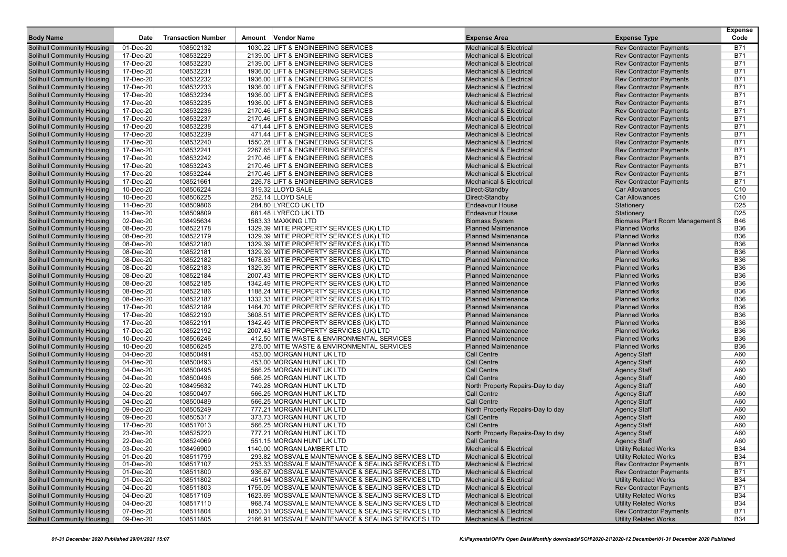| <b>Body Name</b>                                                       | Date                   | <b>Transaction Number</b> | Amount Vendor Name                                     | <b>Expense Area</b>                                     | <b>Expense Type</b>                        | <b>Expense</b><br>Code |
|------------------------------------------------------------------------|------------------------|---------------------------|--------------------------------------------------------|---------------------------------------------------------|--------------------------------------------|------------------------|
| <b>Solihull Community Housing</b>                                      | 01-Dec-20              | 108502132                 | 1030.22 LIFT & ENGINEERING SERVICES                    | <b>Mechanical &amp; Electrical</b>                      | <b>Rev Contractor Payments</b>             | <b>B71</b>             |
| <b>Solihull Community Housing</b>                                      | 17-Dec-20              | 108532229                 | 2139.00 LIFT & ENGINEERING SERVICES                    | <b>Mechanical &amp; Electrical</b>                      | <b>Rev Contractor Payments</b>             | <b>B71</b>             |
| <b>Solihull Community Housing</b>                                      | 17-Dec-20              | 108532230                 | 2139.00 LIFT & ENGINEERING SERVICES                    | <b>Mechanical &amp; Electrical</b>                      | <b>Rev Contractor Payments</b>             | <b>B71</b>             |
| <b>Solihull Community Housing</b>                                      | 17-Dec-20              | 108532231                 | 1936.00 LIFT & ENGINEERING SERVICES                    | <b>Mechanical &amp; Electrical</b>                      | <b>Rev Contractor Payments</b>             | <b>B71</b>             |
| <b>Solihull Community Housing</b>                                      | 17-Dec-20              | 108532232                 | 1936.00 LIFT & ENGINEERING SERVICES                    | <b>Mechanical &amp; Electrical</b>                      | <b>Rev Contractor Payments</b>             | <b>B71</b>             |
| <b>Solihull Community Housing</b>                                      | 17-Dec-20              | 108532233                 | 1936.00 LIFT & ENGINEERING SERVICES                    | <b>Mechanical &amp; Electrical</b>                      | <b>Rev Contractor Payments</b>             | <b>B71</b>             |
| <b>Solihull Community Housing</b>                                      | 17-Dec-20              | 108532234                 | 1936.00 LIFT & ENGINEERING SERVICES                    | <b>Mechanical &amp; Electrical</b>                      | <b>Rev Contractor Payments</b>             | <b>B71</b>             |
| <b>Solihull Community Housing</b>                                      | 17-Dec-20              | 108532235                 | 1936.00 LIFT & ENGINEERING SERVICES                    | <b>Mechanical &amp; Electrical</b>                      | <b>Rev Contractor Payments</b>             | <b>B71</b>             |
| <b>Solihull Community Housing</b>                                      | 17-Dec-20              | 108532236                 | 2170.46 LIFT & ENGINEERING SERVICES                    | <b>Mechanical &amp; Electrical</b>                      | <b>Rev Contractor Payments</b>             | <b>B71</b>             |
| <b>Solihull Community Housing</b>                                      | 17-Dec-20              | 108532237                 | 2170.46 LIFT & ENGINEERING SERVICES                    | <b>Mechanical &amp; Electrical</b>                      | <b>Rev Contractor Payments</b>             | <b>B71</b>             |
| <b>Solihull Community Housing</b>                                      | 17-Dec-20              | 108532238                 | 471.44 LIFT & ENGINEERING SERVICES                     | <b>Mechanical &amp; Electrical</b>                      | <b>Rev Contractor Payments</b>             | <b>B71</b>             |
| <b>Solihull Community Housing</b>                                      | 17-Dec-20              | 108532239                 | 471.44 LIFT & ENGINEERING SERVICES                     | <b>Mechanical &amp; Electrical</b>                      | <b>Rev Contractor Payments</b>             | <b>B71</b>             |
| <b>Solihull Community Housing</b>                                      | 17-Dec-20              | 108532240                 | 1550.28 LIFT & ENGINEERING SERVICES                    | <b>Mechanical &amp; Electrical</b>                      | <b>Rev Contractor Payments</b>             | <b>B71</b>             |
| <b>Solihull Community Housing</b>                                      | 17-Dec-20              | 108532241                 | 2267.65 LIFT & ENGINEERING SERVICES                    | <b>Mechanical &amp; Electrical</b>                      | <b>Rev Contractor Payments</b>             | <b>B71</b>             |
| <b>Solihull Community Housing</b>                                      | 17-Dec-20              | 108532242                 | 2170.46 LIFT & ENGINEERING SERVICES                    | <b>Mechanical &amp; Electrical</b>                      | <b>Rev Contractor Payments</b>             | <b>B71</b>             |
| <b>Solihull Community Housing</b>                                      | 17-Dec-20              | 108532243                 | 2170.46 LIFT & ENGINEERING SERVICES                    | <b>Mechanical &amp; Electrical</b>                      | <b>Rev Contractor Payments</b>             | <b>B71</b>             |
| <b>Solihull Community Housing</b>                                      | 17-Dec-20              | 108532244                 | 2170.46 LIFT & ENGINEERING SERVICES                    | <b>Mechanical &amp; Electrical</b>                      | <b>Rev Contractor Payments</b>             | <b>B71</b>             |
| <b>Solihull Community Housing</b>                                      | 17-Dec-20              | 108521661                 | 226.78 LIFT & ENGINEERING SERVICES                     | <b>Mechanical &amp; Electrical</b>                      | <b>Rev Contractor Payments</b>             | <b>B71</b>             |
| <b>Solihull Community Housing</b>                                      | 10-Dec-20              | 108506224                 | 319.32 LLOYD SALE                                      | Direct-Standby                                          | <b>Car Allowances</b>                      | C <sub>10</sub>        |
| <b>Solihull Community Housing</b>                                      | 10-Dec-20              | 108506225                 | 252.14 LLOYD SALE                                      | Direct-Standby                                          | <b>Car Allowances</b>                      | C <sub>10</sub>        |
| <b>Solihull Community Housing</b>                                      | 11-Dec-20              | 108509806                 | 284.80 LYRECO UK LTD                                   | <b>Endeavour House</b>                                  | Stationery                                 | D <sub>25</sub>        |
| <b>Solihull Community Housing</b>                                      | 11-Dec-20              | 108509809                 | 681.48 LYRECO UK LTD                                   | <b>Endeavour House</b>                                  | Stationery                                 | D <sub>25</sub>        |
| <b>Solihull Community Housing</b>                                      | 02-Dec-20              | 108495634                 | 1583.33 MAXKING LTD                                    | <b>Biomass System</b>                                   | <b>Biomass Plant Room Management S</b>     | <b>B46</b>             |
| <b>Solihull Community Housing</b>                                      | 08-Dec-20              | 108522178                 | 1329.39 MITIE PROPERTY SERVICES (UK) LTD               | <b>Planned Maintenance</b>                              | <b>Planned Works</b>                       | <b>B36</b>             |
| <b>Solihull Community Housing</b>                                      | 08-Dec-20              | 108522179                 | 1329.39 MITIE PROPERTY SERVICES (UK) LTD               | <b>Planned Maintenance</b>                              | <b>Planned Works</b>                       | <b>B36</b>             |
| <b>Solihull Community Housing</b>                                      | 08-Dec-20              | 108522180                 | 1329.39 MITIE PROPERTY SERVICES (UK) LTD               | <b>Planned Maintenance</b>                              | <b>Planned Works</b>                       | <b>B36</b>             |
| <b>Solihull Community Housing</b>                                      | 08-Dec-20              | 108522181                 | 1329.39 MITIE PROPERTY SERVICES (UK) LTD               | <b>Planned Maintenance</b>                              | <b>Planned Works</b>                       | <b>B36</b>             |
| <b>Solihull Community Housing</b>                                      | 08-Dec-20              | 108522182                 | 1678.63 MITIE PROPERTY SERVICES (UK) LTD               | <b>Planned Maintenance</b>                              | <b>Planned Works</b>                       | <b>B36</b>             |
| <b>Solihull Community Housing</b>                                      | 08-Dec-20              | 108522183                 | 1329.39 MITIE PROPERTY SERVICES (UK) LTD               | <b>Planned Maintenance</b>                              | <b>Planned Works</b>                       | <b>B36</b>             |
| <b>Solihull Community Housing</b>                                      | 08-Dec-20              | 108522184                 | 2007.43 MITIE PROPERTY SERVICES (UK) LTD               | <b>Planned Maintenance</b>                              | <b>Planned Works</b>                       | <b>B36</b>             |
| <b>Solihull Community Housing</b>                                      | 08-Dec-20              | 108522185                 | 1342.49 MITIE PROPERTY SERVICES (UK) LTD               | <b>Planned Maintenance</b>                              | <b>Planned Works</b>                       | <b>B36</b>             |
| <b>Solihull Community Housing</b>                                      | 08-Dec-20              | 108522186                 | 1188.24 MITIE PROPERTY SERVICES (UK) LTD               | <b>Planned Maintenance</b>                              | <b>Planned Works</b>                       | <b>B36</b>             |
| <b>Solihull Community Housing</b>                                      | 08-Dec-20              | 108522187                 | 1332.33 MITIE PROPERTY SERVICES (UK) LTD               | <b>Planned Maintenance</b>                              | <b>Planned Works</b>                       | <b>B36</b>             |
| <b>Solihull Community Housing</b>                                      | 17-Dec-20              | 108522189                 | 1464.70 MITIE PROPERTY SERVICES (UK) LTD               | <b>Planned Maintenance</b>                              | <b>Planned Works</b>                       | <b>B36</b>             |
| <b>Solihull Community Housing</b>                                      | 17-Dec-20              | 108522190                 | 3608.51 MITIE PROPERTY SERVICES (UK) LTD               | <b>Planned Maintenance</b>                              | <b>Planned Works</b>                       | <b>B36</b>             |
| <b>Solihull Community Housing</b>                                      | 17-Dec-20              | 108522191                 | 1342.49 MITIE PROPERTY SERVICES (UK) LTD               | <b>Planned Maintenance</b>                              | <b>Planned Works</b>                       | <b>B36</b>             |
| <b>Solihull Community Housing</b>                                      | 17-Dec-20              | 108522192                 | 2007.43 MITIE PROPERTY SERVICES (UK) LTD               | <b>Planned Maintenance</b>                              | <b>Planned Works</b>                       | <b>B36</b>             |
| <b>Solihull Community Housing</b>                                      | 10-Dec-20              | 108506246                 | 412.50 MITIE WASTE & ENVIRONMENTAL SERVICES            | <b>Planned Maintenance</b>                              | <b>Planned Works</b>                       | <b>B36</b>             |
| <b>Solihull Community Housing</b>                                      | 10-Dec-20              | 108506245                 | 275.00 MITIE WASTE & ENVIRONMENTAL SERVICES            | <b>Planned Maintenance</b>                              | <b>Planned Works</b>                       | <b>B36</b>             |
| <b>Solihull Community Housing</b>                                      | 04-Dec-20              | 108500491                 | 453.00 MORGAN HUNT UK LTD                              | <b>Call Centre</b>                                      | <b>Agency Staff</b>                        | A60                    |
| <b>Solihull Community Housing</b>                                      | 04-Dec-20              | 108500493                 | 453.00 MORGAN HUNT UK LTD                              | <b>Call Centre</b>                                      | <b>Agency Staff</b>                        | A60                    |
| <b>Solihull Community Housing</b>                                      | 04-Dec-20<br>04-Dec-20 | 108500495<br>108500496    | 566.25 MORGAN HUNT UK LTD<br>566.25 MORGAN HUNT UK LTD | <b>Call Centre</b><br><b>Call Centre</b>                | <b>Agency Staff</b>                        | A60<br>A60             |
| <b>Solihull Community Housing</b><br><b>Solihull Community Housing</b> |                        | 108495632                 | 749.28 MORGAN HUNT UK LTD                              |                                                         | <b>Agency Staff</b>                        | A60                    |
| <b>Solihull Community Housing</b>                                      | 02-Dec-20<br>04-Dec-20 | 108500497                 | 566.25 MORGAN HUNT UK LTD                              | North Property Repairs-Day to day<br><b>Call Centre</b> | <b>Agency Staff</b><br><b>Agency Staff</b> | A60                    |
| <b>Solihull Community Housing</b>                                      | 04-Dec-20              | 108500489                 | 566.25 MORGAN HUNT UK LTD                              | <b>Call Centre</b>                                      | <b>Agency Staff</b>                        | A60                    |
| <b>Solihull Community Housing</b>                                      | 09-Dec-20              | 108505249                 | 777.21 MORGAN HUNT UK LTD                              | North Property Repairs-Day to day                       | <b>Agency Staff</b>                        | A60                    |
| <b>Solihull Community Housing</b>                                      | 09-Dec-20              | 108505317                 | 373.73 MORGAN HUNT UK LTD                              | <b>Call Centre</b>                                      | <b>Agency Staff</b>                        | A60                    |
| <b>Solihull Community Housing</b>                                      | 17-Dec-20              | 108517013                 | 566.25 MORGAN HUNT UK LTD                              | <b>Call Centre</b>                                      | <b>Agency Staff</b>                        | A60                    |
| <b>Solihull Community Housing</b>                                      | 23-Dec-20              | 108525220                 | 777.21 MORGAN HUNT UK LTD                              | North Property Repairs-Day to day                       | <b>Agency Staff</b>                        | A60                    |
| <b>Solihull Community Housing</b>                                      | 22-Dec-20              | 108524069                 | 551.15 MORGAN HUNT UK LTD                              | <b>Call Centre</b>                                      | <b>Agency Staff</b>                        | A60                    |
| <b>Solihull Community Housing</b>                                      | 03-Dec-20              | 108496900                 | 1140.00 MORGAN LAMBERT LTD                             | <b>Mechanical &amp; Electrical</b>                      | <b>Utility Related Works</b>               | <b>B34</b>             |
| <b>Solihull Community Housing</b>                                      | 01-Dec-20              | 108511799                 | 293.82 MOSSVALE MAINTENANCE & SEALING SERVICES LTD     | <b>Mechanical &amp; Electrical</b>                      | <b>Utility Related Works</b>               | <b>B34</b>             |
| <b>Solihull Community Housing</b>                                      | 01-Dec-20              | 108517107                 | 253.33 MOSSVALE MAINTENANCE & SEALING SERVICES LTD     | <b>Mechanical &amp; Electrical</b>                      | <b>Rev Contractor Payments</b>             | <b>B71</b>             |
| <b>Solihull Community Housing</b>                                      | 01-Dec-20              | 108511800                 | 936.67 MOSSVALE MAINTENANCE & SEALING SERVICES LTD     | <b>Mechanical &amp; Electrical</b>                      | <b>Rev Contractor Payments</b>             | <b>B71</b>             |
| <b>Solihull Community Housing</b>                                      | 01-Dec-20              | 108511802                 | 451.64 MOSSVALE MAINTENANCE & SEALING SERVICES LTD     | <b>Mechanical &amp; Electrical</b>                      | <b>Utility Related Works</b>               | <b>B34</b>             |
| <b>Solihull Community Housing</b>                                      | 04-Dec-20              | 108511803                 | 1755.09 MOSSVALE MAINTENANCE & SEALING SERVICES LTD    | <b>Mechanical &amp; Electrical</b>                      | <b>Rev Contractor Payments</b>             | <b>B71</b>             |
| <b>Solihull Community Housing</b>                                      | 04-Dec-20              | 108517109                 | 1623.69 MOSSVALE MAINTENANCE & SEALING SERVICES LTD    | <b>Mechanical &amp; Electrical</b>                      | <b>Utility Related Works</b>               | <b>B34</b>             |
| <b>Solihull Community Housing</b>                                      | 04-Dec-20              | 108517110                 | 968.74 MOSSVALE MAINTENANCE & SEALING SERVICES LTD     | <b>Mechanical &amp; Electrical</b>                      | <b>Utility Related Works</b>               | <b>B34</b>             |
| <b>Solihull Community Housing</b>                                      | 07-Dec-20              | 108511804                 | 1850.31 MOSSVALE MAINTENANCE & SEALING SERVICES LTD    | <b>Mechanical &amp; Electrical</b>                      | <b>Rev Contractor Payments</b>             | <b>B71</b>             |
| <b>Solihull Community Housing</b>                                      | 09-Dec-20              | 108511805                 | 2166.91 MOSSVALE MAINTENANCE & SEALING SERVICES LTD    | <b>Mechanical &amp; Electrical</b>                      | <b>Utility Related Works</b>               | <b>B34</b>             |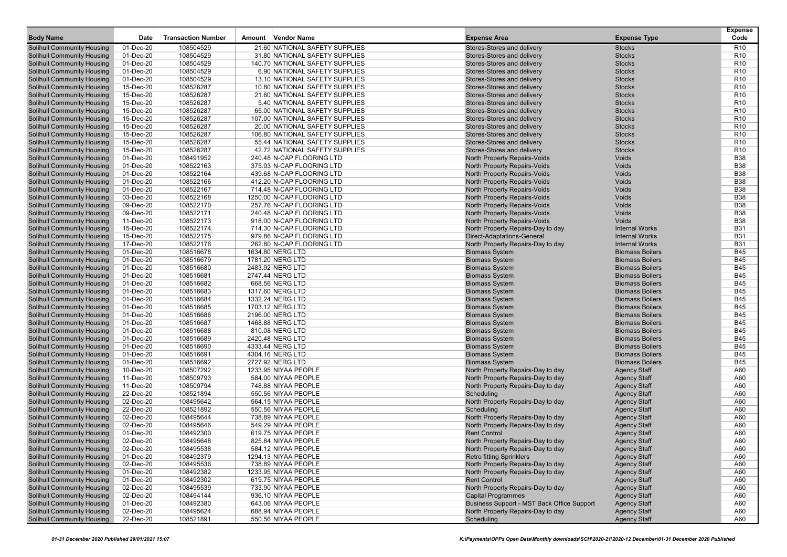| <b>Body Name</b>                                                       | Date                   | <b>Transaction Number</b> | <b>Vendor Name</b><br>Amount                                    | <b>Expense Area</b>                                                  | <b>Expense Type</b>                        | <b>Expense</b><br>Code             |
|------------------------------------------------------------------------|------------------------|---------------------------|-----------------------------------------------------------------|----------------------------------------------------------------------|--------------------------------------------|------------------------------------|
|                                                                        |                        |                           |                                                                 |                                                                      |                                            |                                    |
| Solihull Community Housing                                             | 01-Dec-20              | 108504529                 | 21.60 NATIONAL SAFETY SUPPLIES                                  | Stores-Stores and delivery                                           | <b>Stocks</b>                              | R10                                |
| Solihull Community Housing                                             | 01-Dec-20              | 108504529                 | 31.80 NATIONAL SAFETY SUPPLIES                                  | Stores-Stores and delivery                                           | <b>Stocks</b>                              | R <sub>10</sub>                    |
| <b>Solihull Community Housing</b>                                      | 01-Dec-20              | 108504529                 | 140.70 NATIONAL SAFETY SUPPLIES                                 | Stores-Stores and delivery                                           | <b>Stocks</b>                              | R <sub>10</sub>                    |
| <b>Solihull Community Housing</b>                                      | 01-Dec-20              | 108504529<br>108504529    | 6.90 NATIONAL SAFETY SUPPLIES<br>13.10 NATIONAL SAFETY SUPPLIES | Stores-Stores and delivery<br>Stores-Stores and delivery             | <b>Stocks</b><br><b>Stocks</b>             | R <sub>10</sub><br>R <sub>10</sub> |
| <b>Solihull Community Housing</b><br><b>Solihull Community Housing</b> | 01-Dec-20<br>15-Dec-20 | 108526287                 | 10.80 NATIONAL SAFETY SUPPLIES                                  | Stores-Stores and delivery                                           | <b>Stocks</b>                              | R <sub>10</sub>                    |
| Solihull Community Housing                                             | 15-Dec-20              | 108526287                 | 21.60 NATIONAL SAFETY SUPPLIES                                  | Stores-Stores and delivery                                           | <b>Stocks</b>                              | R <sub>10</sub>                    |
| <b>Solihull Community Housing</b>                                      | 15-Dec-20              | 108526287                 | 5.40 NATIONAL SAFETY SUPPLIES                                   | Stores-Stores and delivery                                           | <b>Stocks</b>                              | R <sub>10</sub>                    |
| <b>Solihull Community Housing</b>                                      | 15-Dec-20              | 108526287                 | 65.00 NATIONAL SAFETY SUPPLIES                                  | Stores-Stores and delivery                                           | <b>Stocks</b>                              | R <sub>10</sub>                    |
| <b>Solihull Community Housing</b>                                      | 15-Dec-20              | 108526287                 | 107.00 NATIONAL SAFETY SUPPLIES                                 | Stores-Stores and delivery                                           | <b>Stocks</b>                              | R <sub>10</sub>                    |
| <b>Solihull Community Housing</b>                                      | 15-Dec-20              | 108526287                 | 20.00 NATIONAL SAFETY SUPPLIES                                  | Stores-Stores and delivery                                           | <b>Stocks</b>                              | R <sub>10</sub>                    |
| Solihull Community Housing                                             | 15-Dec-20              | 108526287                 | 106.80 NATIONAL SAFETY SUPPLIES                                 | Stores-Stores and delivery                                           | <b>Stocks</b>                              | R <sub>10</sub>                    |
| <b>Solihull Community Housing</b>                                      | 15-Dec-20              | 108526287                 | 55.44 NATIONAL SAFETY SUPPLIES                                  | Stores-Stores and delivery                                           | <b>Stocks</b>                              | R <sub>10</sub>                    |
| <b>Solihull Community Housing</b>                                      | 15-Dec-20              | 108526287                 | 42.72 NATIONAL SAFETY SUPPLIES                                  | Stores-Stores and delivery                                           | <b>Stocks</b>                              | R <sub>10</sub>                    |
| <b>Solihull Community Housing</b>                                      | 01-Dec-20              | 108491952                 | 240.48 N-CAP FLOORING LTD                                       | North Property Repairs-Voids                                         | Voids                                      | <b>B38</b>                         |
| <b>Solihull Community Housing</b>                                      | 01-Dec-20              | 108522163                 | 375.03 N-CAP FLOORING LTD                                       | North Property Repairs-Voids                                         | Voids                                      | <b>B38</b>                         |
| Solihull Community Housing                                             | 01-Dec-20              | 108522164                 | 439.68 N-CAP FLOORING LTD                                       | North Property Repairs-Voids                                         | Voids                                      | <b>B38</b>                         |
| <b>Solihull Community Housing</b>                                      | 01-Dec-20              | 108522166                 | 412.20 N-CAP FLOORING LTD                                       | North Property Repairs-Voids                                         | Voids                                      | <b>B38</b>                         |
| <b>Solihull Community Housing</b>                                      | 01-Dec-20              | 108522167                 | 714.48 N-CAP FLOORING LTD                                       | North Property Repairs-Voids                                         | Voids                                      | <b>B38</b>                         |
| <b>Solihull Community Housing</b>                                      | 03-Dec-20              | 108522168                 | 1250.00 N-CAP FLOORING LTD                                      | North Property Repairs-Voids                                         | Voids                                      | <b>B38</b>                         |
| <b>Solihull Community Housing</b>                                      | 09-Dec-20              | 108522170                 | 257.76 N-CAP FLOORING LTD                                       | North Property Repairs-Voids                                         | Voids                                      | <b>B38</b>                         |
| Solihull Community Housing                                             | 09-Dec-20              | 108522171                 | 240.48 N-CAP FLOORING LTD                                       | North Property Repairs-Voids                                         | Voids                                      | <b>B38</b>                         |
| <b>Solihull Community Housing</b>                                      | 11-Dec-20              | 108522173                 | 918.00 N-CAP FLOORING LTD                                       | North Property Repairs-Voids                                         | Voids                                      | <b>B38</b>                         |
| <b>Solihull Community Housing</b>                                      | 15-Dec-20              | 108522174                 | 714.30 N-CAP FLOORING LTD                                       | North Property Repairs-Day to day                                    | <b>Internal Works</b>                      | <b>B31</b>                         |
| <b>Solihull Community Housing</b>                                      | 15-Dec-20              | 108522175                 | 979.86 N-CAP FLOORING LTD                                       | Direct-Adaptations-General                                           | <b>Internal Works</b>                      | <b>B31</b>                         |
| <b>Solihull Community Housing</b>                                      | 17-Dec-20              | 108522176                 | 262.80 N-CAP FLOORING LTD                                       | North Property Repairs-Day to day                                    | <b>Internal Works</b>                      | <b>B31</b>                         |
| Solihull Community Housing                                             | 01-Dec-20              | 108516678                 | 1634.80 NERG LTD                                                | <b>Biomass System</b>                                                | <b>Biomass Boilers</b>                     | <b>B45</b>                         |
| <b>Solihull Community Housing</b>                                      | 01-Dec-20              | 108516679                 | 1781.20 NERG LTD                                                | <b>Biomass System</b>                                                | <b>Biomass Boilers</b>                     | <b>B45</b>                         |
| <b>Solihull Community Housing</b>                                      | 01-Dec-20              | 108516680                 | 2483.92 NERG LTD                                                | <b>Biomass System</b>                                                | <b>Biomass Boilers</b>                     | <b>B45</b>                         |
| <b>Solihull Community Housing</b>                                      | 01-Dec-20              | 108516681                 | 2747.44 NERG LTD                                                | <b>Biomass System</b>                                                | <b>Biomass Boilers</b>                     | <b>B45</b>                         |
| <b>Solihull Community Housing</b>                                      | 01-Dec-20              | 108516682                 | 668.56 NERG LTD                                                 | <b>Biomass System</b>                                                | <b>Biomass Boilers</b>                     | <b>B45</b>                         |
| Solihull Community Housing                                             | 01-Dec-20              | 108516683                 | 1317.60 NERG LTD                                                | <b>Biomass System</b>                                                | <b>Biomass Boilers</b>                     | <b>B45</b>                         |
| <b>Solihull Community Housing</b>                                      | 01-Dec-20              | 108516684                 | 1332.24 NERG LTD                                                | <b>Biomass System</b>                                                | <b>Biomass Boilers</b>                     | <b>B45</b>                         |
| <b>Solihull Community Housing</b>                                      | 01-Dec-20              | 108516685                 | 1703.12 NERG LTD                                                | <b>Biomass System</b>                                                | <b>Biomass Boilers</b>                     | <b>B45</b>                         |
| <b>Solihull Community Housing</b>                                      | 01-Dec-20              | 108516686                 | 2196.00 NERG LTD                                                | <b>Biomass System</b>                                                | <b>Biomass Boilers</b>                     | <b>B45</b>                         |
| <b>Solihull Community Housing</b>                                      | 01-Dec-20              | 108516687                 | 1468.88 NERG LTD                                                | <b>Biomass System</b>                                                | <b>Biomass Boilers</b>                     | <b>B45</b>                         |
| Solihull Community Housing                                             | 01-Dec-20              | 108516688                 | 810.08 NERG LTD                                                 | <b>Biomass System</b>                                                | <b>Biomass Boilers</b>                     | <b>B45</b>                         |
| <b>Solihull Community Housing</b>                                      | 01-Dec-20              | 108516689                 | 2420.48 NERG LTD                                                | <b>Biomass System</b>                                                | <b>Biomass Boilers</b>                     | <b>B45</b>                         |
| <b>Solihull Community Housing</b>                                      | 01-Dec-20              | 108516690                 | 4333.44 NERG LTD                                                | <b>Biomass System</b>                                                | <b>Biomass Boilers</b>                     | <b>B45</b>                         |
| <b>Solihull Community Housing</b>                                      | 01-Dec-20              | 108516691                 | 4304.16 NERG LTD                                                | <b>Biomass System</b>                                                | <b>Biomass Boilers</b>                     | <b>B45</b>                         |
| <b>Solihull Community Housing</b>                                      | 01-Dec-20              | 108516692                 | 2727.92 NERG LTD                                                | <b>Biomass System</b>                                                | <b>Biomass Boilers</b>                     | <b>B45</b>                         |
| Solihull Community Housing                                             | 10-Dec-20              | 108507292                 | 1233.95 NIYAA PEOPLE                                            | North Property Repairs-Day to day                                    | <b>Agency Staff</b>                        | A60                                |
| <b>Solihull Community Housing</b>                                      | 11-Dec-20              | 108509793                 | 584.00 NIYAA PEOPLE                                             | North Property Repairs-Day to day                                    | <b>Agency Staff</b>                        | A60                                |
| <b>Solihull Community Housing</b>                                      | 11-Dec-20              | 108509794                 | 748.88 NIYAA PEOPLE                                             | North Property Repairs-Day to day                                    | <b>Agency Staff</b>                        | A60                                |
| <b>Solihull Community Housing</b>                                      | 22-Dec-20              | 108521894                 | 550.56 NIYAA PEOPLE                                             | Scheduling                                                           | <b>Agency Staff</b>                        | A60                                |
| <b>Solihull Community Housing</b>                                      | 02-Dec-20              | 108495642                 | 564.15 NIYAA PEOPLE                                             | North Property Repairs-Day to day                                    | <b>Agency Staff</b>                        | A60                                |
| Solihull Community Housing                                             | 22-Dec-20              | 108521892                 | 550.56 NIYAA PEOPLE                                             | Scheduling                                                           | <b>Agency Staff</b>                        | A60                                |
| <b>Solihull Community Housing</b>                                      | 02-Dec-20              | 108495644                 | 738.89 NIYAA PEOPLE                                             | North Property Repairs-Day to day                                    | <b>Agency Staff</b>                        | A60                                |
| <b>Solihull Community Housing</b>                                      | 02-Dec-20              | 108495646                 | 549.29 NIYAA PEOPLE                                             | North Property Repairs-Day to day                                    | <b>Agency Staff</b>                        | A60                                |
| <b>Solihull Community Housing</b>                                      | 01-Dec-20              | 108492300                 | 619.75 NIYAA PEOPLE                                             | <b>Rent Control</b>                                                  | <b>Agency Staff</b>                        | A60                                |
| <b>Solihull Community Housing</b>                                      | 02-Dec-20              | 108495648                 | 825.84 NIYAA PEOPLE                                             | North Property Repairs-Day to day                                    | <b>Agency Staff</b>                        | A60                                |
| <b>Solihull Community Housing</b>                                      | 02-Dec-20              | 108495538                 | 584.12 NIYAA PEOPLE                                             | North Property Repairs-Day to day                                    | <b>Agency Staff</b>                        | A60                                |
| <b>Solihull Community Housing</b><br><b>Solihull Community Housing</b> | 01-Dec-20              | 108492379                 | 1294.13 NIYAA PEOPLE<br>738.89 NIYAA PEOPLE                     | <b>Retro fitting Sprinklers</b><br>North Property Repairs-Day to day | <b>Agency Staff</b>                        | A60                                |
|                                                                        | 02-Dec-20              | 108495536                 |                                                                 |                                                                      | <b>Agency Staff</b>                        | A60                                |
| <b>Solihull Community Housing</b>                                      | 01-Dec-20              | 108492382                 | 1233.95 NIYAA PEOPLE                                            | North Property Repairs-Day to day                                    | <b>Agency Staff</b>                        | A60                                |
| <b>Solihull Community Housing</b><br><b>Solihull Community Housing</b> | 01-Dec-20<br>02-Dec-20 | 108492302<br>108495539    | 619.75 NIYAA PEOPLE                                             | <b>Rent Control</b><br>North Property Repairs-Day to day             | <b>Agency Staff</b><br><b>Agency Staff</b> | A60                                |
| <b>Solihull Community Housing</b>                                      | 02-Dec-20              | 108494144                 | 733.90 NIYAA PEOPLE<br>936.10 NIYAA PEOPLE                      | <b>Capital Programmes</b>                                            |                                            | A60                                |
| <b>Solihull Community Housing</b>                                      | 01-Dec-20              | 108492380                 | 643.06 NIYAA PEOPLE                                             | Business Support - MST Back Office Support                           | <b>Agency Staff</b><br><b>Agency Staff</b> | A60<br>A60                         |
| <b>Solihull Community Housing</b>                                      | 02-Dec-20              | 108495624                 | 688.94 NIYAA PEOPLE                                             | North Property Repairs-Day to day                                    | <b>Agency Staff</b>                        | A60                                |
| <b>Solihull Community Housing</b>                                      | 22-Dec-20              | 108521891                 | 550.56 NIYAA PEOPLE                                             | Scheduling                                                           | <b>Agency Staff</b>                        | A60                                |
|                                                                        |                        |                           |                                                                 |                                                                      |                                            |                                    |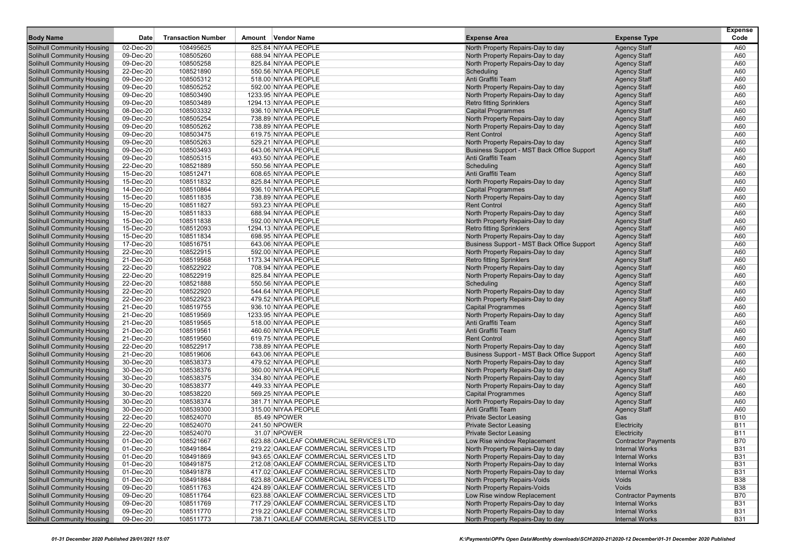| <b>Body Name</b>                                                       | <b>Date</b>            | <b>Transaction Number</b> | Amount Vendor Name                         | <b>Expense Area</b>                                                    |                                            | <b>Expense</b><br>Code |
|------------------------------------------------------------------------|------------------------|---------------------------|--------------------------------------------|------------------------------------------------------------------------|--------------------------------------------|------------------------|
|                                                                        |                        |                           |                                            |                                                                        | <b>Expense Type</b>                        |                        |
| Solihull Community Housing                                             | 02-Dec-20              | 108495625                 | 825.84 NIYAA PEOPLE                        | North Property Repairs-Day to day                                      | <b>Agency Staff</b>                        | A60                    |
| Solihull Community Housing                                             | 09-Dec-20              | 108505260                 | 688.94 NIYAA PEOPLE                        | North Property Repairs-Day to day                                      | <b>Agency Staff</b>                        | A60                    |
| <b>Solihull Community Housing</b>                                      | 09-Dec-20              | 108505258                 | 825.84 NIYAA PEOPLE                        | North Property Repairs-Day to day                                      | <b>Agency Staff</b>                        | A60                    |
| <b>Solihull Community Housing</b>                                      | 22-Dec-20              | 108521890                 | 550.56 NIYAA PEOPLE                        | Scheduling                                                             | <b>Agency Staff</b>                        | A60                    |
| <b>Solihull Community Housing</b>                                      | 09-Dec-20              | 108505312                 | 518.00 NIYAA PEOPLE<br>592.00 NIYAA PEOPLE | Anti Graffiti Team                                                     | <b>Agency Staff</b>                        | A60                    |
| <b>Solihull Community Housing</b>                                      | 09-Dec-20              | 108505252                 |                                            | North Property Repairs-Day to day                                      | <b>Agency Staff</b>                        | A60                    |
| <b>Solihull Community Housing</b>                                      | 09-Dec-20              | 108503490                 | 1233.95 NIYAA PEOPLE                       | North Property Repairs-Day to day                                      | <b>Agency Staff</b>                        | A60                    |
| <b>Solihull Community Housing</b>                                      | 09-Dec-20              | 108503489                 | 1294.13 NIYAA PEOPLE                       | <b>Retro fitting Sprinklers</b>                                        | <b>Agency Staff</b>                        | A60                    |
| <b>Solihull Community Housing</b>                                      | 08-Dec-20              | 108503332                 | 936.10 NIYAA PEOPLE                        | <b>Capital Programmes</b>                                              | <b>Agency Staff</b>                        | A60                    |
| <b>Solihull Community Housing</b><br><b>Solihull Community Housing</b> | 09-Dec-20              | 108505254                 | 738.89 NIYAA PEOPLE                        | North Property Repairs-Day to day<br>North Property Repairs-Day to day | <b>Agency Staff</b>                        | A60                    |
|                                                                        | 09-Dec-20              | 108505262                 | 738.89 NIYAA PEOPLE<br>619.75 NIYAA PEOPLE |                                                                        | <b>Agency Staff</b>                        | A60<br>A60             |
| <b>Solihull Community Housing</b>                                      | 09-Dec-20<br>09-Dec-20 | 108503475                 | 529.21 NIYAA PEOPLE                        | <b>Rent Control</b>                                                    | <b>Agency Staff</b>                        | A60                    |
| <b>Solihull Community Housing</b>                                      |                        | 108505263                 |                                            | North Property Repairs-Day to day                                      | <b>Agency Staff</b>                        |                        |
| <b>Solihull Community Housing</b><br><b>Solihull Community Housing</b> | 09-Dec-20              | 108503493                 | 643.06 NIYAA PEOPLE<br>493.50 NIYAA PEOPLE | Business Support - MST Back Office Support<br>Anti Graffiti Team       | <b>Agency Staff</b>                        | A60                    |
|                                                                        | 09-Dec-20              | 108505315                 |                                            |                                                                        | <b>Agency Staff</b>                        | A60                    |
| <b>Solihull Community Housing</b>                                      | 22-Dec-20              | 108521889                 | 550.56 NIYAA PEOPLE                        | Scheduling<br>Anti Graffiti Team                                       | <b>Agency Staff</b>                        | A60                    |
| <b>Solihull Community Housing</b>                                      | 15-Dec-20<br>15-Dec-20 | 108512471<br>108511832    | 608.65 NIYAA PEOPLE                        |                                                                        | <b>Agency Staff</b>                        | A60<br>A60             |
| <b>Solihull Community Housing</b>                                      |                        |                           | 825.84 NIYAA PEOPLE                        | North Property Repairs-Day to day                                      | <b>Agency Staff</b>                        |                        |
| <b>Solihull Community Housing</b>                                      | 14-Dec-20              | 108510864                 | 936.10 NIYAA PEOPLE                        | <b>Capital Programmes</b>                                              | <b>Agency Staff</b>                        | A60                    |
| <b>Solihull Community Housing</b>                                      | 15-Dec-20              | 108511835                 | 738.89 NIYAA PEOPLE                        | North Property Repairs-Day to day                                      | <b>Agency Staff</b>                        | A60                    |
| <b>Solihull Community Housing</b>                                      | 15-Dec-20              | 108511827                 | 593.23 NIYAA PEOPLE                        | <b>Rent Control</b>                                                    | <b>Agency Staff</b>                        | A60                    |
| <b>Solihull Community Housing</b>                                      | 15-Dec-20<br>15-Dec-20 | 108511833                 | 688.94 NIYAA PEOPLE                        | North Property Repairs-Day to day                                      | <b>Agency Staff</b>                        | A60                    |
| <b>Solihull Community Housing</b>                                      |                        | 108511838                 | 592.00 NIYAA PEOPLE                        | North Property Repairs-Day to day                                      | <b>Agency Staff</b>                        | A60                    |
| <b>Solihull Community Housing</b>                                      | 15-Dec-20              | 108512093                 | 1294.13 NIYAA PEOPLE                       | <b>Retro fitting Sprinklers</b>                                        | <b>Agency Staff</b>                        | A60                    |
| <b>Solihull Community Housing</b>                                      | 15-Dec-20              | 108511834                 | 698.95 NIYAA PEOPLE                        | North Property Repairs-Day to day                                      | <b>Agency Staff</b>                        | A60                    |
| <b>Solihull Community Housing</b>                                      | 17-Dec-20              | 108516751                 | 643.06 NIYAA PEOPLE                        | Business Support - MST Back Office Support                             | <b>Agency Staff</b>                        | A60                    |
| <b>Solihull Community Housing</b>                                      | 22-Dec-20              | 108522915                 | 592.00 NIYAA PEOPLE                        | North Property Repairs-Day to day                                      | <b>Agency Staff</b>                        | A60                    |
| <b>Solihull Community Housing</b>                                      | 21-Dec-20              | 108519568                 | 1173.34 NIYAA PEOPLE                       | <b>Retro fitting Sprinklers</b>                                        | <b>Agency Staff</b>                        | A60                    |
| <b>Solihull Community Housing</b><br><b>Solihull Community Housing</b> | 22-Dec-20              | 108522922                 | 708.94 NIYAA PEOPLE<br>825.84 NIYAA PEOPLE | North Property Repairs-Day to day                                      | <b>Agency Staff</b>                        | A60                    |
| <b>Solihull Community Housing</b>                                      | 22-Dec-20              | 108522919                 | 550.56 NIYAA PEOPLE                        | North Property Repairs-Day to day                                      | <b>Agency Staff</b>                        | A60                    |
| Solihull Community Housing                                             | 22-Dec-20              | 108521888<br>108522920    | 544.64 NIYAA PEOPLE                        | Scheduling                                                             | <b>Agency Staff</b>                        | A60<br>A60             |
| <b>Solihull Community Housing</b>                                      | 22-Dec-20<br>22-Dec-20 | 108522923                 | 479.52 NIYAA PEOPLE                        | North Property Repairs-Day to day                                      | <b>Agency Staff</b><br><b>Agency Staff</b> | A60                    |
| <b>Solihull Community Housing</b>                                      |                        | 108519755                 | 936.10 NIYAA PEOPLE                        | North Property Repairs-Day to day                                      |                                            | A60                    |
| <b>Solihull Community Housing</b>                                      | 21-Dec-20<br>21-Dec-20 | 108519569                 | 1233.95 NIYAA PEOPLE                       | <b>Capital Programmes</b><br>North Property Repairs-Day to day         | <b>Agency Staff</b><br><b>Agency Staff</b> | A60                    |
| <b>Solihull Community Housing</b>                                      | 21-Dec-20              | 108519565                 | 518.00 NIYAA PEOPLE                        | Anti Graffiti Team                                                     | <b>Agency Staff</b>                        | A60                    |
| <b>Solihull Community Housing</b>                                      | 21-Dec-20              | 108519561                 | 460.60 NIYAA PEOPLE                        | Anti Graffiti Team                                                     | <b>Agency Staff</b>                        | A60                    |
| <b>Solihull Community Housing</b>                                      | 21-Dec-20              | 108519560                 | 619.75 NIYAA PEOPLE                        | <b>Rent Control</b>                                                    | <b>Agency Staff</b>                        | A60                    |
| <b>Solihull Community Housing</b>                                      | 22-Dec-20              | 108522917                 | 738.89 NIYAA PEOPLE                        | North Property Repairs-Day to day                                      | <b>Agency Staff</b>                        | A60                    |
| <b>Solihull Community Housing</b>                                      | 21-Dec-20              | 108519606                 | 643.06 NIYAA PEOPLE                        | Business Support - MST Back Office Support                             | <b>Agency Staff</b>                        | A60                    |
| <b>Solihull Community Housing</b>                                      | 30-Dec-20              | 108538373                 | 479.52 NIYAA PEOPLE                        | North Property Repairs-Day to day                                      | <b>Agency Staff</b>                        | A60                    |
| <b>Solihull Community Housing</b>                                      | 30-Dec-20              | 108538376                 | 360.00 NIYAA PEOPLE                        | North Property Repairs-Day to day                                      | <b>Agency Staff</b>                        | A60                    |
| <b>Solihull Community Housing</b>                                      | 30-Dec-20              | 108538375                 | 334.80 NIYAA PEOPLE                        | North Property Repairs-Day to day                                      | <b>Agency Staff</b>                        | A60                    |
| <b>Solihull Community Housing</b>                                      | 30-Dec-20              | 108538377                 | 449.33 NIYAA PEOPLE                        | North Property Repairs-Day to day                                      | <b>Agency Staff</b>                        | A60                    |
| <b>Solihull Community Housing</b>                                      | 30-Dec-20              | 108538220                 | 569.25 NIYAA PEOPLE                        | <b>Capital Programmes</b>                                              | <b>Agency Staff</b>                        | A60                    |
| <b>Solihull Community Housing</b>                                      | 30-Dec-20              | 108538374                 | 381.71 NIYAA PEOPLE                        | North Property Repairs-Day to day                                      | <b>Agency Staff</b>                        | A60                    |
| Solihull Community Housing                                             | 30-Dec-20              | 108539300                 | 315.00 NIYAA PEOPLE                        | Anti Graffiti Team                                                     | <b>Agency Staff</b>                        | A60                    |
| <b>Solihull Community Housing</b>                                      | 22-Dec-20              | 108524070                 | 85.49 NPOWER                               | <b>Private Sector Leasing</b>                                          | Gas                                        | <b>B10</b>             |
| <b>Solihull Community Housing</b>                                      | 22-Dec-20              | 108524070                 | 241.50 NPOWER                              | <b>Private Sector Leasing</b>                                          | Electricity                                | <b>B11</b>             |
| <b>Solihull Community Housing</b>                                      | 22-Dec-20              | 108524070                 | 31.07 NPOWER                               | <b>Private Sector Leasing</b>                                          | Electricity                                | <b>B11</b>             |
| <b>Solihull Community Housing</b>                                      | 01-Dec-20              | 108521667                 | 623.88 OAKLEAF COMMERCIAL SERVICES LTD     | Low Rise window Replacement                                            | <b>Contractor Payments</b>                 | <b>B70</b>             |
| <b>Solihull Community Housing</b>                                      | 01-Dec-20              | 108491864                 | 219.22 OAKLEAF COMMERCIAL SERVICES LTD     | North Property Repairs-Day to day                                      | <b>Internal Works</b>                      | <b>B31</b>             |
| <b>Solihull Community Housing</b>                                      | 01-Dec-20              | 108491869                 | 943.65 OAKLEAF COMMERCIAL SERVICES LTD     | North Property Repairs-Day to day                                      | <b>Internal Works</b>                      | <b>B31</b>             |
| <b>Solihull Community Housing</b>                                      | 01-Dec-20              | 108491875                 | 212.08 OAKLEAF COMMERCIAL SERVICES LTD     | North Property Repairs-Day to day                                      | <b>Internal Works</b>                      | <b>B31</b>             |
| <b>Solihull Community Housing</b>                                      | 01-Dec-20              | 108491878                 | 417.02 OAKLEAF COMMERCIAL SERVICES LTD     | North Property Repairs-Day to day                                      | <b>Internal Works</b>                      | <b>B31</b>             |
| <b>Solihull Community Housing</b>                                      | 01-Dec-20              | 108491884                 | 623.88 OAKLEAF COMMERCIAL SERVICES LTD     | North Property Repairs-Voids                                           | Voids                                      | <b>B38</b>             |
| <b>Solihull Community Housing</b>                                      | 09-Dec-20              | 108511763                 | 424.89 OAKLEAF COMMERCIAL SERVICES LTD     | North Property Repairs-Voids                                           | Voids                                      | <b>B38</b>             |
| <b>Solihull Community Housing</b>                                      | 09-Dec-20              | 108511764                 | 623.88 OAKLEAF COMMERCIAL SERVICES LTD     | Low Rise window Replacement                                            | <b>Contractor Payments</b>                 | <b>B70</b>             |
| <b>Solihull Community Housing</b>                                      | 09-Dec-20              | 108511769                 | 717.29 OAKLEAF COMMERCIAL SERVICES LTD     | North Property Repairs-Day to day                                      | <b>Internal Works</b>                      | <b>B31</b>             |
| <b>Solihull Community Housing</b>                                      | 09-Dec-20              | 108511770                 | 219.22 OAKLEAF COMMERCIAL SERVICES LTD     | North Property Repairs-Day to day                                      | <b>Internal Works</b>                      | <b>B31</b>             |
| <b>Solihull Community Housing</b>                                      | 09-Dec-20              | 108511773                 | 738.71 OAKLEAF COMMERCIAL SERVICES LTD     | North Property Repairs-Day to day                                      | <b>Internal Works</b>                      | <b>B31</b>             |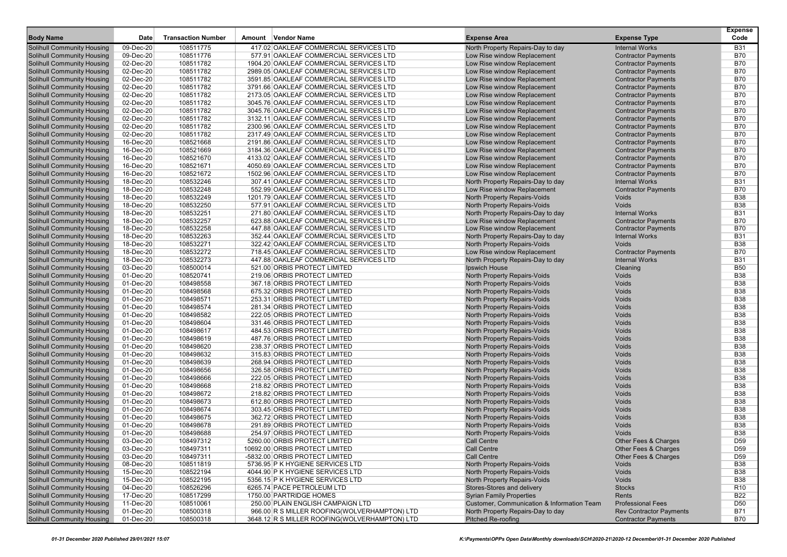| <b>Body Name</b>                                                       | <b>Date</b>            | <b>Transaction Number</b> | Amount Vendor Name                                                   | <b>Expense Area</b>                                        | <b>Expense Type</b>                                      | <b>Expense</b><br>Code        |
|------------------------------------------------------------------------|------------------------|---------------------------|----------------------------------------------------------------------|------------------------------------------------------------|----------------------------------------------------------|-------------------------------|
|                                                                        | 09-Dec-20              | 108511775                 | 417.02 OAKLEAF COMMERCIAL SERVICES LTD                               |                                                            | <b>Internal Works</b>                                    | <b>B31</b>                    |
| Solihull Community Housing                                             | 09-Dec-20              | 108511776                 | 577.91 OAKLEAF COMMERCIAL SERVICES LTD                               | North Property Repairs-Day to day                          |                                                          | <b>B70</b>                    |
| Solihull Community Housing<br><b>Solihull Community Housing</b>        | 02-Dec-20              | 108511782                 | 1904.20 OAKLEAF COMMERCIAL SERVICES LTD                              | Low Rise window Replacement<br>Low Rise window Replacement | <b>Contractor Payments</b><br><b>Contractor Payments</b> | <b>B70</b>                    |
| <b>Solihull Community Housing</b>                                      | 02-Dec-20              | 108511782                 | 2989.05 OAKLEAF COMMERCIAL SERVICES LTD                              | Low Rise window Replacement                                | <b>Contractor Payments</b>                               | <b>B70</b>                    |
| <b>Solihull Community Housing</b>                                      | 02-Dec-20              | 108511782                 | 3591.85 OAKLEAF COMMERCIAL SERVICES LTD                              | Low Rise window Replacement                                | <b>Contractor Payments</b>                               | <b>B70</b>                    |
| <b>Solihull Community Housing</b>                                      | 02-Dec-20              | 108511782                 | 3791.66 OAKLEAF COMMERCIAL SERVICES LTD                              | Low Rise window Replacement                                | <b>Contractor Payments</b>                               | <b>B70</b>                    |
| Solihull Community Housing                                             | 02-Dec-20              | 108511782                 | 2173.05 OAKLEAF COMMERCIAL SERVICES LTD                              | Low Rise window Replacement                                | <b>Contractor Payments</b>                               | <b>B70</b>                    |
| <b>Solihull Community Housing</b>                                      | 02-Dec-20              | 108511782                 | 3045.76 OAKLEAF COMMERCIAL SERVICES LTD                              | Low Rise window Replacement                                | <b>Contractor Payments</b>                               | <b>B70</b>                    |
| <b>Solihull Community Housing</b>                                      | 02-Dec-20              | 108511782                 | 3045.76 OAKLEAF COMMERCIAL SERVICES LTD                              | Low Rise window Replacement                                | <b>Contractor Payments</b>                               | <b>B70</b>                    |
| <b>Solihull Community Housing</b>                                      | 02-Dec-20              | 108511782                 | 3132.11 OAKLEAF COMMERCIAL SERVICES LTD                              | Low Rise window Replacement                                | <b>Contractor Payments</b>                               | <b>B70</b>                    |
| <b>Solihull Community Housing</b>                                      | 02-Dec-20              | 108511782                 | 2300.96 OAKLEAF COMMERCIAL SERVICES LTD                              | Low Rise window Replacement                                | <b>Contractor Payments</b>                               | <b>B70</b>                    |
| Solihull Community Housing                                             | 02-Dec-20              | 108511782                 | 2317.49 OAKLEAF COMMERCIAL SERVICES LTD                              | Low Rise window Replacement                                | <b>Contractor Payments</b>                               | <b>B70</b>                    |
| <b>Solihull Community Housing</b>                                      | 16-Dec-20              | 108521668                 | 2191.86 OAKLEAF COMMERCIAL SERVICES LTD                              | Low Rise window Replacement                                | <b>Contractor Payments</b>                               | <b>B70</b>                    |
| <b>Solihull Community Housing</b>                                      | 16-Dec-20              | 108521669                 | 3184.36 OAKLEAF COMMERCIAL SERVICES LTD                              | Low Rise window Replacement                                | <b>Contractor Payments</b>                               | <b>B70</b>                    |
| <b>Solihull Community Housing</b>                                      | 16-Dec-20              | 108521670                 | 4133.02 OAKLEAF COMMERCIAL SERVICES LTD                              | Low Rise window Replacement                                | <b>Contractor Payments</b>                               | <b>B70</b>                    |
| <b>Solihull Community Housing</b>                                      | 16-Dec-20              | 108521671                 | 4050.69 OAKLEAF COMMERCIAL SERVICES LTD                              | Low Rise window Replacement                                | <b>Contractor Payments</b>                               | <b>B70</b>                    |
| Solihull Community Housing                                             | 16-Dec-20              | 108521672                 | 1502.96 OAKLEAF COMMERCIAL SERVICES LTD                              | Low Rise window Replacement                                | <b>Contractor Payments</b>                               | <b>B70</b>                    |
| <b>Solihull Community Housing</b>                                      | 18-Dec-20              | 108532246                 | 307.41 OAKLEAF COMMERCIAL SERVICES LTD                               | North Property Repairs-Day to day                          | <b>Internal Works</b>                                    | <b>B31</b>                    |
| <b>Solihull Community Housing</b>                                      | 18-Dec-20              | 108532248                 | 552.99 OAKLEAF COMMERCIAL SERVICES LTD                               | Low Rise window Replacement                                | <b>Contractor Payments</b>                               | <b>B70</b>                    |
| <b>Solihull Community Housing</b>                                      | 18-Dec-20              | 108532249                 | 1201.79 OAKLEAF COMMERCIAL SERVICES LTD                              | North Property Repairs-Voids                               | Voids                                                    | <b>B38</b>                    |
| <b>Solihull Community Housing</b>                                      | 18-Dec-20              | 108532250                 | 577.91 OAKLEAF COMMERCIAL SERVICES LTD                               | North Property Repairs-Voids                               | Voids                                                    | <b>B38</b>                    |
| Solihull Community Housing                                             | 18-Dec-20              | 108532251                 | 271.80 OAKLEAF COMMERCIAL SERVICES LTD                               | North Property Repairs-Day to day                          | <b>Internal Works</b>                                    | <b>B31</b>                    |
| <b>Solihull Community Housing</b>                                      | 18-Dec-20              | 108532257                 | 623.88 OAKLEAF COMMERCIAL SERVICES LTD                               | Low Rise window Replacement                                | <b>Contractor Payments</b>                               | <b>B70</b>                    |
| <b>Solihull Community Housing</b>                                      | 18-Dec-20              | 108532258                 | 447.88 OAKLEAF COMMERCIAL SERVICES LTD                               | Low Rise window Replacement                                | <b>Contractor Payments</b>                               | <b>B70</b>                    |
| <b>Solihull Community Housing</b>                                      | 18-Dec-20              | 108532263                 | 352.44 OAKLEAF COMMERCIAL SERVICES LTD                               | North Property Repairs-Day to day                          | <b>Internal Works</b>                                    | <b>B31</b>                    |
| <b>Solihull Community Housing</b>                                      | 18-Dec-20              | 108532271                 | 322.42 OAKLEAF COMMERCIAL SERVICES LTD                               | North Property Repairs-Voids                               | Voids                                                    | <b>B38</b>                    |
| Solihull Community Housing                                             | 18-Dec-20              | 108532272                 | 718.45 OAKLEAF COMMERCIAL SERVICES LTD                               | Low Rise window Replacement                                | <b>Contractor Payments</b>                               | <b>B70</b>                    |
| <b>Solihull Community Housing</b>                                      | 18-Dec-20              | 108532273                 | 447.88 OAKLEAF COMMERCIAL SERVICES LTD                               | North Property Repairs-Day to day                          | <b>Internal Works</b>                                    | <b>B31</b>                    |
| <b>Solihull Community Housing</b>                                      | 03-Dec-20              | 108500014                 | 521.00 ORBIS PROTECT LIMITED                                         | Ipswich House                                              | Cleaning                                                 | <b>B50</b>                    |
| <b>Solihull Community Housing</b>                                      | 01-Dec-20              | 108520741                 | 219.06 ORBIS PROTECT LIMITED                                         | North Property Repairs-Voids                               | Voids                                                    | <b>B38</b>                    |
| <b>Solihull Community Housing</b>                                      | 01-Dec-20              | 108498558                 | 367.18 ORBIS PROTECT LIMITED                                         | <b>North Property Repairs-Voids</b>                        | Voids                                                    | <b>B38</b>                    |
| Solihull Community Housing                                             | 01-Dec-20              | 108498568                 | 675.32 ORBIS PROTECT LIMITED                                         | North Property Repairs-Voids                               | Voids                                                    | <b>B38</b>                    |
| <b>Solihull Community Housing</b>                                      | 01-Dec-20              | 108498571                 | 253.31 ORBIS PROTECT LIMITED                                         | North Property Repairs-Voids                               | Voids                                                    | <b>B38</b>                    |
| <b>Solihull Community Housing</b>                                      | 01-Dec-20              | 108498574                 | 281.34 ORBIS PROTECT LIMITED                                         | North Property Repairs-Voids                               | Voids                                                    | <b>B38</b>                    |
| <b>Solihull Community Housing</b>                                      | 01-Dec-20              | 108498582                 | 222.05 ORBIS PROTECT LIMITED                                         | <b>North Property Repairs-Voids</b>                        | Voids                                                    | <b>B38</b>                    |
| <b>Solihull Community Housing</b>                                      | 01-Dec-20              | 108498604                 | 331.46 ORBIS PROTECT LIMITED                                         | North Property Repairs-Voids                               | Voids                                                    | <b>B38</b>                    |
| Solihull Community Housing                                             | 01-Dec-20              | 108498617                 | 484.53 ORBIS PROTECT LIMITED                                         | <b>North Property Repairs-Voids</b>                        | Voids                                                    | <b>B38</b>                    |
| <b>Solihull Community Housing</b>                                      | 01-Dec-20              | 108498619                 | 487.76 ORBIS PROTECT LIMITED                                         | North Property Repairs-Voids                               | Voids                                                    | <b>B38</b>                    |
| <b>Solihull Community Housing</b>                                      | 01-Dec-20              | 108498620                 | 238.37 ORBIS PROTECT LIMITED                                         | North Property Repairs-Voids                               | Voids                                                    | <b>B38</b>                    |
| <b>Solihull Community Housing</b>                                      | 01-Dec-20              | 108498632                 | 315.83 ORBIS PROTECT LIMITED                                         | <b>North Property Repairs-Voids</b>                        | Voids                                                    | <b>B38</b>                    |
| <b>Solihull Community Housing</b>                                      | 01-Dec-20              | 108498639                 | 268.94 ORBIS PROTECT LIMITED                                         | North Property Repairs-Voids                               | Voids                                                    | <b>B38</b>                    |
| Solihull Community Housing                                             | 01-Dec-20              | 108498656                 | 326.58 ORBIS PROTECT LIMITED                                         | North Property Repairs-Voids                               | Voids                                                    | <b>B38</b>                    |
| <b>Solihull Community Housing</b>                                      | 01-Dec-20              | 108498666                 | 222.05 ORBIS PROTECT LIMITED                                         | <b>North Property Repairs-Voids</b>                        | Voids                                                    | <b>B38</b>                    |
| <b>Solihull Community Housing</b>                                      | 01-Dec-20              | 108498668                 | 218.82 ORBIS PROTECT LIMITED                                         | North Property Repairs-Voids                               | Voids                                                    | <b>B38</b>                    |
| <b>Solihull Community Housing</b>                                      | 01-Dec-20              | 108498672                 | 218.82 ORBIS PROTECT LIMITED                                         | North Property Repairs-Voids                               | Voids                                                    | <b>B38</b>                    |
| <b>Solihull Community Housing</b>                                      | 01-Dec-20              | 108498673                 | 612.80 ORBIS PROTECT LIMITED                                         | North Property Repairs-Voids                               | Voids                                                    | <b>B38</b>                    |
| Solihull Community Housing                                             | 01-Dec-20              | 108498674                 | 303.45 ORBIS PROTECT LIMITED                                         | <b>North Property Repairs-Voids</b>                        | Voids                                                    | <b>B38</b>                    |
| <b>Solihull Community Housing</b>                                      | 01-Dec-20              | 108498675                 | 362.72 ORBIS PROTECT LIMITED                                         | North Property Repairs-Voids                               | Voids                                                    | <b>B38</b>                    |
| <b>Solihull Community Housing</b>                                      | 01-Dec-20              | 108498678                 | 291.89 ORBIS PROTECT LIMITED                                         | <b>North Property Repairs-Voids</b>                        | Voids                                                    | <b>B38</b>                    |
| <b>Solihull Community Housing</b>                                      | 01-Dec-20              | 108498688                 | 254.97 ORBIS PROTECT LIMITED                                         | <b>North Property Repairs-Voids</b>                        | <b>Voids</b>                                             | <b>B38</b>                    |
| <b>Solihull Community Housing</b>                                      | 03-Dec-20              | 108497312                 | 5260.00 ORBIS PROTECT LIMITED                                        | <b>Call Centre</b>                                         | Other Fees & Charges                                     | D <sub>59</sub>               |
| <b>Solihull Community Housing</b>                                      | 03-Dec-20              | 108497311                 | 10692.00 ORBIS PROTECT LIMITED                                       | <b>Call Centre</b>                                         | Other Fees & Charges                                     | D <sub>59</sub>               |
| <b>Solihull Community Housing</b>                                      | 03-Dec-20              | 108497311                 | -5832.00 ORBIS PROTECT LIMITED                                       | <b>Call Centre</b>                                         | Other Fees & Charges                                     | D <sub>59</sub>               |
| <b>Solihull Community Housing</b>                                      | 08-Dec-20              | 108511819                 | 5736.95 P K HYGIENE SERVICES LTD                                     | North Property Repairs-Voids                               | Voids                                                    | <b>B38</b>                    |
| <b>Solihull Community Housing</b>                                      | 15-Dec-20              | 108522194                 | 4044.90 P K HYGIENE SERVICES LTD<br>5356.15 P K HYGIENE SERVICES LTD | North Property Repairs-Voids                               | Voids                                                    | <b>B38</b>                    |
| <b>Solihull Community Housing</b><br><b>Solihull Community Housing</b> | 15-Dec-20<br>04-Dec-20 | 108522195<br>108526296    | 6265.74 PACE PETROLEUM LTD                                           | North Property Repairs-Voids<br>Stores-Stores and delivery | Voids<br><b>Stocks</b>                                   | <b>B38</b><br>R <sub>10</sub> |
| <b>Solihull Community Housing</b>                                      | 17-Dec-20              | 108517299                 | 1750.00 PARTRIDGE HOMES                                              | <b>Syrian Family Properties</b>                            | Rents                                                    | <b>B22</b>                    |
| <b>Solihull Community Housing</b>                                      | 11-Dec-20              | 108510061                 | 250.00 PLAIN ENGLISH CAMPAIGN LTD                                    | Customer, Communication & Information Team                 | <b>Professional Fees</b>                                 | D50                           |
| <b>Solihull Community Housing</b>                                      | 01-Dec-20              | 108500318                 | 966.00 R S MILLER ROOFING(WOLVERHAMPTON) LTD                         | North Property Repairs-Day to day                          | <b>Rev Contractor Payments</b>                           | <b>B71</b>                    |
| <b>Solihull Community Housing</b>                                      | 01-Dec-20              | 108500318                 | 3648.12 R S MILLER ROOFING(WOLVERHAMPTON) LTD                        | Pitched Re-roofing                                         | <b>Contractor Payments</b>                               | <b>B70</b>                    |
|                                                                        |                        |                           |                                                                      |                                                            |                                                          |                               |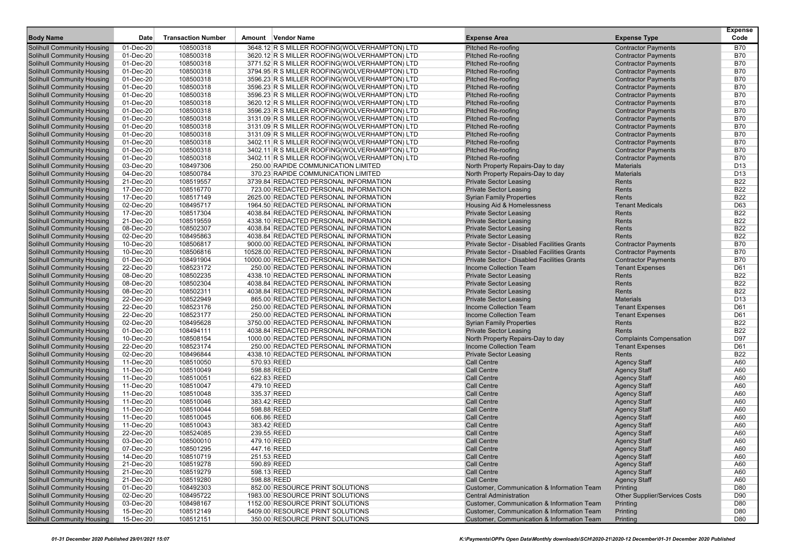| <b>Body Name</b>                                                       | Date                   | <b>Transaction Number</b> | Amount Vendor Name                            | <b>Expense Area</b>                         | <b>Expense Type</b>                        | <b>Expense</b><br>Code |
|------------------------------------------------------------------------|------------------------|---------------------------|-----------------------------------------------|---------------------------------------------|--------------------------------------------|------------------------|
| <b>Solihull Community Housing</b>                                      | 01-Dec-20              | 108500318                 | 3648.12 R S MILLER ROOFING(WOLVERHAMPTON) LTD | <b>Pitched Re-roofing</b>                   | <b>Contractor Payments</b>                 | B70                    |
| <b>Solihull Community Housing</b>                                      | 01-Dec-20              | 108500318                 | 3620.12 R S MILLER ROOFING(WOLVERHAMPTON) LTD | <b>Pitched Re-roofing</b>                   | <b>Contractor Payments</b>                 | <b>B70</b>             |
| <b>Solihull Community Housing</b>                                      | 01-Dec-20              | 108500318                 | 3771.52 R S MILLER ROOFING(WOLVERHAMPTON) LTD | <b>Pitched Re-roofing</b>                   | <b>Contractor Payments</b>                 | <b>B70</b>             |
| <b>Solihull Community Housing</b>                                      | 01-Dec-20              | 108500318                 | 3794.95 R S MILLER ROOFING(WOLVERHAMPTON) LTD | <b>Pitched Re-roofing</b>                   | <b>Contractor Payments</b>                 | <b>B70</b>             |
| <b>Solihull Community Housing</b>                                      | 01-Dec-20              | 108500318                 | 3596.23 R S MILLER ROOFING(WOLVERHAMPTON) LTD | <b>Pitched Re-roofing</b>                   | <b>Contractor Payments</b>                 | <b>B70</b>             |
| <b>Solihull Community Housing</b>                                      | 01-Dec-20              | 108500318                 | 3596.23 R S MILLER ROOFING(WOLVERHAMPTON) LTD | <b>Pitched Re-roofing</b>                   | <b>Contractor Payments</b>                 | <b>B70</b>             |
| <b>Solihull Community Housing</b>                                      | 01-Dec-20              | 108500318                 | 3596.23 R S MILLER ROOFING(WOLVERHAMPTON) LTD | <b>Pitched Re-roofing</b>                   | <b>Contractor Payments</b>                 | <b>B70</b>             |
| <b>Solihull Community Housing</b>                                      | 01-Dec-20              | 108500318                 | 3620.12 R S MILLER ROOFING(WOLVERHAMPTON) LTD | <b>Pitched Re-roofing</b>                   | <b>Contractor Payments</b>                 | <b>B70</b>             |
| <b>Solihull Community Housing</b>                                      | 01-Dec-20              | 108500318                 | 3596.23 R S MILLER ROOFING(WOLVERHAMPTON) LTD | <b>Pitched Re-roofing</b>                   | <b>Contractor Payments</b>                 | <b>B70</b>             |
| <b>Solihull Community Housing</b>                                      | 01-Dec-20              | 108500318                 | 3131.09 R S MILLER ROOFING(WOLVERHAMPTON) LTD | <b>Pitched Re-roofing</b>                   | <b>Contractor Payments</b>                 | <b>B70</b>             |
| <b>Solihull Community Housing</b>                                      | 01-Dec-20              | 108500318                 | 3131.09 R S MILLER ROOFING(WOLVERHAMPTON) LTD | <b>Pitched Re-roofing</b>                   | <b>Contractor Payments</b>                 | <b>B70</b>             |
| <b>Solihull Community Housing</b>                                      | 01-Dec-20              | 108500318                 | 3131.09 R S MILLER ROOFING(WOLVERHAMPTON) LTD | <b>Pitched Re-roofing</b>                   | <b>Contractor Payments</b>                 | <b>B70</b>             |
| <b>Solihull Community Housing</b>                                      | 01-Dec-20              | 108500318                 | 3402.11 R S MILLER ROOFING(WOLVERHAMPTON) LTD | <b>Pitched Re-roofing</b>                   | <b>Contractor Payments</b>                 | <b>B70</b>             |
| <b>Solihull Community Housing</b>                                      | 01-Dec-20              | 108500318                 | 3402.11 R S MILLER ROOFING(WOLVERHAMPTON) LTD | <b>Pitched Re-roofing</b>                   | <b>Contractor Payments</b>                 | <b>B70</b>             |
| <b>Solihull Community Housing</b>                                      | 01-Dec-20              | 108500318                 | 3402.11 R S MILLER ROOFING(WOLVERHAMPTON) LTD | <b>Pitched Re-roofing</b>                   | <b>Contractor Payments</b>                 | <b>B70</b>             |
| <b>Solihull Community Housing</b>                                      | 03-Dec-20              | 108497306                 | 250.00 RAPIDE COMMUNICATION LIMITED           | North Property Repairs-Day to day           | <b>Materials</b>                           | D <sub>13</sub>        |
| <b>Solihull Community Housing</b>                                      | 04-Dec-20              | 108500784                 | 370.23 RAPIDE COMMUNICATION LIMITED           | North Property Repairs-Day to day           | <b>Materials</b>                           | D <sub>13</sub>        |
| <b>Solihull Community Housing</b>                                      | 21-Dec-20              | 108519557                 | 3739.84 REDACTED PERSONAL INFORMATION         | <b>Private Sector Leasing</b>               | Rents                                      | <b>B22</b>             |
| <b>Solihull Community Housing</b>                                      | 17-Dec-20              | 108516770                 | 723.00 REDACTED PERSONAL INFORMATION          | <b>Private Sector Leasing</b>               | Rents                                      | <b>B22</b>             |
| <b>Solihull Community Housing</b>                                      | 17-Dec-20              | 108517149                 | 2625.00 REDACTED PERSONAL INFORMATION         | <b>Syrian Family Properties</b>             | Rents                                      | <b>B22</b>             |
| <b>Solihull Community Housing</b>                                      | 02-Dec-20              | 108495717                 | 1964.50 REDACTED PERSONAL INFORMATION         | Housing Aid & Homelessness                  | <b>Tenant Medicals</b>                     | D63                    |
| <b>Solihull Community Housing</b>                                      | 17-Dec-20              | 108517304                 | 4038.84 REDACTED PERSONAL INFORMATION         | <b>Private Sector Leasing</b>               | Rents                                      | <b>B22</b>             |
| <b>Solihull Community Housing</b>                                      | 21-Dec-20              | 108519559                 | 4338.10 REDACTED PERSONAL INFORMATION         | <b>Private Sector Leasing</b>               | Rents                                      | <b>B22</b>             |
| <b>Solihull Community Housing</b>                                      | 08-Dec-20              | 108502307                 | 4038.84 REDACTED PERSONAL INFORMATION         | <b>Private Sector Leasing</b>               | Rents                                      | <b>B22</b>             |
| <b>Solihull Community Housing</b>                                      | 02-Dec-20              | 108495863                 | 4038.84 REDACTED PERSONAL INFORMATION         | <b>Private Sector Leasing</b>               | Rents                                      | <b>B22</b>             |
| <b>Solihull Community Housing</b>                                      | 10-Dec-20              | 108506817                 | 9000.00 REDACTED PERSONAL INFORMATION         | Private Sector - Disabled Facilities Grants | <b>Contractor Payments</b>                 | <b>B70</b>             |
| <b>Solihull Community Housing</b>                                      | 10-Dec-20              | 108506816                 | 10528.00 REDACTED PERSONAL INFORMATION        | Private Sector - Disabled Facilities Grants | <b>Contractor Payments</b>                 | <b>B70</b>             |
| <b>Solihull Community Housing</b>                                      | 01-Dec-20              | 108491904                 | 10000.00 REDACTED PERSONAL INFORMATION        | Private Sector - Disabled Facilities Grants | <b>Contractor Payments</b>                 | <b>B70</b>             |
| <b>Solihull Community Housing</b>                                      | 22-Dec-20              | 108523172                 | 250.00 REDACTED PERSONAL INFORMATION          | Income Collection Team                      | <b>Tenant Expenses</b>                     | D61                    |
| <b>Solihull Community Housing</b>                                      | 08-Dec-20              | 108502235                 | 4338.10 REDACTED PERSONAL INFORMATION         | <b>Private Sector Leasing</b>               | Rents                                      | <b>B22</b>             |
| <b>Solihull Community Housing</b>                                      | 08-Dec-20              | 108502304                 | 4038.84 REDACTED PERSONAL INFORMATION         | <b>Private Sector Leasing</b>               | Rents                                      | <b>B22</b>             |
| <b>Solihull Community Housing</b>                                      | 08-Dec-20              | 108502311                 | 4038.84 REDACTED PERSONAL INFORMATION         | <b>Private Sector Leasing</b>               | Rents                                      | <b>B22</b>             |
| <b>Solihull Community Housing</b>                                      | 22-Dec-20              | 108522949                 | 865.00 REDACTED PERSONAL INFORMATION          | <b>Private Sector Leasing</b>               | <b>Materials</b>                           | D <sub>13</sub>        |
| <b>Solihull Community Housing</b>                                      | 22-Dec-20              | 108523176                 | 250.00 REDACTED PERSONAL INFORMATION          | Income Collection Team                      | <b>Tenant Expenses</b>                     | D61                    |
| <b>Solihull Community Housing</b>                                      | 22-Dec-20              | 108523177                 | 250.00 REDACTED PERSONAL INFORMATION          | Income Collection Team                      | <b>Tenant Expenses</b>                     | D61                    |
| <b>Solihull Community Housing</b>                                      | 02-Dec-20              | 108495628                 | 3750.00 REDACTED PERSONAL INFORMATION         | <b>Syrian Family Properties</b>             | Rents                                      | <b>B22</b>             |
| <b>Solihull Community Housing</b>                                      | 01-Dec-20              | 108494111                 | 4038.84 REDACTED PERSONAL INFORMATION         | <b>Private Sector Leasing</b>               | Rents                                      | <b>B22</b>             |
| <b>Solihull Community Housing</b>                                      | 10-Dec-20              | 108508154                 | 1000.00 REDACTED PERSONAL INFORMATION         | North Property Repairs-Day to day           | <b>Complaints Compensation</b>             | D97                    |
| <b>Solihull Community Housing</b>                                      | 22-Dec-20              | 108523174                 | 250.00 REDACTED PERSONAL INFORMATION          | Income Collection Team                      | <b>Tenant Expenses</b>                     | D61                    |
| <b>Solihull Community Housing</b>                                      | 02-Dec-20              | 108496844                 | 4338.10 REDACTED PERSONAL INFORMATION         | <b>Private Sector Leasing</b>               | Rents                                      | <b>B22</b>             |
| <b>Solihull Community Housing</b>                                      | 11-Dec-20              | 108510050                 | 570.93 REED                                   | <b>Call Centre</b>                          | <b>Agency Staff</b>                        | A60                    |
| <b>Solihull Community Housing</b>                                      | 11-Dec-20<br>11-Dec-20 | 108510049<br>108510051    | 598.88 REED<br>622.83 REED                    | <b>Call Centre</b><br><b>Call Centre</b>    | <b>Agency Staff</b>                        | A60<br>A60             |
| <b>Solihull Community Housing</b><br><b>Solihull Community Housing</b> | 11-Dec-20              | 108510047                 | 479.10 REED                                   | <b>Call Centre</b>                          | <b>Agency Staff</b><br><b>Agency Staff</b> | A60                    |
| <b>Solihull Community Housing</b>                                      | 11-Dec-20              | 108510048                 | 335.37 REED                                   | <b>Call Centre</b>                          | <b>Agency Staff</b>                        | A60                    |
| <b>Solihull Community Housing</b>                                      | 11-Dec-20              | 108510046                 | 383.42 REED                                   | <b>Call Centre</b>                          | <b>Agency Staff</b>                        | A60                    |
| <b>Solihull Community Housing</b>                                      | 11-Dec-20              | 108510044                 | 598.88 REED                                   | <b>Call Centre</b>                          | <b>Agency Staff</b>                        | A60                    |
| <b>Solihull Community Housing</b>                                      | 11-Dec-20              | 108510045                 | 606.86 REED                                   | <b>Call Centre</b>                          | <b>Agency Staff</b>                        | A60                    |
| <b>Solihull Community Housing</b>                                      | 11-Dec-20              | 108510043                 | 383.42 REED                                   | <b>Call Centre</b>                          | <b>Agency Staff</b>                        | A60                    |
| <b>Solihull Community Housing</b>                                      | 22-Dec-20              | 108524085                 | 239.55 REED                                   | <b>Call Centre</b>                          | <b>Agency Staff</b>                        | A60                    |
| <b>Solihull Community Housing</b>                                      | 03-Dec-20              | 108500010                 | 479.10 REED                                   | <b>Call Centre</b>                          | <b>Agency Staff</b>                        | A60                    |
| <b>Solihull Community Housing</b>                                      | 07-Dec-20              | 108501295                 | 447.16 REED                                   | Call Centre                                 | <b>Agency Staff</b>                        | A60                    |
| <b>Solihull Community Housing</b>                                      | 14-Dec-20              | 108510719                 | 251.53 REED                                   | <b>Call Centre</b>                          | <b>Agency Staff</b>                        | A60                    |
| <b>Solihull Community Housing</b>                                      | 21-Dec-20              | 108519278                 | 590.89 REED                                   | Call Centre                                 | <b>Agency Staff</b>                        | A60                    |
| <b>Solihull Community Housing</b>                                      | 21-Dec-20              | 108519279                 | 598.13 REED                                   | <b>Call Centre</b>                          | <b>Agency Staff</b>                        | A60                    |
| <b>Solihull Community Housing</b>                                      | 21-Dec-20              | 108519280                 | 598.88 REED                                   | <b>Call Centre</b>                          | <b>Agency Staff</b>                        | A60                    |
| <b>Solihull Community Housing</b>                                      | 01-Dec-20              | 108492303                 | 852.00 RESOURCE PRINT SOLUTIONS               | Customer, Communication & Information Team  | Printing                                   | D80                    |
| <b>Solihull Community Housing</b>                                      | 02-Dec-20              | 108495722                 | 1983.00 RESOURCE PRINT SOLUTIONS              | <b>Central Administration</b>               | <b>Other Supplier/Services Costs</b>       | D90                    |
| <b>Solihull Community Housing</b>                                      | 03-Dec-20              | 108498167                 | 1152.00 RESOURCE PRINT SOLUTIONS              | Customer, Communication & Information Team  | Printing                                   | D80                    |
| <b>Solihull Community Housing</b>                                      | 15-Dec-20              | 108512149                 | 5409.00 RESOURCE PRINT SOLUTIONS              | Customer, Communication & Information Team  | Printing                                   | D80                    |
| <b>Solihull Community Housing</b>                                      | 15-Dec-20              | 108512151                 | 350.00 RESOURCE PRINT SOLUTIONS               | Customer, Communication & Information Team  | Printing                                   | D80                    |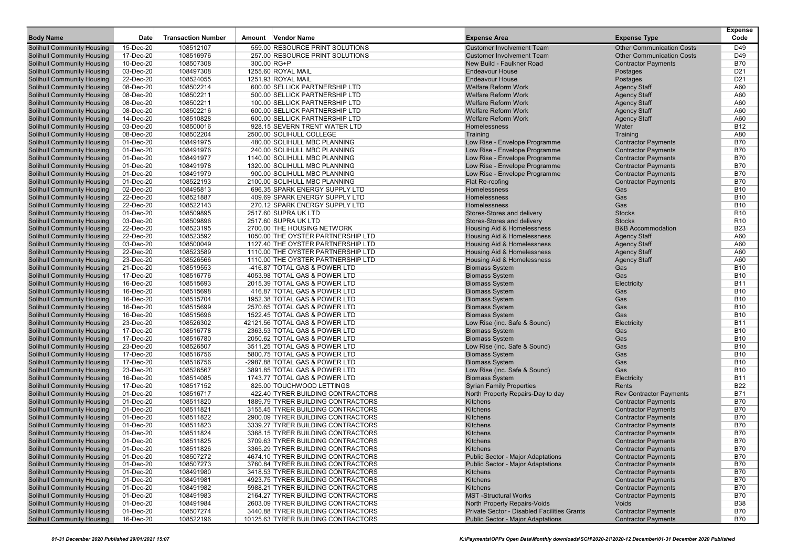| <b>Body Name</b>                  | Date      | <b>Transaction Number</b> | Amount Vendor Name                  | <b>Expense Area</b>                         | <b>Expense Type</b>              | <b>Expense</b><br>Code |
|-----------------------------------|-----------|---------------------------|-------------------------------------|---------------------------------------------|----------------------------------|------------------------|
| <b>Solihull Community Housing</b> | 15-Dec-20 | 108512107                 | 559.00 RESOURCE PRINT SOLUTIONS     | <b>Customer Involvement Team</b>            | <b>Other Communication Costs</b> | D49                    |
| <b>Solihull Community Housing</b> | 17-Dec-20 | 108516976                 | 257.00 RESOURCE PRINT SOLUTIONS     | <b>Customer Involvement Team</b>            | <b>Other Communication Costs</b> | D49                    |
| <b>Solihull Community Housing</b> | 10-Dec-20 | 108507308                 | 300.00 RG+P                         | New Build - Faulkner Road                   | <b>Contractor Payments</b>       | <b>B70</b>             |
| <b>Solihull Community Housing</b> | 03-Dec-20 | 108497308                 | 1255.60 ROYAL MAIL                  | <b>Endeavour House</b>                      | Postages                         | D <sub>21</sub>        |
| <b>Solihull Community Housing</b> | 22-Dec-20 | 108524055                 | 1251.93 ROYAL MAIL                  | <b>Endeavour House</b>                      | Postages                         | D <sub>21</sub>        |
| <b>Solihull Community Housing</b> | 08-Dec-20 | 108502214                 | 600.00 SELLICK PARTNERSHIP LTD      | <b>Welfare Reform Work</b>                  | <b>Agency Staff</b>              | A60                    |
| <b>Solihull Community Housing</b> | 08-Dec-20 | 108502211                 | 500.00 SELLICK PARTNERSHIP LTD      | <b>Welfare Reform Work</b>                  | <b>Agency Staff</b>              | A60                    |
| <b>Solihull Community Housing</b> | 08-Dec-20 | 108502211                 | 100.00 SELLICK PARTNERSHIP LTD      | <b>Welfare Reform Work</b>                  | <b>Agency Staff</b>              | A60                    |
| <b>Solihull Community Housing</b> | 08-Dec-20 | 108502216                 | 600.00 SELLICK PARTNERSHIP LTD      | <b>Welfare Reform Work</b>                  | <b>Agency Staff</b>              | A60                    |
| <b>Solihull Community Housing</b> | 14-Dec-20 | 108510828                 | 600.00 SELLICK PARTNERSHIP LTD      | <b>Welfare Reform Work</b>                  | <b>Agency Staff</b>              | A60                    |
| <b>Solihull Community Housing</b> | 03-Dec-20 | 108500016                 | 928.15 SEVERN TRENT WATER LTD       | Homelessness                                | Water                            | <b>B12</b>             |
| <b>Solihull Community Housing</b> | 08-Dec-20 | 108502204                 | 2500.00 SOLIHULL COLLEGE            | Training                                    | Training                         | A80                    |
| <b>Solihull Community Housing</b> | 01-Dec-20 | 108491975                 | 480.00 SOLIHULL MBC PLANNING        | Low Rise - Envelope Programme               | <b>Contractor Payments</b>       | <b>B70</b>             |
| <b>Solihull Community Housing</b> | 01-Dec-20 | 108491976                 | 240.00 SOLIHULL MBC PLANNING        | Low Rise - Envelope Programme               | <b>Contractor Payments</b>       | <b>B70</b>             |
| <b>Solihull Community Housing</b> | 01-Dec-20 | 108491977                 | 1140.00 SOLIHULL MBC PLANNING       | Low Rise - Envelope Programme               | <b>Contractor Payments</b>       | <b>B70</b>             |
| <b>Solihull Community Housing</b> | 01-Dec-20 | 108491978                 | 1320.00 SOLIHULL MBC PLANNING       | Low Rise - Envelope Programme               | <b>Contractor Payments</b>       | <b>B70</b>             |
| <b>Solihull Community Housing</b> | 01-Dec-20 | 108491979                 | 900.00 SOLIHULL MBC PLANNING        | Low Rise - Envelope Programme               | <b>Contractor Payments</b>       | <b>B70</b>             |
| <b>Solihull Community Housing</b> | 01-Dec-20 | 108522193                 | 2100.00 SOLIHULL MBC PLANNING       | Flat Re-roofing                             | <b>Contractor Payments</b>       | <b>B70</b>             |
| <b>Solihull Community Housing</b> | 02-Dec-20 | 108495813                 | 696.35 SPARK ENERGY SUPPLY LTD      | Homelessness                                | Gas                              | <b>B10</b>             |
| <b>Solihull Community Housing</b> | 22-Dec-20 | 108521887                 | 409.69 SPARK ENERGY SUPPLY LTD      | Homelessness                                | Gas                              | <b>B10</b>             |
| <b>Solihull Community Housing</b> | 22-Dec-20 | 108522143                 | 270.12 SPARK ENERGY SUPPLY LTD      | Homelessness                                | Gas                              | <b>B10</b>             |
| <b>Solihull Community Housing</b> | 01-Dec-20 | 108509895                 | 2517.60 SUPRA UK LTD                | Stores-Stores and delivery                  | <b>Stocks</b>                    | R <sub>10</sub>        |
| <b>Solihull Community Housing</b> | 03-Dec-20 | 108509896                 | 2517.60 SUPRA UK LTD                | Stores-Stores and delivery                  | <b>Stocks</b>                    | R <sub>10</sub>        |
| <b>Solihull Community Housing</b> | 22-Dec-20 | 108523195                 | 2700.00 THE HOUSING NETWORK         | Housing Aid & Homelessness                  | <b>B&amp;B Accommodation</b>     | <b>B23</b>             |
| <b>Solihull Community Housing</b> | 22-Dec-20 | 108523592                 | 1050.00 THE OYSTER PARTNERSHIP LTD  | <b>Housing Aid &amp; Homelessness</b>       | <b>Agency Staff</b>              | A60                    |
| <b>Solihull Community Housing</b> | 03-Dec-20 | 108500049                 | 1127.40 THE OYSTER PARTNERSHIP LTD  | Housing Aid & Homelessness                  | <b>Agency Staff</b>              | A60                    |
| <b>Solihull Community Housing</b> | 22-Dec-20 | 108523589                 | 1110.00 THE OYSTER PARTNERSHIP LTD  | <b>Housing Aid &amp; Homelessness</b>       | <b>Agency Staff</b>              | A60                    |
| <b>Solihull Community Housing</b> | 23-Dec-20 | 108526566                 | 1110.00 THE OYSTER PARTNERSHIP LTD  | Housing Aid & Homelessness                  | <b>Agency Staff</b>              | A60                    |
| <b>Solihull Community Housing</b> | 21-Dec-20 | 108519553                 | -416.87 TOTAL GAS & POWER LTD       | <b>Biomass System</b>                       | Gas                              | <b>B10</b>             |
| <b>Solihull Community Housing</b> | 17-Dec-20 | 108516776                 | 4053.98 TOTAL GAS & POWER LTD       | <b>Biomass System</b>                       | Gas                              | <b>B10</b>             |
| <b>Solihull Community Housing</b> | 16-Dec-20 | 108515693                 | 2015.39 TOTAL GAS & POWER LTD       | <b>Biomass System</b>                       | Electricity                      | <b>B11</b>             |
| <b>Solihull Community Housing</b> | 16-Dec-20 | 108515698                 | 416.87 TOTAL GAS & POWER LTD        | <b>Biomass System</b>                       | Gas                              | <b>B10</b>             |
| <b>Solihull Community Housing</b> | 16-Dec-20 | 108515704                 | 1952.38 TOTAL GAS & POWER LTD       | <b>Biomass System</b>                       | Gas                              | <b>B10</b>             |
| <b>Solihull Community Housing</b> | 16-Dec-20 | 108515699                 | 2570.65 TOTAL GAS & POWER LTD       | <b>Biomass System</b>                       | Gas                              | <b>B10</b>             |
| <b>Solihull Community Housing</b> | 16-Dec-20 | 108515696                 | 1522.45 TOTAL GAS & POWER LTD       | <b>Biomass System</b>                       | Gas                              | <b>B10</b>             |
| <b>Solihull Community Housing</b> | 23-Dec-20 | 108526302                 | 42121.56 TOTAL GAS & POWER LTD      | Low Rise (inc. Safe & Sound)                | Electricity                      | <b>B11</b>             |
| <b>Solihull Community Housing</b> | 17-Dec-20 | 108516778                 | 2363.53 TOTAL GAS & POWER LTD       | <b>Biomass System</b>                       | Gas                              | <b>B10</b>             |
| <b>Solihull Community Housing</b> | 17-Dec-20 | 108516780                 | 2050.62 TOTAL GAS & POWER LTD       | <b>Biomass System</b>                       | Gas                              | <b>B10</b>             |
| <b>Solihull Community Housing</b> | 23-Dec-20 | 108526507                 | 3511.25 TOTAL GAS & POWER LTD       | Low Rise (inc. Safe & Sound)                | Gas                              | <b>B10</b>             |
| <b>Solihull Community Housing</b> | 17-Dec-20 | 108516756                 | 5800.75 TOTAL GAS & POWER LTD       | <b>Biomass System</b>                       | Gas                              | <b>B10</b>             |
| <b>Solihull Community Housing</b> | 17-Dec-20 | 108516756                 | -2987.88 TOTAL GAS & POWER LTD      | <b>Biomass System</b>                       | Gas                              | <b>B10</b>             |
| <b>Solihull Community Housing</b> | 23-Dec-20 | 108526567                 | 3891.85 TOTAL GAS & POWER LTD       | Low Rise (inc. Safe & Sound)                | Gas                              | <b>B10</b>             |
| <b>Solihull Community Housing</b> | 16-Dec-20 | 108514085                 | 1743.77 TOTAL GAS & POWER LTD       | <b>Biomass System</b>                       | Electricity                      | <b>B11</b>             |
| <b>Solihull Community Housing</b> | 17-Dec-20 | 108517152                 | 825.00 TOUCHWOOD LETTINGS           | <b>Syrian Family Properties</b>             | Rents                            | <b>B22</b>             |
| <b>Solihull Community Housing</b> | 01-Dec-20 | 108516717                 | 422.40 TYRER BUILDING CONTRACTORS   | North Property Repairs-Day to day           | <b>Rev Contractor Payments</b>   | <b>B71</b>             |
| <b>Solihull Community Housing</b> | 01-Dec-20 | 108511820                 | 1889.79 TYRER BUILDING CONTRACTORS  | Kitchens                                    | <b>Contractor Payments</b>       | <b>B70</b>             |
| <b>Solihull Community Housing</b> | 01-Dec-20 | 108511821                 | 3155.45 TYRER BUILDING CONTRACTORS  | Kitchens                                    | <b>Contractor Payments</b>       | <b>B70</b>             |
| <b>Solihull Community Housing</b> | 01-Dec-20 | 108511822                 | 2900.09 TYRER BUILDING CONTRACTORS  | Kitchens                                    | <b>Contractor Payments</b>       | <b>B70</b>             |
| <b>Solihull Community Housing</b> | 01-Dec-20 | 108511823                 | 3339.27 TYRER BUILDING CONTRACTORS  | Kitchens                                    | <b>Contractor Payments</b>       | <b>B70</b>             |
| <b>Solihull Community Housing</b> | 01-Dec-20 | 108511824                 | 3368.15 TYRER BUILDING CONTRACTORS  | Kitchens                                    | <b>Contractor Payments</b>       | <b>B70</b>             |
| <b>Solihull Community Housing</b> | 01-Dec-20 | 108511825                 | 3709.63 TYRER BUILDING CONTRACTORS  | Kitchens                                    | <b>Contractor Payments</b>       | <b>B70</b>             |
| <b>Solihull Community Housing</b> | 01-Dec-20 | 108511826                 | 3365.29 TYRER BUILDING CONTRACTORS  | Kitchens                                    | <b>Contractor Payments</b>       | <b>B70</b>             |
| <b>Solihull Community Housing</b> | 01-Dec-20 | 108507272                 | 4674.10 TYRER BUILDING CONTRACTORS  | <b>Public Sector - Major Adaptations</b>    | <b>Contractor Payments</b>       | <b>B70</b>             |
| <b>Solihull Community Housing</b> | 01-Dec-20 | 108507273                 | 3760.84 TYRER BUILDING CONTRACTORS  | <b>Public Sector - Major Adaptations</b>    | <b>Contractor Payments</b>       | <b>B70</b>             |
| <b>Solihull Community Housing</b> | 01-Dec-20 | 108491980                 | 3418.53 TYRER BUILDING CONTRACTORS  | Kitchens                                    | <b>Contractor Payments</b>       | <b>B70</b>             |
| <b>Solihull Community Housing</b> | 01-Dec-20 | 108491981                 | 4923.75 TYRER BUILDING CONTRACTORS  | Kitchens                                    | <b>Contractor Payments</b>       | <b>B70</b>             |
| <b>Solihull Community Housing</b> | 01-Dec-20 | 108491982                 | 5988.21 TYRER BUILDING CONTRACTORS  | Kitchens                                    | <b>Contractor Payments</b>       | <b>B70</b>             |
| <b>Solihull Community Housing</b> | 01-Dec-20 | 108491983                 | 2164.27 TYRER BUILDING CONTRACTORS  | <b>MST-Structural Works</b>                 | <b>Contractor Payments</b>       | <b>B70</b>             |
| <b>Solihull Community Housing</b> | 01-Dec-20 | 108491984                 | 2603.09 TYRER BUILDING CONTRACTORS  | North Property Repairs-Voids                | Voids                            | <b>B38</b>             |
| <b>Solihull Community Housing</b> | 01-Dec-20 | 108507274                 | 3440.88 TYRER BUILDING CONTRACTORS  | Private Sector - Disabled Facilities Grants | <b>Contractor Payments</b>       | <b>B70</b>             |
| <b>Solihull Community Housing</b> | 16-Dec-20 | 108522196                 | 10125.63 TYRER BUILDING CONTRACTORS | <b>Public Sector - Major Adaptations</b>    | <b>Contractor Payments</b>       | <b>B70</b>             |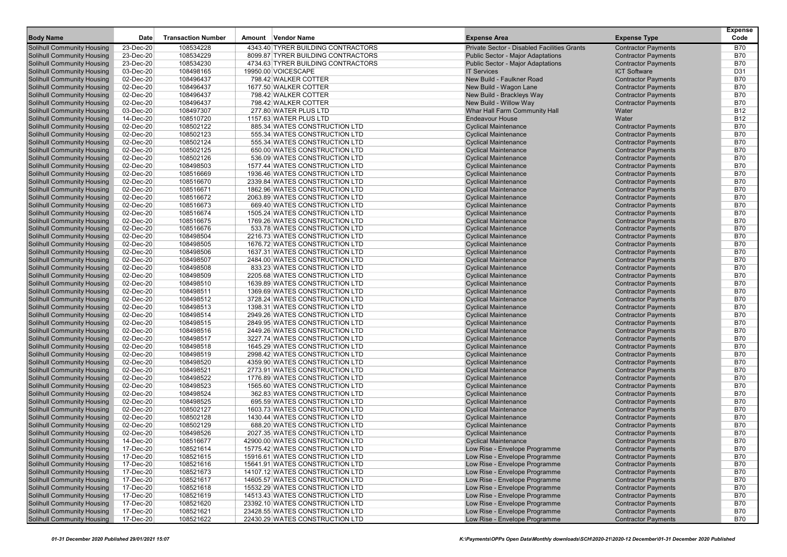| <b>Body Name</b>                                                       | Date                   | <b>Transaction Number</b> | Amount | <b>Vendor Name</b>                                               | <b>Expense Area</b>                                        | <b>Expense Type</b>                                      | <b>Expense</b><br>Code   |
|------------------------------------------------------------------------|------------------------|---------------------------|--------|------------------------------------------------------------------|------------------------------------------------------------|----------------------------------------------------------|--------------------------|
|                                                                        | 23-Dec-20              | 108534228                 |        | 4343.40 TYRER BUILDING CONTRACTORS                               | Private Sector - Disabled Facilities Grants                | <b>Contractor Payments</b>                               | <b>B70</b>               |
| <b>Solihull Community Housing</b><br><b>Solihull Community Housing</b> | 23-Dec-20              | 108534229                 |        | 8099.87 TYRER BUILDING CONTRACTORS                               | <b>Public Sector - Major Adaptations</b>                   | <b>Contractor Payments</b>                               | <b>B70</b>               |
| <b>Solihull Community Housing</b>                                      | 23-Dec-20              | 108534230                 |        | 4734.63 TYRER BUILDING CONTRACTORS                               | <b>Public Sector - Major Adaptations</b>                   | <b>Contractor Payments</b>                               | <b>B70</b>               |
| <b>Solihull Community Housing</b>                                      | 03-Dec-20              | 108498165                 |        | 19950.00 VOICESCAPE                                              | <b>IT Services</b>                                         | <b>ICT Software</b>                                      | D31                      |
| <b>Solihull Community Housing</b>                                      | 02-Dec-20              | 108496437                 |        | 798.42 WALKER COTTER                                             | New Build - Faulkner Road                                  | <b>Contractor Payments</b>                               | <b>B70</b>               |
| <b>Solihull Community Housing</b>                                      | 02-Dec-20              | 108496437                 |        | 1677.50 WALKER COTTER                                            | New Build - Wagon Lane                                     | <b>Contractor Payments</b>                               | <b>B70</b>               |
| <b>Solihull Community Housing</b>                                      | 02-Dec-20              | 108496437                 |        | 798.42 WALKER COTTER                                             | New Build - Brackleys Way                                  | <b>Contractor Payments</b>                               | <b>B70</b>               |
| <b>Solihull Community Housing</b>                                      | 02-Dec-20              | 108496437                 |        | 798.42 WALKER COTTER                                             | New Build - Willow Way                                     | <b>Contractor Payments</b>                               | <b>B70</b>               |
| <b>Solihull Community Housing</b>                                      | 03-Dec-20              | 108497307                 |        | 277.80 WATER PLUS LTD                                            | Whar Hall Farm Community Hall                              | Water                                                    | <b>B12</b>               |
| <b>Solihull Community Housing</b>                                      | 14-Dec-20              | 108510720                 |        | 1157.63 WATER PLUS LTD                                           | <b>Endeavour House</b>                                     | Water                                                    | <b>B12</b>               |
| <b>Solihull Community Housing</b>                                      | 02-Dec-20              | 108502122                 |        | 885.34 WATES CONSTRUCTION LTD                                    | <b>Cyclical Maintenance</b>                                | <b>Contractor Payments</b>                               | <b>B70</b>               |
| <b>Solihull Community Housing</b>                                      | 02-Dec-20              | 108502123                 |        | 555.34 WATES CONSTRUCTION LTD                                    | <b>Cyclical Maintenance</b>                                | <b>Contractor Payments</b>                               | <b>B70</b>               |
| <b>Solihull Community Housing</b>                                      | 02-Dec-20              | 108502124                 |        | 555.34 WATES CONSTRUCTION LTD                                    | <b>Cyclical Maintenance</b>                                | <b>Contractor Payments</b>                               | <b>B70</b>               |
| <b>Solihull Community Housing</b>                                      | 02-Dec-20              | 108502125                 |        | 650.00 WATES CONSTRUCTION LTD                                    | <b>Cyclical Maintenance</b>                                | <b>Contractor Payments</b>                               | <b>B70</b>               |
| <b>Solihull Community Housing</b>                                      | 02-Dec-20              | 108502126                 |        | 536.09 WATES CONSTRUCTION LTD                                    | <b>Cyclical Maintenance</b>                                | <b>Contractor Payments</b>                               | <b>B70</b>               |
| <b>Solihull Community Housing</b>                                      | 02-Dec-20              | 108498503                 |        | 1577.44 WATES CONSTRUCTION LTD                                   | <b>Cyclical Maintenance</b>                                | <b>Contractor Payments</b>                               | <b>B70</b>               |
| <b>Solihull Community Housing</b>                                      | 02-Dec-20              | 108516669                 |        | 1936.46 WATES CONSTRUCTION LTD                                   | <b>Cyclical Maintenance</b>                                | <b>Contractor Payments</b>                               | <b>B70</b>               |
| <b>Solihull Community Housing</b>                                      | 02-Dec-20              | 108516670                 |        | 2339.84 WATES CONSTRUCTION LTD                                   | <b>Cyclical Maintenance</b>                                | <b>Contractor Payments</b>                               | <b>B70</b>               |
| <b>Solihull Community Housing</b>                                      | 02-Dec-20              | 108516671                 |        | 1862.96 WATES CONSTRUCTION LTD                                   | <b>Cyclical Maintenance</b>                                | <b>Contractor Payments</b>                               | <b>B70</b>               |
| <b>Solihull Community Housing</b>                                      | 02-Dec-20              | 108516672                 |        | 2063.89 WATES CONSTRUCTION LTD                                   | <b>Cyclical Maintenance</b>                                | <b>Contractor Payments</b>                               | <b>B70</b>               |
| <b>Solihull Community Housing</b>                                      | 02-Dec-20              | 108516673                 |        | 669.40 WATES CONSTRUCTION LTD                                    | <b>Cyclical Maintenance</b>                                | <b>Contractor Payments</b>                               | <b>B70</b>               |
| <b>Solihull Community Housing</b>                                      | 02-Dec-20              | 108516674                 |        | 1505.24 WATES CONSTRUCTION LTD                                   | <b>Cyclical Maintenance</b>                                | <b>Contractor Payments</b>                               | <b>B70</b>               |
| <b>Solihull Community Housing</b>                                      | 02-Dec-20              | 108516675                 |        | 1769.26 WATES CONSTRUCTION LTD                                   | <b>Cyclical Maintenance</b>                                | <b>Contractor Payments</b>                               | <b>B70</b>               |
| <b>Solihull Community Housing</b>                                      | 02-Dec-20              | 108516676                 |        | 533.78 WATES CONSTRUCTION LTD                                    | <b>Cyclical Maintenance</b>                                | <b>Contractor Payments</b>                               | <b>B70</b><br><b>B70</b> |
| <b>Solihull Community Housing</b><br><b>Solihull Community Housing</b> | 02-Dec-20              | 108498504<br>108498505    |        | 2216.73 WATES CONSTRUCTION LTD                                   | <b>Cyclical Maintenance</b>                                | <b>Contractor Payments</b>                               | <b>B70</b>               |
|                                                                        | 02-Dec-20              |                           |        | 1676.72 WATES CONSTRUCTION LTD<br>1637.31 WATES CONSTRUCTION LTD | <b>Cyclical Maintenance</b>                                | <b>Contractor Payments</b>                               | <b>B70</b>               |
| <b>Solihull Community Housing</b><br><b>Solihull Community Housing</b> | 02-Dec-20<br>02-Dec-20 | 108498506<br>108498507    |        | 2484.00 WATES CONSTRUCTION LTD                                   | <b>Cyclical Maintenance</b><br><b>Cyclical Maintenance</b> | <b>Contractor Payments</b><br><b>Contractor Payments</b> | <b>B70</b>               |
| <b>Solihull Community Housing</b>                                      | 02-Dec-20              | 108498508                 |        | 833.23 WATES CONSTRUCTION LTD                                    | <b>Cyclical Maintenance</b>                                | <b>Contractor Payments</b>                               | <b>B70</b>               |
| <b>Solihull Community Housing</b>                                      | 02-Dec-20              | 108498509                 |        | 2205.68 WATES CONSTRUCTION LTD                                   | <b>Cyclical Maintenance</b>                                | <b>Contractor Payments</b>                               | <b>B70</b>               |
| <b>Solihull Community Housing</b>                                      | 02-Dec-20              | 108498510                 |        | 1639.89 WATES CONSTRUCTION LTD                                   | <b>Cyclical Maintenance</b>                                | <b>Contractor Payments</b>                               | <b>B70</b>               |
| <b>Solihull Community Housing</b>                                      | 02-Dec-20              | 108498511                 |        | 1369.69 WATES CONSTRUCTION LTD                                   | <b>Cyclical Maintenance</b>                                | <b>Contractor Payments</b>                               | <b>B70</b>               |
| <b>Solihull Community Housing</b>                                      | 02-Dec-20              | 108498512                 |        | 3728.24 WATES CONSTRUCTION LTD                                   | <b>Cyclical Maintenance</b>                                | <b>Contractor Payments</b>                               | <b>B70</b>               |
| <b>Solihull Community Housing</b>                                      | 02-Dec-20              | 108498513                 |        | 1398.31 WATES CONSTRUCTION LTD                                   | <b>Cyclical Maintenance</b>                                | <b>Contractor Payments</b>                               | <b>B70</b>               |
| <b>Solihull Community Housing</b>                                      | 02-Dec-20              | 108498514                 |        | 2949.26 WATES CONSTRUCTION LTD                                   | <b>Cyclical Maintenance</b>                                | <b>Contractor Payments</b>                               | <b>B70</b>               |
| <b>Solihull Community Housing</b>                                      | 02-Dec-20              | 108498515                 |        | 2849.95 WATES CONSTRUCTION LTD                                   | <b>Cyclical Maintenance</b>                                | <b>Contractor Payments</b>                               | <b>B70</b>               |
| <b>Solihull Community Housing</b>                                      | 02-Dec-20              | 108498516                 |        | 2449.26 WATES CONSTRUCTION LTD                                   | <b>Cyclical Maintenance</b>                                | <b>Contractor Payments</b>                               | <b>B70</b>               |
| <b>Solihull Community Housing</b>                                      | 02-Dec-20              | 108498517                 |        | 3227.74 WATES CONSTRUCTION LTD                                   | <b>Cyclical Maintenance</b>                                | <b>Contractor Payments</b>                               | <b>B70</b>               |
| <b>Solihull Community Housing</b>                                      | 02-Dec-20              | 108498518                 |        | 1645.29 WATES CONSTRUCTION LTD                                   | <b>Cyclical Maintenance</b>                                | <b>Contractor Payments</b>                               | <b>B70</b>               |
| <b>Solihull Community Housing</b>                                      | 02-Dec-20              | 108498519                 |        | 2998.42 WATES CONSTRUCTION LTD                                   | <b>Cyclical Maintenance</b>                                | <b>Contractor Payments</b>                               | <b>B70</b>               |
| <b>Solihull Community Housing</b>                                      | 02-Dec-20              | 108498520                 |        | 4359.90 WATES CONSTRUCTION LTD                                   | <b>Cyclical Maintenance</b>                                | <b>Contractor Payments</b>                               | <b>B70</b>               |
| <b>Solihull Community Housing</b>                                      | 02-Dec-20              | 108498521                 |        | 2773.91 WATES CONSTRUCTION LTD                                   | <b>Cyclical Maintenance</b>                                | <b>Contractor Payments</b>                               | <b>B70</b>               |
| <b>Solihull Community Housing</b>                                      | 02-Dec-20              | 108498522                 |        | 1776.89 WATES CONSTRUCTION LTD                                   | <b>Cyclical Maintenance</b>                                | <b>Contractor Payments</b>                               | <b>B70</b>               |
| <b>Solihull Community Housing</b>                                      | 02-Dec-20              | 108498523                 |        | 1565.60 WATES CONSTRUCTION LTD                                   | <b>Cyclical Maintenance</b>                                | <b>Contractor Payments</b>                               | <b>B70</b>               |
| <b>Solihull Community Housing</b>                                      | 02-Dec-20              | 108498524                 |        | 362.83 WATES CONSTRUCTION LTD                                    | <b>Cyclical Maintenance</b>                                | <b>Contractor Payments</b>                               | <b>B70</b>               |
| <b>Solihull Community Housing</b>                                      | 02-Dec-20              | 108498525                 |        | 695.59 WATES CONSTRUCTION LTD                                    | <b>Cyclical Maintenance</b>                                | <b>Contractor Payments</b>                               | <b>B70</b>               |
| <b>Solihull Community Housing</b>                                      | 02-Dec-20              | 108502127                 |        | 1603.73 WATES CONSTRUCTION LTD                                   | <b>Cyclical Maintenance</b>                                | <b>Contractor Payments</b>                               | <b>B70</b>               |
| <b>Solihull Community Housing</b>                                      | 02-Dec-20              | 108502128                 |        | 1430.44 WATES CONSTRUCTION LTD                                   | <b>Cyclical Maintenance</b>                                | <b>Contractor Payments</b>                               | <b>B70</b>               |
| <b>Solihull Community Housing</b>                                      | 02-Dec-20              | 108502129                 |        | 688.20 WATES CONSTRUCTION LTD                                    | <b>Cyclical Maintenance</b>                                | <b>Contractor Payments</b>                               | <b>B70</b>               |
| <b>Solihull Community Housing</b>                                      | 02-Dec-20              | 108498526                 |        | 2027.35 WATES CONSTRUCTION LTD                                   | <b>Cyclical Maintenance</b>                                | <b>Contractor Payments</b>                               | <b>B70</b>               |
| <b>Solihull Community Housing</b>                                      | 14-Dec-20              | 108516677                 |        | 42900.00 WATES CONSTRUCTION LTD                                  | <b>Cyclical Maintenance</b>                                | <b>Contractor Payments</b>                               | <b>B70</b>               |
| <b>Solihull Community Housing</b>                                      | 17-Dec-20              | 108521614                 |        | 15775.42 WATES CONSTRUCTION LTD                                  | Low Rise - Envelope Programme                              | <b>Contractor Payments</b>                               | <b>B70</b>               |
| <b>Solihull Community Housing</b>                                      | 17-Dec-20              | 108521615                 |        | 15916.61 WATES CONSTRUCTION LTD                                  | Low Rise - Envelope Programme                              | <b>Contractor Payments</b>                               | <b>B70</b>               |
| <b>Solihull Community Housing</b>                                      | 17-Dec-20              | 108521616                 |        | 15641.91 WATES CONSTRUCTION LTD                                  | Low Rise - Envelope Programme                              | <b>Contractor Payments</b>                               | <b>B70</b>               |
| <b>Solihull Community Housing</b>                                      | 17-Dec-20              | 108521673                 |        | 14107.12 WATES CONSTRUCTION LTD                                  | Low Rise - Envelope Programme                              | <b>Contractor Payments</b>                               | <b>B70</b>               |
| <b>Solihull Community Housing</b>                                      | 17-Dec-20              | 108521617                 |        | 14605.57 WATES CONSTRUCTION LTD                                  | Low Rise - Envelope Programme                              | <b>Contractor Payments</b>                               | <b>B70</b>               |
| <b>Solihull Community Housing</b>                                      | 17-Dec-20              | 108521618                 |        | 15532.29 WATES CONSTRUCTION LTD                                  | Low Rise - Envelope Programme                              | <b>Contractor Payments</b>                               | <b>B70</b>               |
| <b>Solihull Community Housing</b>                                      | 17-Dec-20              | 108521619                 |        | 14513.43 WATES CONSTRUCTION LTD                                  | Low Rise - Envelope Programme                              | <b>Contractor Payments</b>                               | <b>B70</b>               |
| <b>Solihull Community Housing</b>                                      | 17-Dec-20              | 108521620                 |        | 23392.10 WATES CONSTRUCTION LTD                                  | Low Rise - Envelope Programme                              | <b>Contractor Payments</b>                               | <b>B70</b>               |
| <b>Solihull Community Housing</b><br><b>Solihull Community Housing</b> | 17-Dec-20<br>17-Dec-20 | 108521621                 |        | 23428.55 WATES CONSTRUCTION LTD                                  | Low Rise - Envelope Programme                              | <b>Contractor Payments</b>                               | <b>B70</b><br><b>B70</b> |
|                                                                        |                        | 108521622                 |        | 22430.29 WATES CONSTRUCTION LTD                                  | Low Rise - Envelope Programme                              | <b>Contractor Payments</b>                               |                          |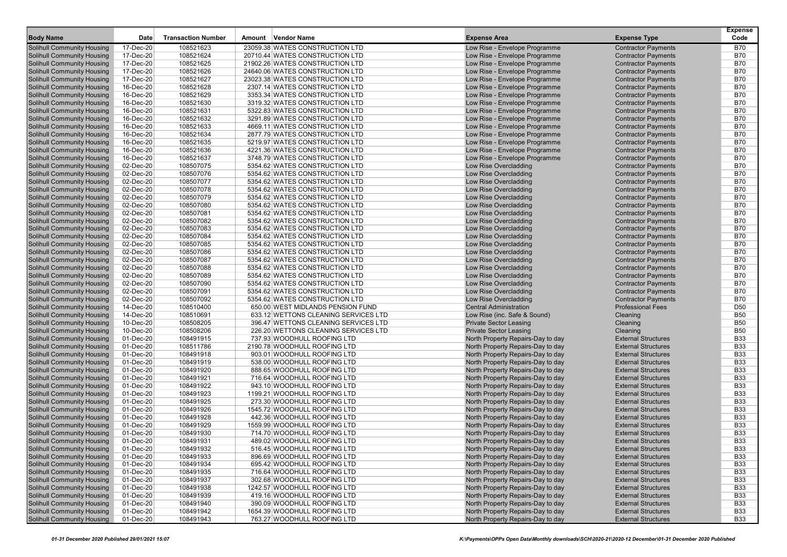| <b>Body Name</b>                                                       | Date                   | <b>Transaction Number</b> | Amount Vendor Name                                               | <b>Expense Area</b>                                                    | <b>Expense Type</b>                                      | <b>Expense</b><br>Code   |
|------------------------------------------------------------------------|------------------------|---------------------------|------------------------------------------------------------------|------------------------------------------------------------------------|----------------------------------------------------------|--------------------------|
| Solihull Community Housing                                             | 17-Dec-20              | 108521623                 | 23059.38 WATES CONSTRUCTION LTD                                  | Low Rise - Envelope Programme                                          | <b>Contractor Payments</b>                               | <b>B70</b>               |
| <b>Solihull Community Housing</b>                                      | 17-Dec-20              | 108521624                 | 20710.44 WATES CONSTRUCTION LTD                                  | Low Rise - Envelope Programme                                          | <b>Contractor Payments</b>                               | <b>B70</b>               |
| <b>Solihull Community Housing</b>                                      | 17-Dec-20              | 108521625                 | 21902.26 WATES CONSTRUCTION LTD                                  | Low Rise - Envelope Programme                                          | <b>Contractor Payments</b>                               | <b>B70</b>               |
| <b>Solihull Community Housing</b>                                      | 17-Dec-20              | 108521626                 | 24640.06 WATES CONSTRUCTION LTD                                  | Low Rise - Envelope Programme                                          | <b>Contractor Payments</b>                               | <b>B70</b>               |
| <b>Solihull Community Housing</b>                                      | 17-Dec-20              | 108521627                 | 23023.38 WATES CONSTRUCTION LTD                                  | Low Rise - Envelope Programme                                          | <b>Contractor Payments</b>                               | <b>B70</b>               |
| <b>Solihull Community Housing</b>                                      | 16-Dec-20              | 108521628                 | 2307.14 WATES CONSTRUCTION LTD                                   | Low Rise - Envelope Programme                                          | <b>Contractor Payments</b>                               | <b>B70</b>               |
| <b>Solihull Community Housing</b>                                      | 16-Dec-20              | 108521629                 | 3353.34 WATES CONSTRUCTION LTD                                   | Low Rise - Envelope Programme                                          | <b>Contractor Payments</b>                               | <b>B70</b>               |
| <b>Solihull Community Housing</b>                                      | 16-Dec-20              | 108521630                 | 3319.32 WATES CONSTRUCTION LTD                                   | Low Rise - Envelope Programme                                          | <b>Contractor Payments</b>                               | <b>B70</b>               |
| <b>Solihull Community Housing</b>                                      | 16-Dec-20              | 108521631                 | 5322.83 WATES CONSTRUCTION LTD                                   | Low Rise - Envelope Programme                                          | <b>Contractor Payments</b>                               | <b>B70</b>               |
| <b>Solihull Community Housing</b>                                      | 16-Dec-20              | 108521632                 | 3291.89 WATES CONSTRUCTION LTD                                   | Low Rise - Envelope Programme                                          | <b>Contractor Payments</b>                               | <b>B70</b>               |
| <b>Solihull Community Housing</b>                                      | 16-Dec-20              | 108521633                 | 4669.11 WATES CONSTRUCTION LTD                                   | Low Rise - Envelope Programme                                          | <b>Contractor Payments</b>                               | <b>B70</b>               |
| <b>Solihull Community Housing</b>                                      | 16-Dec-20              | 108521634                 | 2877.79 WATES CONSTRUCTION LTD                                   | Low Rise - Envelope Programme                                          | <b>Contractor Payments</b>                               | <b>B70</b>               |
| <b>Solihull Community Housing</b>                                      | 16-Dec-20              | 108521635                 | 5219.97 WATES CONSTRUCTION LTD                                   | Low Rise - Envelope Programme                                          | <b>Contractor Payments</b>                               | <b>B70</b>               |
| <b>Solihull Community Housing</b>                                      | 16-Dec-20              | 108521636                 | 4221.36 WATES CONSTRUCTION LTD                                   | Low Rise - Envelope Programme                                          | <b>Contractor Payments</b>                               | <b>B70</b>               |
| <b>Solihull Community Housing</b>                                      | 16-Dec-20              | 108521637                 | 3748.79 WATES CONSTRUCTION LTD                                   | Low Rise - Envelope Programme                                          | <b>Contractor Payments</b>                               | <b>B70</b>               |
| <b>Solihull Community Housing</b>                                      | 02-Dec-20              | 108507075                 | 5354.62 WATES CONSTRUCTION LTD                                   | Low Rise Overcladding                                                  | <b>Contractor Payments</b>                               | <b>B70</b>               |
| <b>Solihull Community Housing</b>                                      | 02-Dec-20              | 108507076                 | 5354.62 WATES CONSTRUCTION LTD                                   | Low Rise Overcladding                                                  | <b>Contractor Payments</b>                               | <b>B70</b>               |
| <b>Solihull Community Housing</b>                                      | 02-Dec-20              | 108507077                 | 5354.62 WATES CONSTRUCTION LTD                                   | Low Rise Overcladding                                                  | <b>Contractor Payments</b>                               | <b>B70</b>               |
| <b>Solihull Community Housing</b>                                      | 02-Dec-20              | 108507078                 | 5354.62 WATES CONSTRUCTION LTD                                   | Low Rise Overcladding                                                  | <b>Contractor Payments</b>                               | <b>B70</b>               |
| <b>Solihull Community Housing</b>                                      | 02-Dec-20              | 108507079                 | 5354.62 WATES CONSTRUCTION LTD                                   | Low Rise Overcladding                                                  | <b>Contractor Payments</b>                               | <b>B70</b>               |
| <b>Solihull Community Housing</b>                                      | 02-Dec-20              | 108507080                 | 5354.62 WATES CONSTRUCTION LTD                                   | Low Rise Overcladding                                                  | <b>Contractor Payments</b>                               | <b>B70</b>               |
| <b>Solihull Community Housing</b>                                      | 02-Dec-20              | 108507081                 | 5354.62 WATES CONSTRUCTION LTD                                   | Low Rise Overcladding                                                  | <b>Contractor Payments</b>                               | <b>B70</b>               |
| <b>Solihull Community Housing</b>                                      | 02-Dec-20              | 108507082                 | 5354.62 WATES CONSTRUCTION LTD                                   | Low Rise Overcladding                                                  | <b>Contractor Payments</b>                               | <b>B70</b>               |
| <b>Solihull Community Housing</b>                                      | 02-Dec-20              | 108507083                 | 5354.62 WATES CONSTRUCTION LTD                                   | Low Rise Overcladding                                                  | <b>Contractor Payments</b>                               | <b>B70</b>               |
| <b>Solihull Community Housing</b>                                      | 02-Dec-20              | 108507084                 | 5354.62 WATES CONSTRUCTION LTD                                   | Low Rise Overcladding                                                  | <b>Contractor Payments</b>                               | <b>B70</b>               |
| <b>Solihull Community Housing</b>                                      | 02-Dec-20              | 108507085                 | 5354.62 WATES CONSTRUCTION LTD                                   | Low Rise Overcladding                                                  | <b>Contractor Payments</b>                               | <b>B70</b>               |
| <b>Solihull Community Housing</b>                                      | 02-Dec-20              | 108507086                 | 5354.62 WATES CONSTRUCTION LTD                                   | Low Rise Overcladding                                                  | <b>Contractor Payments</b>                               | <b>B70</b><br><b>B70</b> |
| <b>Solihull Community Housing</b>                                      | 02-Dec-20              | 108507087<br>108507088    | 5354.62 WATES CONSTRUCTION LTD<br>5354.62 WATES CONSTRUCTION LTD | Low Rise Overcladding                                                  | <b>Contractor Payments</b><br><b>Contractor Payments</b> | <b>B70</b>               |
| <b>Solihull Community Housing</b><br><b>Solihull Community Housing</b> | 02-Dec-20<br>02-Dec-20 | 108507089                 |                                                                  | Low Rise Overcladding<br>Low Rise Overcladding                         |                                                          | <b>B70</b>               |
| <b>Solihull Community Housing</b>                                      | 02-Dec-20              | 108507090                 | 5354.62 WATES CONSTRUCTION LTD<br>5354.62 WATES CONSTRUCTION LTD | Low Rise Overcladding                                                  | <b>Contractor Payments</b><br><b>Contractor Payments</b> | <b>B70</b>               |
| <b>Solihull Community Housing</b>                                      | 02-Dec-20              | 108507091                 | 5354.62 WATES CONSTRUCTION LTD                                   | Low Rise Overcladding                                                  | <b>Contractor Payments</b>                               | <b>B70</b>               |
| <b>Solihull Community Housing</b>                                      | 02-Dec-20              | 108507092                 | 5354.62 WATES CONSTRUCTION LTD                                   | Low Rise Overcladding                                                  | <b>Contractor Payments</b>                               | <b>B70</b>               |
| <b>Solihull Community Housing</b>                                      | 14-Dec-20              | 108510400                 | 650.00 WEST MIDLANDS PENSION FUND                                | <b>Central Administration</b>                                          | <b>Professional Fees</b>                                 | D <sub>50</sub>          |
| <b>Solihull Community Housing</b>                                      | 14-Dec-20              | 108510691                 | 633.12 WETTONS CLEANING SERVICES LTD                             | Low Rise (inc. Safe & Sound)                                           | Cleaning                                                 | <b>B50</b>               |
| <b>Solihull Community Housing</b>                                      | 10-Dec-20              | 108508205                 | 396.47 WETTONS CLEANING SERVICES LTD                             | <b>Private Sector Leasing</b>                                          | Cleaning                                                 | <b>B50</b>               |
| <b>Solihull Community Housing</b>                                      | 10-Dec-20              | 108508206                 | 226.20 WETTONS CLEANING SERVICES LTD                             | <b>Private Sector Leasing</b>                                          | Cleaning                                                 | <b>B50</b>               |
| <b>Solihull Community Housing</b>                                      | 01-Dec-20              | 108491915                 | 737.93 WOODHULL ROOFING LTD                                      | North Property Repairs-Day to day                                      | <b>External Structures</b>                               | <b>B33</b>               |
| <b>Solihull Community Housing</b>                                      | 01-Dec-20              | 108511786                 | 2190.78 WOODHULL ROOFING LTD                                     | North Property Repairs-Day to day                                      | <b>External Structures</b>                               | <b>B33</b>               |
| <b>Solihull Community Housing</b>                                      | 01-Dec-20              | 108491918                 | 903.01 WOODHULL ROOFING LTD                                      | North Property Repairs-Day to day                                      | <b>External Structures</b>                               | <b>B33</b>               |
| <b>Solihull Community Housing</b>                                      | 01-Dec-20              | 108491919                 | 538.00 WOODHULL ROOFING LTD                                      | North Property Repairs-Day to day                                      | <b>External Structures</b>                               | <b>B33</b>               |
| <b>Solihull Community Housing</b>                                      | 01-Dec-20              | 108491920                 | 888.65 WOODHULL ROOFING LTD                                      | North Property Repairs-Day to day                                      | <b>External Structures</b>                               | <b>B33</b>               |
| <b>Solihull Community Housing</b>                                      | 01-Dec-20              | 108491921                 | 716.64 WOODHULL ROOFING LTD                                      | North Property Repairs-Day to day                                      | <b>External Structures</b>                               | <b>B33</b>               |
| <b>Solihull Community Housing</b>                                      | 01-Dec-20              | 108491922                 | 943.10 WOODHULL ROOFING LTD                                      | North Property Repairs-Day to day                                      | <b>External Structures</b>                               | <b>B33</b>               |
| <b>Solihull Community Housing</b>                                      | 01-Dec-20              | 108491923                 | 1199.21 WOODHULL ROOFING LTD                                     | North Property Repairs-Day to day                                      | <b>External Structures</b>                               | <b>B33</b>               |
| <b>Solihull Community Housing</b>                                      | 01-Dec-20              | 108491925                 | 273.30 WOODHULL ROOFING LTD                                      | North Property Repairs-Day to day                                      | <b>External Structures</b>                               | <b>B33</b>               |
| <b>Solihull Community Housing</b>                                      | 01-Dec-20              | 108491926                 | 1545.72 WOODHULL ROOFING LTD                                     | North Property Repairs-Day to day                                      | <b>External Structures</b>                               | <b>B33</b>               |
| Solihull Community Housing                                             | 01-Dec-20              | 108491928                 | 442.36 WOODHULL ROOFING LTD                                      | North Property Repairs-Day to day                                      | <b>External Structures</b>                               | <b>B33</b>               |
| <b>Solihull Community Housing</b>                                      | 01-Dec-20              | 108491929                 | 1559.99 WOODHULL ROOFING LTD                                     | North Property Repairs-Day to day                                      | <b>External Structures</b>                               | <b>B33</b>               |
| <b>Solihull Community Housing</b>                                      | 01-Dec-20              | 108491930                 | 714.70 WOODHULL ROOFING LTD                                      | North Property Repairs-Day to day                                      | <b>External Structures</b>                               | <b>B33</b>               |
| <b>Solihull Community Housing</b>                                      | 01-Dec-20              | 108491931                 | 489.02 WOODHULL ROOFING LTD                                      | North Property Repairs-Day to day                                      | <b>External Structures</b>                               | <b>B33</b>               |
| <b>Solihull Community Housing</b>                                      | 01-Dec-20              | 108491932                 | 516.45 WOODHULL ROOFING LTD                                      | North Property Repairs-Day to day                                      | <b>External Structures</b>                               | <b>B33</b>               |
| <b>Solihull Community Housing</b>                                      | 01-Dec-20              | 108491933                 | 896.69 WOODHULL ROOFING LTD                                      | North Property Repairs-Day to day                                      | <b>External Structures</b>                               | <b>B33</b>               |
| <b>Solihull Community Housing</b>                                      | 01-Dec-20              | 108491934                 | 695.42 WOODHULL ROOFING LTD                                      | North Property Repairs-Day to day                                      | <b>External Structures</b>                               | <b>B33</b>               |
| <b>Solihull Community Housing</b>                                      | 01-Dec-20              | 108491935                 | 716.64 WOODHULL ROOFING LTD                                      | North Property Repairs-Day to day                                      | <b>External Structures</b>                               | <b>B33</b>               |
| <b>Solihull Community Housing</b>                                      | 01-Dec-20              | 108491937                 | 302.68 WOODHULL ROOFING LTD                                      | North Property Repairs-Day to day                                      | <b>External Structures</b>                               | <b>B33</b>               |
| <b>Solihull Community Housing</b>                                      | 01-Dec-20              | 108491938                 | 1242.57 WOODHULL ROOFING LTD                                     | North Property Repairs-Day to day                                      | <b>External Structures</b>                               | <b>B33</b>               |
| <b>Solihull Community Housing</b>                                      | 01-Dec-20              | 108491939                 | 419.16 WOODHULL ROOFING LTD                                      | North Property Repairs-Day to day                                      | <b>External Structures</b>                               | <b>B33</b>               |
| <b>Solihull Community Housing</b>                                      | 01-Dec-20              | 108491940                 | 390.09 WOODHULL ROOFING LTD<br>1654.39 WOODHULL ROOFING LTD      | North Property Repairs-Day to day                                      | <b>External Structures</b>                               | <b>B33</b><br><b>B33</b> |
| <b>Solihull Community Housing</b><br><b>Solihull Community Housing</b> | 01-Dec-20<br>01-Dec-20 | 108491942<br>108491943    | 763.27 WOODHULL ROOFING LTD                                      | North Property Repairs-Day to day<br>North Property Repairs-Day to day | <b>External Structures</b><br><b>External Structures</b> | <b>B33</b>               |
|                                                                        |                        |                           |                                                                  |                                                                        |                                                          |                          |